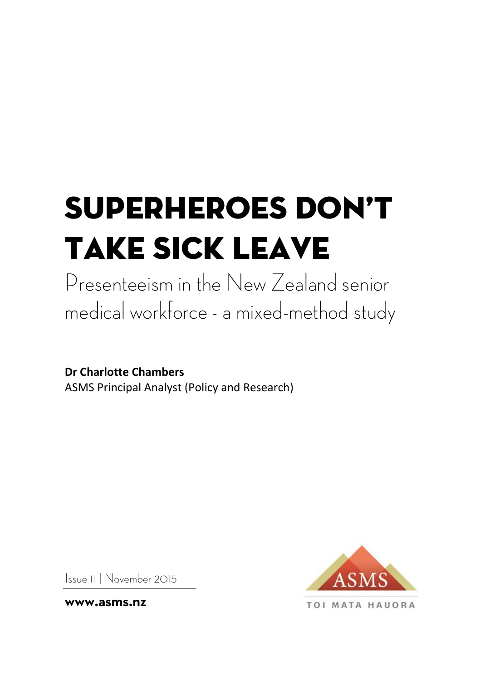# Superheroes don't take sick leave

Presenteeism in the New Zealand senior medical workforce - a mixed-method study

**Dr Charlotte Chambers** ASMS Principal Analyst (Policy and Research)

**TOI MATA HAUORA** 

Issue 11 | November 2015

**www.asms.nz**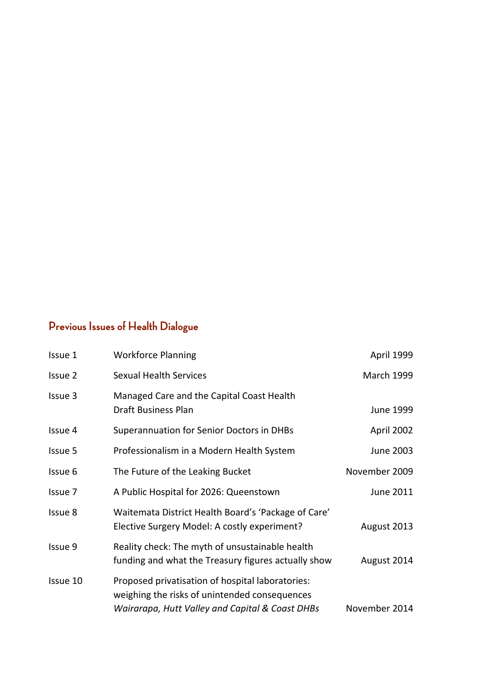# **Previous Issues of Health Dialogue**

| Issue 1  | <b>Workforce Planning</b>                                                                                                                            | April 1999        |
|----------|------------------------------------------------------------------------------------------------------------------------------------------------------|-------------------|
| Issue 2  | <b>Sexual Health Services</b>                                                                                                                        | <b>March 1999</b> |
| Issue 3  | Managed Care and the Capital Coast Health<br>Draft Business Plan                                                                                     | June 1999         |
| Issue 4  | Superannuation for Senior Doctors in DHBs                                                                                                            | April 2002        |
| Issue 5  | Professionalism in a Modern Health System                                                                                                            | June 2003         |
| Issue 6  | The Future of the Leaking Bucket                                                                                                                     | November 2009     |
| Issue 7  | A Public Hospital for 2026: Queenstown                                                                                                               | June 2011         |
| Issue 8  | Waitemata District Health Board's 'Package of Care'<br>Elective Surgery Model: A costly experiment?                                                  | August 2013       |
| Issue 9  | Reality check: The myth of unsustainable health<br>funding and what the Treasury figures actually show                                               | August 2014       |
| Issue 10 | Proposed privatisation of hospital laboratories:<br>weighing the risks of unintended consequences<br>Wairarapa, Hutt Valley and Capital & Coast DHBs | November 2014     |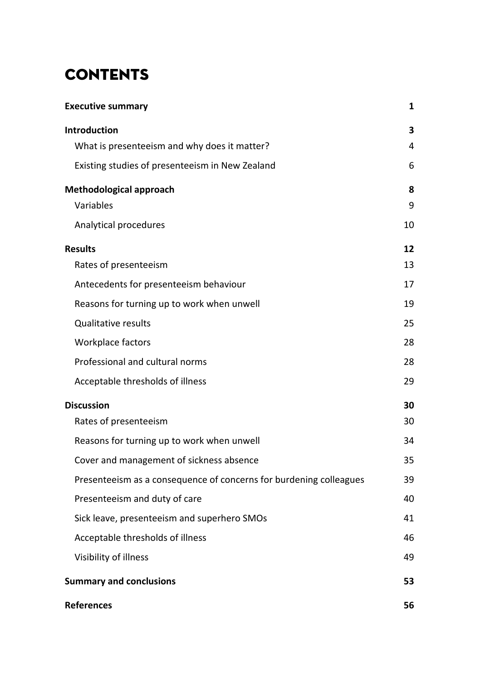# **CONTENTS**

| <b>Executive summary</b>                                           | 1  |
|--------------------------------------------------------------------|----|
| <b>Introduction</b>                                                | 3  |
| What is presenteeism and why does it matter?                       | 4  |
| Existing studies of presenteeism in New Zealand                    | 6  |
| Methodological approach                                            | 8  |
| Variables                                                          | 9  |
| Analytical procedures                                              | 10 |
| <b>Results</b>                                                     | 12 |
| Rates of presenteeism                                              | 13 |
| Antecedents for presenteeism behaviour                             | 17 |
| Reasons for turning up to work when unwell                         | 19 |
| <b>Qualitative results</b>                                         | 25 |
| Workplace factors                                                  | 28 |
| Professional and cultural norms                                    | 28 |
| Acceptable thresholds of illness                                   | 29 |
| <b>Discussion</b>                                                  | 30 |
| Rates of presenteeism                                              | 30 |
| Reasons for turning up to work when unwell                         | 34 |
| Cover and management of sickness absence                           | 35 |
| Presenteeism as a consequence of concerns for burdening colleagues | 39 |
| Presenteeism and duty of care                                      | 40 |
| Sick leave, presenteeism and superhero SMOs                        | 41 |
| Acceptable thresholds of illness                                   | 46 |
| Visibility of illness                                              | 49 |
| <b>Summary and conclusions</b>                                     | 53 |
| <b>References</b>                                                  | 56 |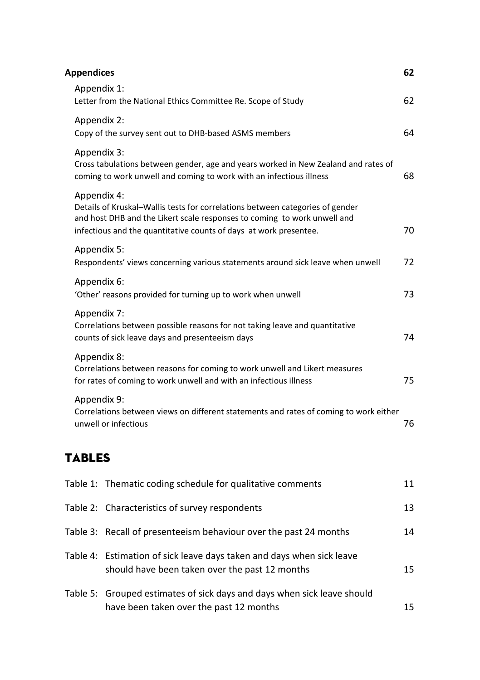| <b>Appendices</b>                                                                                                                                                                                                                             | 62 |
|-----------------------------------------------------------------------------------------------------------------------------------------------------------------------------------------------------------------------------------------------|----|
| Appendix 1:<br>Letter from the National Ethics Committee Re. Scope of Study                                                                                                                                                                   | 62 |
| Appendix 2:<br>Copy of the survey sent out to DHB-based ASMS members                                                                                                                                                                          | 64 |
| Appendix 3:<br>Cross tabulations between gender, age and years worked in New Zealand and rates of<br>coming to work unwell and coming to work with an infectious illness                                                                      | 68 |
| Appendix 4:<br>Details of Kruskal-Wallis tests for correlations between categories of gender<br>and host DHB and the Likert scale responses to coming to work unwell and<br>infectious and the quantitative counts of days at work presentee. | 70 |
| Appendix 5:<br>Respondents' views concerning various statements around sick leave when unwell                                                                                                                                                 | 72 |
| Appendix 6:<br>'Other' reasons provided for turning up to work when unwell                                                                                                                                                                    | 73 |
| Appendix 7:<br>Correlations between possible reasons for not taking leave and quantitative<br>counts of sick leave days and presenteeism days                                                                                                 | 74 |
| Appendix 8:<br>Correlations between reasons for coming to work unwell and Likert measures<br>for rates of coming to work unwell and with an infectious illness                                                                                | 75 |
| Appendix 9:<br>Correlations between views on different statements and rates of coming to work either<br>unwell or infectious                                                                                                                  | 76 |
|                                                                                                                                                                                                                                               |    |

# TABLES

| Table 1: Thematic coding schedule for qualitative comments                                                              | 11 |
|-------------------------------------------------------------------------------------------------------------------------|----|
| Table 2: Characteristics of survey respondents                                                                          | 13 |
| Table 3: Recall of presenteeism behaviour over the past 24 months                                                       | 14 |
| Table 4: Estimation of sick leave days taken and days when sick leave<br>should have been taken over the past 12 months | 15 |
| Table 5: Grouped estimates of sick days and days when sick leave should<br>have been taken over the past 12 months      | 15 |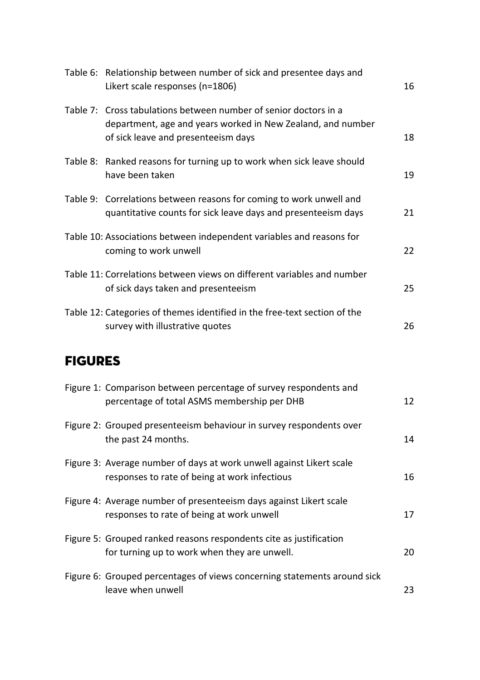|                | Table 6: Relationship between number of sick and presentee days and<br>Likert scale responses (n=1806)                                                                 | 16 |
|----------------|------------------------------------------------------------------------------------------------------------------------------------------------------------------------|----|
|                | Table 7: Cross tabulations between number of senior doctors in a<br>department, age and years worked in New Zealand, and number<br>of sick leave and presenteeism days | 18 |
|                | Table 8: Ranked reasons for turning up to work when sick leave should<br>have been taken                                                                               | 19 |
|                | Table 9: Correlations between reasons for coming to work unwell and<br>quantitative counts for sick leave days and presenteeism days                                   | 21 |
|                | Table 10: Associations between independent variables and reasons for<br>coming to work unwell                                                                          | 22 |
|                | Table 11: Correlations between views on different variables and number<br>of sick days taken and presenteeism                                                          | 25 |
|                | Table 12: Categories of themes identified in the free-text section of the<br>survey with illustrative quotes                                                           | 26 |
| <b>FIGURES</b> |                                                                                                                                                                        |    |
|                | Figure 1: Comparison between percentage of survey respondents and<br>percentage of total ASMS membership per DHB                                                       | 12 |
|                | Figure 2: Grouped presenteeism behaviour in survey respondents over<br>the past 24 months.                                                                             | 14 |
|                | Figure 3: Average number of days at work unwell against Likert scale<br>responses to rate of being at work infectious                                                  | 16 |
|                | Figure 4: Average number of presenteeism days against Likert scale<br>responses to rate of being at work unwell                                                        | 17 |
|                | Figure 5: Grouped ranked reasons respondents cite as justification<br>for turning up to work when they are unwell.                                                     | 20 |
|                | Figure 6: Grouped percentages of views concerning statements around sick<br>leave when unwell                                                                          | 23 |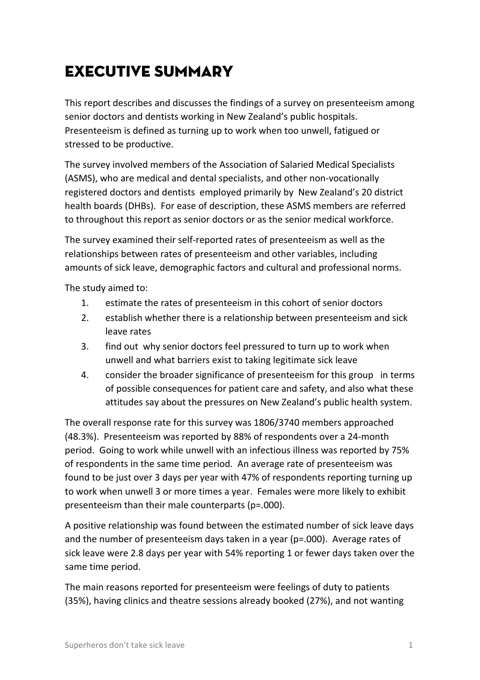# <span id="page-6-0"></span>Executive summary

This report describes and discusses the findings of a survey on presenteeism among senior doctors and dentists working in New Zealand's public hospitals. Presenteeism is defined as turning up to work when too unwell, fatigued or stressed to be productive.

The survey involved members of the Association of Salaried Medical Specialists (ASMS), who are medical and dental specialists, and other non-vocationally registered doctors and dentists employed primarily by New Zealand's 20 district health boards (DHBs). For ease of description, these ASMS members are referred to throughout this report as senior doctors or as the senior medical workforce.

The survey examined their self-reported rates of presenteeism as well as the relationships between rates of presenteeism and other variables, including amounts of sick leave, demographic factors and cultural and professional norms.

The study aimed to:

- 1. estimate the rates of presenteeism in this cohort of senior doctors
- 2. establish whether there is a relationship between presenteeism and sick leave rates
- 3. find out why senior doctors feel pressured to turn up to work when unwell and what barriers exist to taking legitimate sick leave
- 4. consider the broader significance of presenteeism for this group in terms of possible consequences for patient care and safety, and also what these attitudes say about the pressures on New Zealand's public health system.

The overall response rate for this survey was 1806/3740 members approached (48.3%). Presenteeism was reported by 88% of respondents over a 24-month period. Going to work while unwell with an infectious illness was reported by 75% of respondents in the same time period. An average rate of presenteeism was found to be just over 3 days per year with 47% of respondents reporting turning up to work when unwell 3 or more times a year. Females were more likely to exhibit presenteeism than their male counterparts (p=.000).

A positive relationship was found between the estimated number of sick leave days and the number of presenteeism days taken in a year (p=.000). Average rates of sick leave were 2.8 days per year with 54% reporting 1 or fewer days taken over the same time period.

The main reasons reported for presenteeism were feelings of duty to patients (35%), having clinics and theatre sessions already booked (27%), and not wanting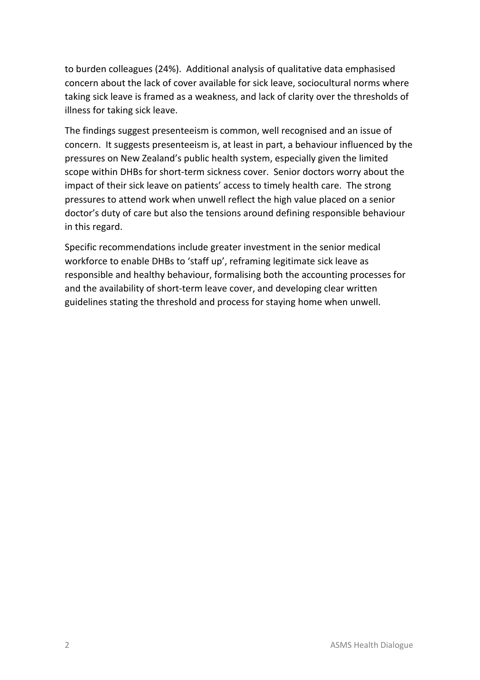to burden colleagues (24%). Additional analysis of qualitative data emphasised concern about the lack of cover available for sick leave, sociocultural norms where taking sick leave is framed as a weakness, and lack of clarity over the thresholds of illness for taking sick leave.

The findings suggest presenteeism is common, well recognised and an issue of concern. It suggests presenteeism is, at least in part, a behaviour influenced by the pressures on New Zealand's public health system, especially given the limited scope within DHBs for short-term sickness cover. Senior doctors worry about the impact of their sick leave on patients' access to timely health care. The strong pressures to attend work when unwell reflect the high value placed on a senior doctor's duty of care but also the tensions around defining responsible behaviour in this regard.

Specific recommendations include greater investment in the senior medical workforce to enable DHBs to 'staff up', reframing legitimate sick leave as responsible and healthy behaviour, formalising both the accounting processes for and the availability of short-term leave cover, and developing clear written guidelines stating the threshold and process for staying home when unwell.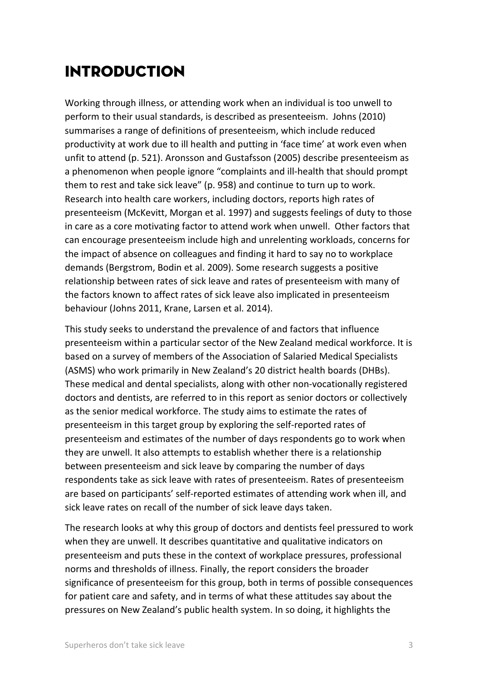# <span id="page-8-0"></span>Introduction

Working through illness, or attending work when an individual is too unwell to perform to their usual standards, is described as presenteeism. Johns (2010) summarises a range of definitions of presenteeism, which include reduced productivity at work due to ill health and putting in 'face time' at work even when unfit to attend (p. 521). Aronsson and Gustafsson (2005) describe presenteeism as a phenomenon when people ignore "complaints and ill-health that should prompt them to rest and take sick leave" (p. 958) and continue to turn up to work. Research into health care workers, including doctors, reports high rates of presenteeism (McKevitt, Morgan et al. 1997) and suggests feelings of duty to those in care as a core motivating factor to attend work when unwell. Other factors that can encourage presenteeism include high and unrelenting workloads, concerns for the impact of absence on colleagues and finding it hard to say no to workplace demands (Bergstrom, Bodin et al. 2009). Some research suggests a positive relationship between rates of sick leave and rates of presenteeism with many of the factors known to affect rates of sick leave also implicated in presenteeism behaviour (Johns 2011, Krane, Larsen et al. 2014).

This study seeks to understand the prevalence of and factors that influence presenteeism within a particular sector of the New Zealand medical workforce. It is based on a survey of members of the Association of Salaried Medical Specialists (ASMS) who work primarily in New Zealand's 20 district health boards (DHBs). These medical and dental specialists, along with other non-vocationally registered doctors and dentists, are referred to in this report as senior doctors or collectively as the senior medical workforce. The study aims to estimate the rates of presenteeism in this target group by exploring the self-reported rates of presenteeism and estimates of the number of days respondents go to work when they are unwell. It also attempts to establish whether there is a relationship between presenteeism and sick leave by comparing the number of days respondents take as sick leave with rates of presenteeism. Rates of presenteeism are based on participants' self-reported estimates of attending work when ill, and sick leave rates on recall of the number of sick leave days taken.

The research looks at why this group of doctors and dentists feel pressured to work when they are unwell. It describes quantitative and qualitative indicators on presenteeism and puts these in the context of workplace pressures, professional norms and thresholds of illness. Finally, the report considers the broader significance of presenteeism for this group, both in terms of possible consequences for patient care and safety, and in terms of what these attitudes say about the pressures on New Zealand's public health system. In so doing, it highlights the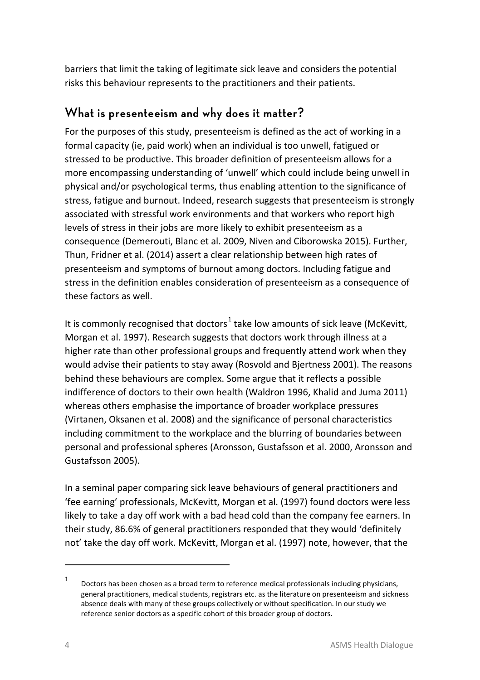barriers that limit the taking of legitimate sick leave and considers the potential risks this behaviour represents to the practitioners and their patients.

## <span id="page-9-0"></span>**What is presenteeism and why does it matter?**

For the purposes of this study, presenteeism is defined as the act of working in a formal capacity (ie, paid work) when an individual is too unwell, fatigued or stressed to be productive. This broader definition of presenteeism allows for a more encompassing understanding of 'unwell' which could include being unwell in physical and/or psychological terms, thus enabling attention to the significance of stress, fatigue and burnout. Indeed, research suggests that presenteeism is strongly associated with stressful work environments and that workers who report high levels of stress in their jobs are more likely to exhibit presenteeism as a consequence (Demerouti, Blanc et al. 2009, Niven and Ciborowska 2015). Further, Thun, Fridner et al. (2014) assert a clear relationship between high rates of presenteeism and symptoms of burnout among doctors. Including fatigue and stress in the definition enables consideration of presenteeism as a consequence of these factors as well.

It is commonly recognised that doctors<sup>[1](#page-9-1)</sup> take low amounts of sick leave (McKevitt, Morgan et al. 1997). Research suggests that doctors work through illness at a higher rate than other professional groups and frequently attend work when they would advise their patients to stay away (Rosvold and Bjertness 2001). The reasons behind these behaviours are complex. Some argue that it reflects a possible indifference of doctors to their own health (Waldron 1996, Khalid and Juma 2011) whereas others emphasise the importance of broader workplace pressures (Virtanen, Oksanen et al. 2008) and the significance of personal characteristics including commitment to the workplace and the blurring of boundaries between personal and professional spheres (Aronsson, Gustafsson et al. 2000, Aronsson and Gustafsson 2005).

In a seminal paper comparing sick leave behaviours of general practitioners and 'fee earning' professionals, McKevitt, Morgan et al. (1997) found doctors were less likely to take a day off work with a bad head cold than the company fee earners. In their study, 86.6% of general practitioners responded that they would 'definitely not' take the day off work. McKevitt, Morgan et al. (1997) note, however, that the

 $\overline{a}$ 

<span id="page-9-1"></span><sup>1</sup> Doctors has been chosen as a broad term to reference medical professionals including physicians, general practitioners, medical students, registrars etc. as the literature on presenteeism and sickness absence deals with many of these groups collectively or without specification. In our study we reference senior doctors as a specific cohort of this broader group of doctors.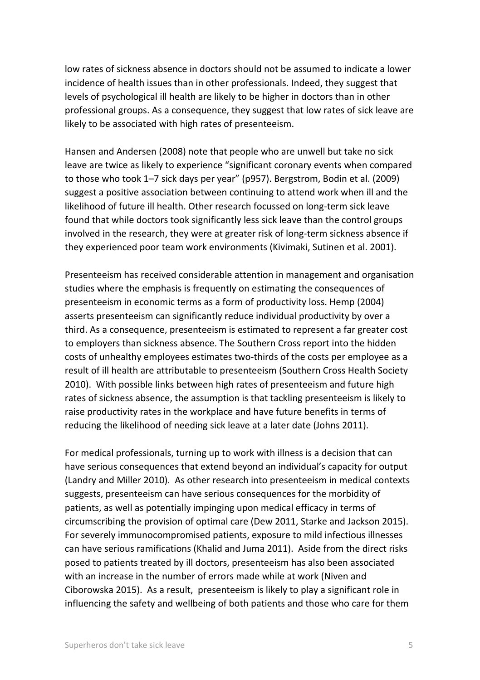low rates of sickness absence in doctors should not be assumed to indicate a lower incidence of health issues than in other professionals. Indeed, they suggest that levels of psychological ill health are likely to be higher in doctors than in other professional groups. As a consequence, they suggest that low rates of sick leave are likely to be associated with high rates of presenteeism.

Hansen and Andersen (2008) note that people who are unwell but take no sick leave are twice as likely to experience "significant coronary events when compared to those who took 1–7 sick days per year" (p957). Bergstrom, Bodin et al. (2009) suggest a positive association between continuing to attend work when ill and the likelihood of future ill health. Other research focussed on long-term sick leave found that while doctors took significantly less sick leave than the control groups involved in the research, they were at greater risk of long-term sickness absence if they experienced poor team work environments (Kivimaki, Sutinen et al. 2001).

Presenteeism has received considerable attention in management and organisation studies where the emphasis is frequently on estimating the consequences of presenteeism in economic terms as a form of productivity loss. Hemp (2004) asserts presenteeism can significantly reduce individual productivity by over a third. As a consequence, presenteeism is estimated to represent a far greater cost to employers than sickness absence. The Southern Cross report into the hidden costs of unhealthy employees estimates two-thirds of the costs per employee as a result of ill health are attributable to presenteeism (Southern Cross Health Society 2010). With possible links between high rates of presenteeism and future high rates of sickness absence, the assumption is that tackling presenteeism is likely to raise productivity rates in the workplace and have future benefits in terms of reducing the likelihood of needing sick leave at a later date (Johns 2011).

For medical professionals, turning up to work with illness is a decision that can have serious consequences that extend beyond an individual's capacity for output (Landry and Miller 2010). As other research into presenteeism in medical contexts suggests, presenteeism can have serious consequences for the morbidity of patients, as well as potentially impinging upon medical efficacy in terms of circumscribing the provision of optimal care (Dew 2011, Starke and Jackson 2015). For severely immunocompromised patients, exposure to mild infectious illnesses can have serious ramifications (Khalid and Juma 2011). Aside from the direct risks posed to patients treated by ill doctors, presenteeism has also been associated with an increase in the number of errors made while at work (Niven and Ciborowska 2015). As a result, presenteeism is likely to play a significant role in influencing the safety and wellbeing of both patients and those who care for them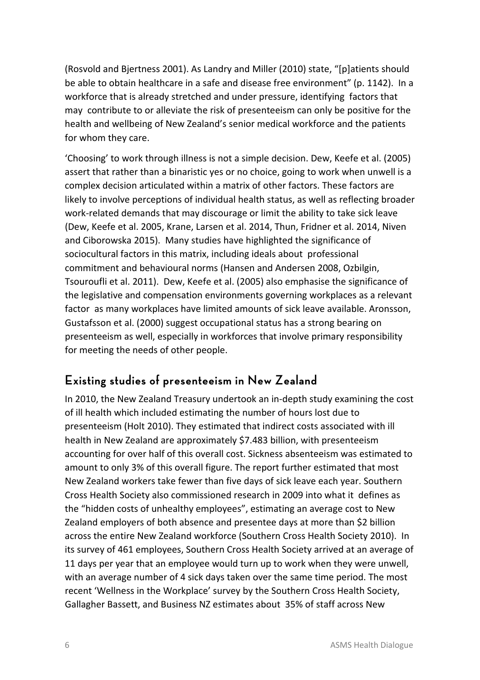(Rosvold and Bjertness 2001). As Landry and Miller (2010) state, "[p]atients should be able to obtain healthcare in a safe and disease free environment" (p. 1142). In a workforce that is already stretched and under pressure, identifying factors that may contribute to or alleviate the risk of presenteeism can only be positive for the health and wellbeing of New Zealand's senior medical workforce and the patients for whom they care.

'Choosing' to work through illness is not a simple decision. Dew, Keefe et al. (2005) assert that rather than a binaristic yes or no choice, going to work when unwell is a complex decision articulated within a matrix of other factors. These factors are likely to involve perceptions of individual health status, as well as reflecting broader work-related demands that may discourage or limit the ability to take sick leave (Dew, Keefe et al. 2005, Krane, Larsen et al. 2014, Thun, Fridner et al. 2014, Niven and Ciborowska 2015). Many studies have highlighted the significance of sociocultural factors in this matrix, including ideals about professional commitment and behavioural norms (Hansen and Andersen 2008, Ozbilgin, Tsouroufli et al. 2011). Dew, Keefe et al. (2005) also emphasise the significance of the legislative and compensation environments governing workplaces as a relevant factor as many workplaces have limited amounts of sick leave available. Aronsson, Gustafsson et al. (2000) suggest occupational status has a strong bearing on presenteeism as well, especially in workforces that involve primary responsibility for meeting the needs of other people.

## <span id="page-11-0"></span>**Existing studies of presenteeism in New Zealand**

In 2010, the New Zealand Treasury undertook an in-depth study examining the cost of ill health which included estimating the number of hours lost due to presenteeism (Holt 2010). They estimated that indirect costs associated with ill health in New Zealand are approximately \$7.483 billion, with presenteeism accounting for over half of this overall cost. Sickness absenteeism was estimated to amount to only 3% of this overall figure. The report further estimated that most New Zealand workers take fewer than five days of sick leave each year. Southern Cross Health Society also commissioned research in 2009 into what it defines as the "hidden costs of unhealthy employees", estimating an average cost to New Zealand employers of both absence and presentee days at more than \$2 billion across the entire New Zealand workforce (Southern Cross Health Society 2010). In its survey of 461 employees, Southern Cross Health Society arrived at an average of 11 days per year that an employee would turn up to work when they were unwell, with an average number of 4 sick days taken over the same time period. The most recent 'Wellness in the Workplace' survey by the Southern Cross Health Society, Gallagher Bassett, and Business NZ estimates about 35% of staff across New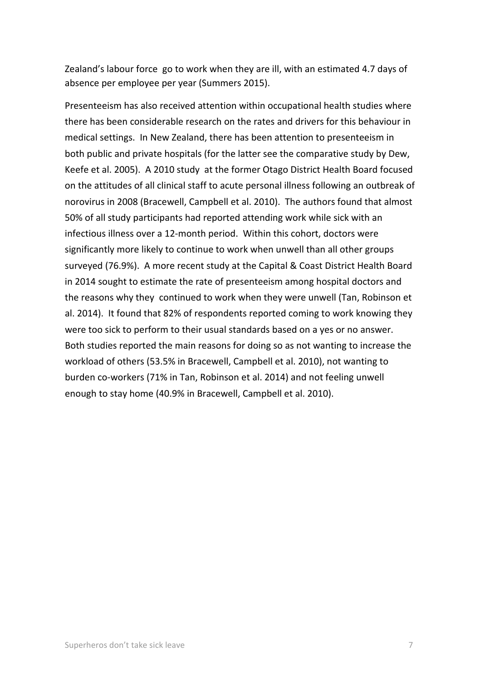Zealand's labour force go to work when they are ill, with an estimated 4.7 days of absence per employee per year (Summers 2015).

Presenteeism has also received attention within occupational health studies where there has been considerable research on the rates and drivers for this behaviour in medical settings. In New Zealand, there has been attention to presenteeism in both public and private hospitals (for the latter see the comparative study by Dew, Keefe et al. 2005). A 2010 study at the former Otago District Health Board focused on the attitudes of all clinical staff to acute personal illness following an outbreak of norovirus in 2008 (Bracewell, Campbell et al. 2010). The authors found that almost 50% of all study participants had reported attending work while sick with an infectious illness over a 12-month period. Within this cohort, doctors were significantly more likely to continue to work when unwell than all other groups surveyed (76.9%). A more recent study at the Capital & Coast District Health Board in 2014 sought to estimate the rate of presenteeism among hospital doctors and the reasons why they continued to work when they were unwell (Tan, Robinson et al. 2014). It found that 82% of respondents reported coming to work knowing they were too sick to perform to their usual standards based on a yes or no answer. Both studies reported the main reasons for doing so as not wanting to increase the workload of others (53.5% in Bracewell, Campbell et al. 2010), not wanting to burden co-workers (71% in Tan, Robinson et al. 2014) and not feeling unwell enough to stay home (40.9% in Bracewell, Campbell et al. 2010).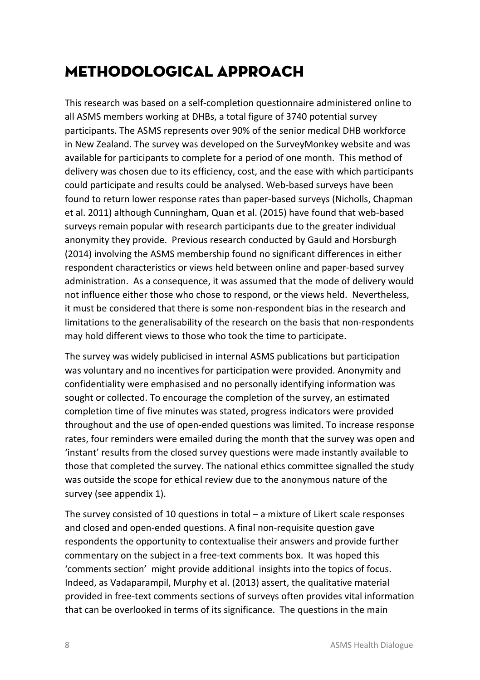# <span id="page-13-0"></span>Methodological approach

This research was based on a self-completion questionnaire administered online to all ASMS members working at DHBs, a total figure of 3740 potential survey participants. The ASMS represents over 90% of the senior medical DHB workforce in New Zealand. The survey was developed on the SurveyMonkey website and was available for participants to complete for a period of one month. This method of delivery was chosen due to its efficiency, cost, and the ease with which participants could participate and results could be analysed. Web-based surveys have been found to return lower response rates than paper-based surveys (Nicholls, Chapman et al. 2011) although Cunningham, Quan et al. (2015) have found that web-based surveys remain popular with research participants due to the greater individual anonymity they provide. Previous research conducted by Gauld and Horsburgh (2014) involving the ASMS membership found no significant differences in either respondent characteristics or views held between online and paper-based survey administration. As a consequence, it was assumed that the mode of delivery would not influence either those who chose to respond, or the views held. Nevertheless, it must be considered that there is some non-respondent bias in the research and limitations to the generalisability of the research on the basis that non-respondents may hold different views to those who took the time to participate.

The survey was widely publicised in internal ASMS publications but participation was voluntary and no incentives for participation were provided. Anonymity and confidentiality were emphasised and no personally identifying information was sought or collected. To encourage the completion of the survey, an estimated completion time of five minutes was stated, progress indicators were provided throughout and the use of open-ended questions was limited. To increase response rates, four reminders were emailed during the month that the survey was open and 'instant' results from the closed survey questions were made instantly available to those that completed the survey. The national ethics committee signalled the study was outside the scope for ethical review due to the anonymous nature of the survey (see appendix 1).

The survey consisted of 10 questions in total – a mixture of Likert scale responses and closed and open-ended questions. A final non-requisite question gave respondents the opportunity to contextualise their answers and provide further commentary on the subject in a free-text comments box. It was hoped this 'comments section' might provide additional insights into the topics of focus. Indeed, as Vadaparampil, Murphy et al. (2013) assert, the qualitative material provided in free-text comments sections of surveys often provides vital information that can be overlooked in terms of its significance. The questions in the main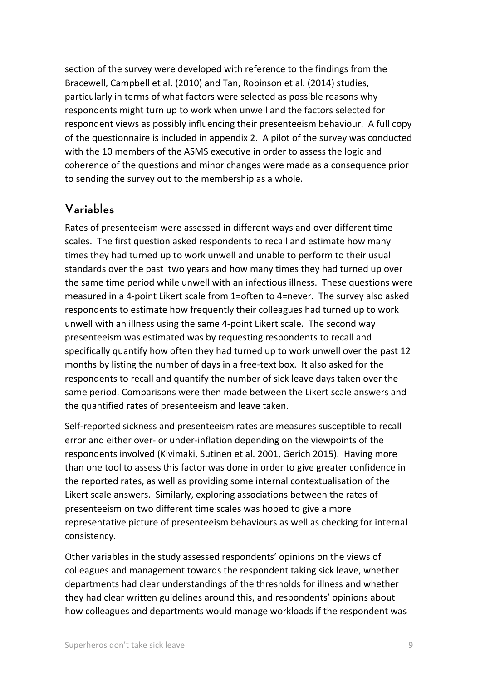section of the survey were developed with reference to the findings from the Bracewell, Campbell et al. (2010) and Tan, Robinson et al. (2014) studies, particularly in terms of what factors were selected as possible reasons why respondents might turn up to work when unwell and the factors selected for respondent views as possibly influencing their presenteeism behaviour. A full copy of the questionnaire is included in appendix 2. A pilot of the survey was conducted with the 10 members of the ASMS executive in order to assess the logic and coherence of the questions and minor changes were made as a consequence prior to sending the survey out to the membership as a whole.

## <span id="page-14-0"></span>**Variables**

Rates of presenteeism were assessed in different ways and over different time scales. The first question asked respondents to recall and estimate how many times they had turned up to work unwell and unable to perform to their usual standards over the past two years and how many times they had turned up over the same time period while unwell with an infectious illness. These questions were measured in a 4-point Likert scale from 1=often to 4=never. The survey also asked respondents to estimate how frequently their colleagues had turned up to work unwell with an illness using the same 4-point Likert scale. The second way presenteeism was estimated was by requesting respondents to recall and specifically quantify how often they had turned up to work unwell over the past 12 months by listing the number of days in a free-text box. It also asked for the respondents to recall and quantify the number of sick leave days taken over the same period. Comparisons were then made between the Likert scale answers and the quantified rates of presenteeism and leave taken.

Self-reported sickness and presenteeism rates are measures susceptible to recall error and either over- or under-inflation depending on the viewpoints of the respondents involved (Kivimaki, Sutinen et al. 2001, Gerich 2015). Having more than one tool to assess this factor was done in order to give greater confidence in the reported rates, as well as providing some internal contextualisation of the Likert scale answers. Similarly, exploring associations between the rates of presenteeism on two different time scales was hoped to give a more representative picture of presenteeism behaviours as well as checking for internal consistency.

Other variables in the study assessed respondents' opinions on the views of colleagues and management towards the respondent taking sick leave, whether departments had clear understandings of the thresholds for illness and whether they had clear written guidelines around this, and respondents' opinions about how colleagues and departments would manage workloads if the respondent was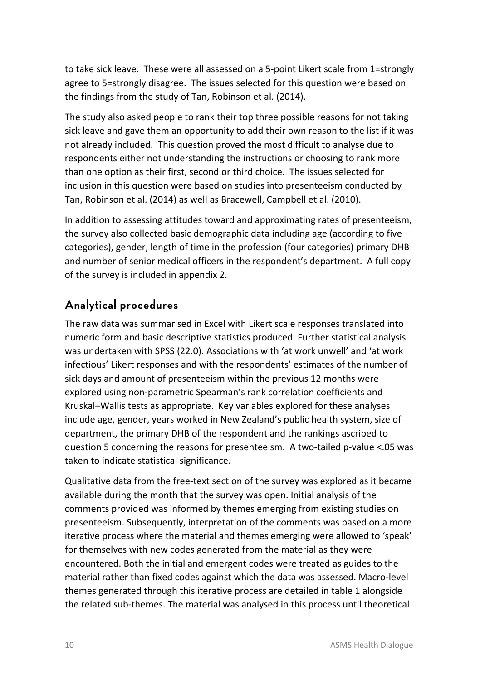to take sick leave. These were all assessed on a 5-point Likert scale from 1=strongly agree to 5=strongly disagree. The issues selected for this question were based on the findings from the study of Tan, Robinson et al. (2014).

The study also asked people to rank their top three possible reasons for not taking sick leave and gave them an opportunity to add their own reason to the list if it was not already included. This question proved the most difficult to analyse due to respondents either not understanding the instructions or choosing to rank more than one option as their first, second or third choice. The issues selected for inclusion in this question were based on studies into presenteeism conducted by Tan, Robinson et al. (2014) as well as Bracewell, Campbell et al. (2010).

In addition to assessing attitudes toward and approximating rates of presenteeism, the survey also collected basic demographic data including age (according to five categories), gender, length of time in the profession (four categories) primary DHB and number of senior medical officers in the respondent's department. A full copy of the survey is included in appendix 2.

# <span id="page-15-0"></span>**Analytical procedures**

The raw data was summarised in Excel with Likert scale responses translated into numeric form and basic descriptive statistics produced. Further statistical analysis was undertaken with SPSS (22.0). Associations with 'at work unwell' and 'at work infectious' Likert responses and with the respondents' estimates of the number of sick days and amount of presenteeism within the previous 12 months were explored using non-parametric Spearman's rank correlation coefficients and Kruskal–Wallis tests as appropriate. Key variables explored for these analyses include age, gender, years worked in New Zealand's public health system, size of department, the primary DHB of the respondent and the rankings ascribed to question 5 concerning the reasons for presenteeism. A two-tailed p-value <.05 was taken to indicate statistical significance.

Qualitative data from the free-text section of the survey was explored as it became available during the month that the survey was open. Initial analysis of the comments provided was informed by themes emerging from existing studies on presenteeism. Subsequently, interpretation of the comments was based on a more iterative process where the material and themes emerging were allowed to 'speak' for themselves with new codes generated from the material as they were encountered. Both the initial and emergent codes were treated as guides to the material rather than fixed codes against which the data was assessed. Macro-level themes generated through this iterative process are detailed in table 1 alongside the related sub-themes. The material was analysed in this process until theoretical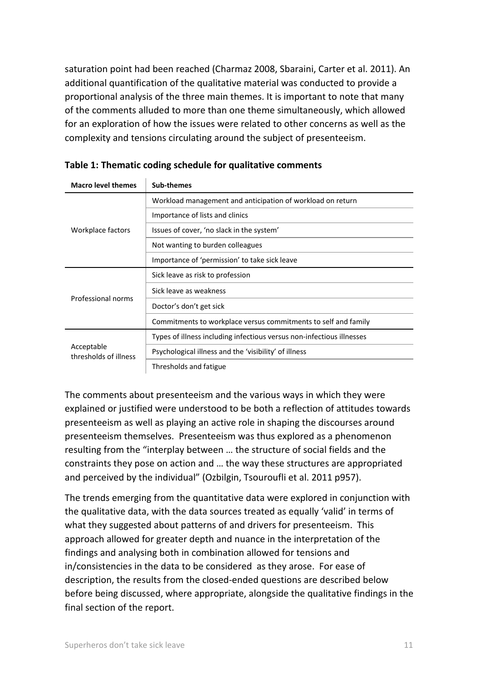saturation point had been reached (Charmaz 2008, Sbaraini, Carter et al. 2011). An additional quantification of the qualitative material was conducted to provide a proportional analysis of the three main themes. It is important to note that many of the comments alluded to more than one theme simultaneously, which allowed for an exploration of how the issues were related to other concerns as well as the complexity and tensions circulating around the subject of presenteeism.

| <b>Macro level themes</b>           | Sub-themes                                                            |  |  |  |
|-------------------------------------|-----------------------------------------------------------------------|--|--|--|
|                                     | Workload management and anticipation of workload on return            |  |  |  |
|                                     | Importance of lists and clinics                                       |  |  |  |
| Workplace factors                   | Issues of cover, 'no slack in the system'                             |  |  |  |
|                                     | Not wanting to burden colleagues                                      |  |  |  |
|                                     | Importance of 'permission' to take sick leave                         |  |  |  |
|                                     | Sick leave as risk to profession                                      |  |  |  |
|                                     | Sick leave as weakness                                                |  |  |  |
| Professional norms                  | Doctor's don't get sick                                               |  |  |  |
|                                     | Commitments to workplace versus commitments to self and family        |  |  |  |
|                                     | Types of illness including infectious versus non-infectious illnesses |  |  |  |
| Acceptable<br>thresholds of illness | Psychological illness and the 'visibility' of illness                 |  |  |  |
|                                     | Thresholds and fatigue                                                |  |  |  |

<span id="page-16-0"></span>

|  | Table 1: Thematic coding schedule for qualitative comments |  |  |
|--|------------------------------------------------------------|--|--|
|--|------------------------------------------------------------|--|--|

The comments about presenteeism and the various ways in which they were explained or justified were understood to be both a reflection of attitudes towards presenteeism as well as playing an active role in shaping the discourses around presenteeism themselves. Presenteeism was thus explored as a phenomenon resulting from the "interplay between … the structure of social fields and the constraints they pose on action and … the way these structures are appropriated and perceived by the individual" (Ozbilgin, Tsouroufli et al. 2011 p957).

The trends emerging from the quantitative data were explored in conjunction with the qualitative data, with the data sources treated as equally 'valid' in terms of what they suggested about patterns of and drivers for presenteeism. This approach allowed for greater depth and nuance in the interpretation of the findings and analysing both in combination allowed for tensions and in/consistencies in the data to be considered as they arose. For ease of description, the results from the closed-ended questions are described below before being discussed, where appropriate, alongside the qualitative findings in the final section of the report.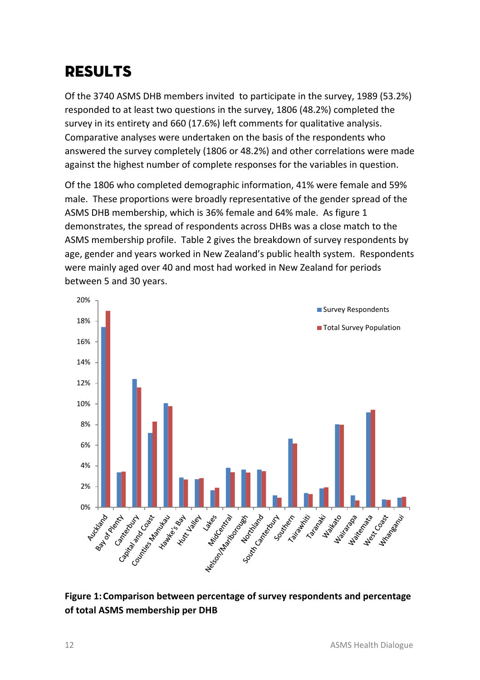# <span id="page-17-0"></span>*RESULTS*

Of the 3740 ASMS DHB members invited to participate in the survey, 1989 (53.2%) responded to at least two questions in the survey, 1806 (48.2%) completed the survey in its entirety and 660 (17.6%) left comments for qualitative analysis. Comparative analyses were undertaken on the basis of the respondents who answered the survey completely (1806 or 48.2%) and other correlations were made against the highest number of complete responses for the variables in question.

Of the 1806 who completed demographic information, 41% were female and 59% male. These proportions were broadly representative of the gender spread of the ASMS DHB membership, which is 36% female and 64% male. As figure 1 demonstrates, the spread of respondents across DHBs was a close match to the ASMS membership profile. Table 2 gives the breakdown of survey respondents by age, gender and years worked in New Zealand's public health system. Respondents were mainly aged over 40 and most had worked in New Zealand for periods between 5 and 30 years.



<span id="page-17-1"></span>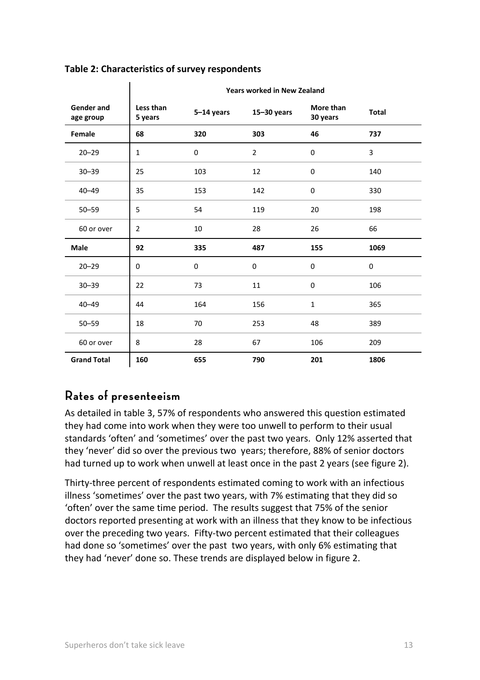|                         | <b>Years worked in New Zealand</b> |            |                 |                       |              |
|-------------------------|------------------------------------|------------|-----------------|-----------------------|--------------|
| Gender and<br>age group | Less than<br>5 years               | 5-14 years | $15 - 30$ years | More than<br>30 years | <b>Total</b> |
| Female                  | 68                                 | 320        | 303             | 46                    | 737          |
| $20 - 29$               | $\mathbf{1}$                       | 0          | $\overline{2}$  | 0                     | 3            |
| $30 - 39$               | 25                                 | 103        | 12              | 0                     | 140          |
| $40 - 49$               | 35                                 | 153        | 142             | $\mathbf 0$           | 330          |
| $50 - 59$               | 5                                  | 54         | 119             | 20                    | 198          |
| 60 or over              | $\overline{2}$                     | 10         | 28              | 26                    | 66           |
| Male                    | 92                                 | 335        | 487             | 155                   | 1069         |
| $20 - 29$               | 0                                  | 0          | 0               | 0                     | 0            |
| $30 - 39$               | 22                                 | 73         | 11              | 0                     | 106          |
| $40 - 49$               | 44                                 | 164        | 156             | $\mathbf{1}$          | 365          |
| $50 - 59$               | 18                                 | 70         | 253             | 48                    | 389          |
| 60 or over              | 8                                  | 28         | 67              | 106                   | 209          |
| <b>Grand Total</b>      | 160                                | 655        | 790             | 201                   | 1806         |

#### <span id="page-18-1"></span>**Table 2: Characteristics of survey respondents**

 $\mathbf{r}$ 

## <span id="page-18-0"></span>**Rates of presenteeism**

As detailed in table 3, 57% of respondents who answered this question estimated they had come into work when they were too unwell to perform to their usual standards 'often' and 'sometimes' over the past two years. Only 12% asserted that they 'never' did so over the previous two years; therefore, 88% of senior doctors had turned up to work when unwell at least once in the past 2 years (see figure 2).

Thirty-three percent of respondents estimated coming to work with an infectious illness 'sometimes' over the past two years, with 7% estimating that they did so 'often' over the same time period. The results suggest that 75% of the senior doctors reported presenting at work with an illness that they know to be infectious over the preceding two years. Fifty-two percent estimated that their colleagues had done so 'sometimes' over the past two years, with only 6% estimating that they had 'never' done so. These trends are displayed below in figure 2.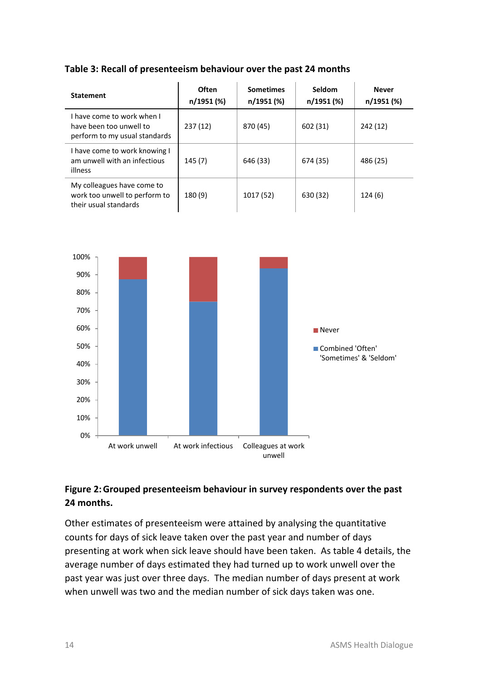#### <span id="page-19-0"></span>**Table 3: Recall of presenteeism behaviour over the past 24 months**

| <b>Statement</b>                                                                       | Often<br>n/1951 (%) | <b>Sometimes</b><br>n/1951 (%) | Seldom<br>n/1951 (%) | <b>Never</b><br>n/1951 (%) |
|----------------------------------------------------------------------------------------|---------------------|--------------------------------|----------------------|----------------------------|
| I have come to work when I<br>have been too unwell to<br>perform to my usual standards | 237 (12)            | 870 (45)                       | 602 (31)             | 242 (12)                   |
| I have come to work knowing I<br>am unwell with an infectious<br>illness               | 145(7)              | 646 (33)                       | 674 (35)             | 486 (25)                   |
| My colleagues have come to<br>work too unwell to perform to<br>their usual standards   | 180 (9)             | 1017 (52)                      | 630 (32)             | 124(6)                     |



#### <span id="page-19-1"></span>**Figure 2:Grouped presenteeism behaviour in survey respondents over the past 24 months.**

Other estimates of presenteeism were attained by analysing the quantitative counts for days of sick leave taken over the past year and number of days presenting at work when sick leave should have been taken. As table 4 details, the average number of days estimated they had turned up to work unwell over the past year was just over three days. The median number of days present at work when unwell was two and the median number of sick days taken was one.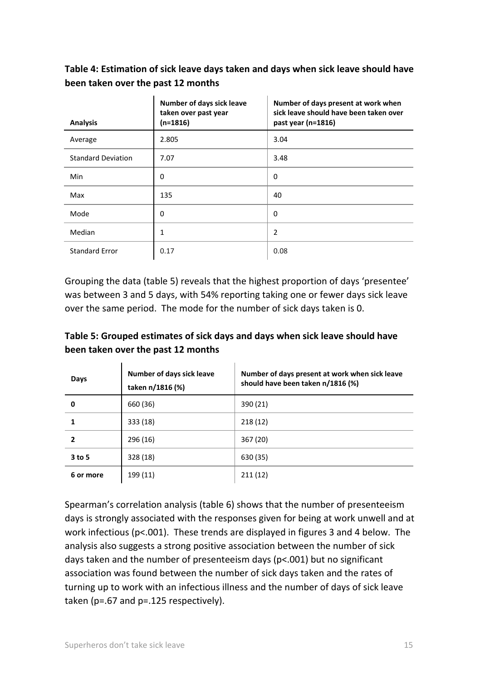#### <span id="page-20-0"></span>**Table 4: Estimation of sick leave days taken and days when sick leave should have been taken over the past 12 months**

| <b>Analysis</b>           | Number of days sick leave<br>taken over past year<br>$(n=1816)$ | Number of days present at work when<br>sick leave should have been taken over<br>past year (n=1816) |
|---------------------------|-----------------------------------------------------------------|-----------------------------------------------------------------------------------------------------|
| Average                   | 2.805                                                           | 3.04                                                                                                |
| <b>Standard Deviation</b> | 7.07                                                            | 3.48                                                                                                |
| Min                       | 0                                                               | 0                                                                                                   |
| Max                       | 135                                                             | 40                                                                                                  |
| Mode                      | 0                                                               | 0                                                                                                   |
| Median                    | 1                                                               | 2                                                                                                   |
| <b>Standard Error</b>     | 0.17                                                            | 0.08                                                                                                |

Grouping the data (table 5) reveals that the highest proportion of days 'presentee' was between 3 and 5 days, with 54% reporting taking one or fewer days sick leave over the same period. The mode for the number of sick days taken is 0.

#### <span id="page-20-1"></span>**Table 5: Grouped estimates of sick days and days when sick leave should have been taken over the past 12 months**

| Days      | Number of days sick leave<br>taken n/1816 (%) | Number of days present at work when sick leave<br>should have been taken n/1816 (%) |
|-----------|-----------------------------------------------|-------------------------------------------------------------------------------------|
| 0         | 660 (36)                                      | 390 (21)                                                                            |
|           | 333 (18)                                      | 218(12)                                                                             |
| 2         | 296 (16)                                      | 367 (20)                                                                            |
| 3 to 5    | 328 (18)                                      | 630 (35)                                                                            |
| 6 or more | 199 (11)                                      | 211(12)                                                                             |

Spearman's correlation analysis (table 6) shows that the number of presenteeism days is strongly associated with the responses given for being at work unwell and at work infectious (p<.001). These trends are displayed in figures 3 and 4 below. The analysis also suggests a strong positive association between the number of sick days taken and the number of presenteeism days (p<.001) but no significant association was found between the number of sick days taken and the rates of turning up to work with an infectious illness and the number of days of sick leave taken (p=.67 and p=.125 respectively).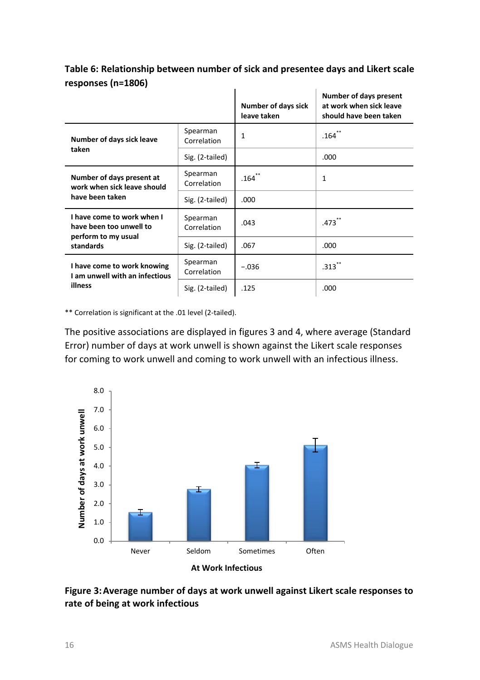|                                                                              |                         | <b>Number of days sick</b><br>leave taken | Number of days present<br>at work when sick leave<br>should have been taken |
|------------------------------------------------------------------------------|-------------------------|-------------------------------------------|-----------------------------------------------------------------------------|
| Number of days sick leave                                                    | Spearman<br>Correlation | 1                                         | $.164$ **                                                                   |
| taken                                                                        | Sig. (2-tailed)         |                                           | .000                                                                        |
| Number of days present at<br>work when sick leave should                     | Spearman<br>Correlation | $.164$ <sup>**</sup>                      | 1                                                                           |
| have been taken                                                              | Sig. (2-tailed)         | .000                                      |                                                                             |
| I have come to work when I<br>have been too unwell to<br>perform to my usual | Spearman<br>Correlation | .043                                      | $.473$ <sup>**</sup>                                                        |
| standards                                                                    | Sig. (2-tailed)         | .067                                      | .000                                                                        |
| I have come to work knowing<br>I am unwell with an infectious                | Spearman<br>Correlation | $-.036$                                   | $.313$ **                                                                   |
| illness                                                                      | Sig. (2-tailed)         | .125                                      | .000                                                                        |

<span id="page-21-0"></span>**Table 6: Relationship between number of sick and presentee days and Likert scale responses (n=1806)**

\*\* Correlation is significant at the .01 level (2-tailed).

The positive associations are displayed in figures 3 and 4, where average (Standard Error) number of days at work unwell is shown against the Likert scale responses for coming to work unwell and coming to work unwell with an infectious illness.



<span id="page-21-1"></span>**Figure 3:Average number of days at work unwell against Likert scale responses to rate of being at work infectious**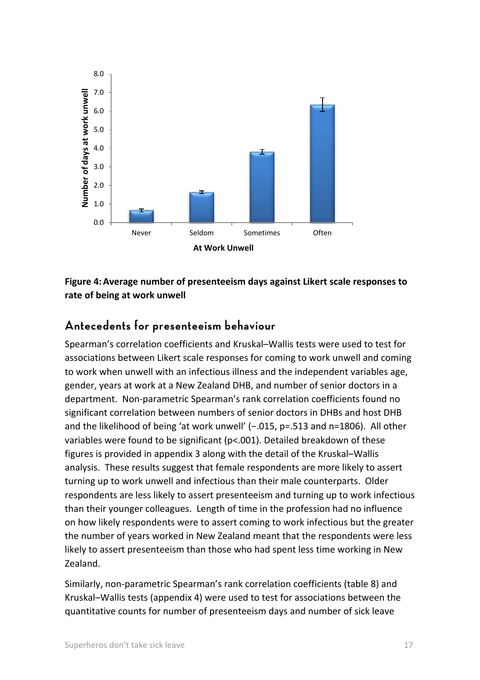

<span id="page-22-1"></span>**Figure 4:Average number of presenteeism days against Likert scale responses to rate of being at work unwell**

## <span id="page-22-0"></span>**Antecedents for presenteeism behaviour**

Spearman's correlation coefficients and Kruskal–Wallis tests were used to test for associations between Likert scale responses for coming to work unwell and coming to work when unwell with an infectious illness and the independent variables age, gender, years at work at a New Zealand DHB, and number of senior doctors in a department. Non-parametric Spearman's rank correlation coefficients found no significant correlation between numbers of senior doctors in DHBs and host DHB and the likelihood of being 'at work unwell' (−.015, p=.513 and n=1806). All other variables were found to be significant (p<.001). Detailed breakdown of these figures is provided in appendix 3 along with the detail of the Kruskal–Wallis analysis. These results suggest that female respondents are more likely to assert turning up to work unwell and infectious than their male counterparts. Older respondents are less likely to assert presenteeism and turning up to work infectious than their younger colleagues. Length of time in the profession had no influence on how likely respondents were to assert coming to work infectious but the greater the number of years worked in New Zealand meant that the respondents were less likely to assert presenteeism than those who had spent less time working in New Zealand.

Similarly, non-parametric Spearman's rank correlation coefficients (table 8) and Kruskal–Wallis tests (appendix 4) were used to test for associations between the quantitative counts for number of presenteeism days and number of sick leave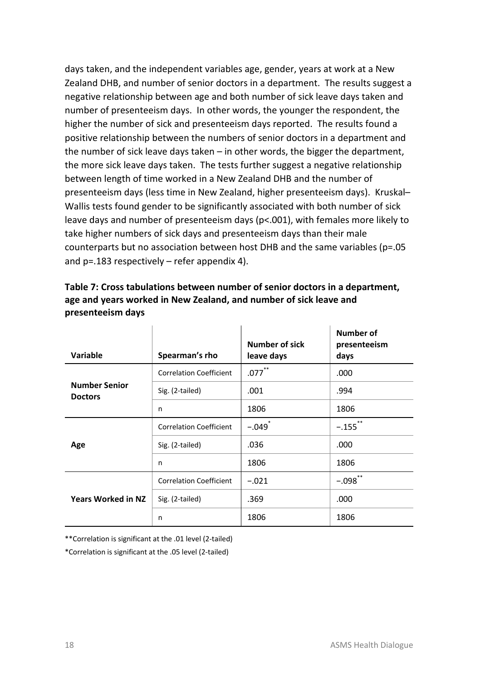days taken, and the independent variables age, gender, years at work at a New Zealand DHB, and number of senior doctors in a department. The results suggest a negative relationship between age and both number of sick leave days taken and number of presenteeism days. In other words, the younger the respondent, the higher the number of sick and presenteeism days reported. The results found a positive relationship between the numbers of senior doctors in a department and the number of sick leave days taken – in other words, the bigger the department, the more sick leave days taken. The tests further suggest a negative relationship between length of time worked in a New Zealand DHB and the number of presenteeism days (less time in New Zealand, higher presenteeism days). Kruskal– Wallis tests found gender to be significantly associated with both number of sick leave days and number of presenteeism days (p<.001), with females more likely to take higher numbers of sick days and presenteeism days than their male counterparts but no association between host DHB and the same variables ( $p=.05$ ) and p=.183 respectively – refer appendix 4).

<span id="page-23-0"></span>

| Table 7: Cross tabulations between number of senior doctors in a department. |
|------------------------------------------------------------------------------|
| age and years worked in New Zealand, and number of sick leave and            |
| presenteeism days                                                            |

| Variable                               | Spearman's rho                 | Number of sick<br>leave days | Number of<br>presenteeism<br>days |
|----------------------------------------|--------------------------------|------------------------------|-----------------------------------|
|                                        | <b>Correlation Coefficient</b> | $***$<br>$.077$ <sup>*</sup> | .000                              |
| <b>Number Senior</b><br><b>Doctors</b> | Sig. (2-tailed)                | .001                         | .994                              |
|                                        | n                              | 1806                         | 1806                              |
| Age                                    | <b>Correlation Coefficient</b> | $-.049$ <sup>*</sup>         | $-.155$ **                        |
|                                        | Sig. (2-tailed)                | .036                         | .000                              |
|                                        | n                              | 1806                         | 1806                              |
|                                        | <b>Correlation Coefficient</b> | $-.021$                      | $-.098$ **                        |
| <b>Years Worked in NZ</b>              | Sig. (2-tailed)                | .369                         | .000                              |
|                                        | n                              | 1806                         | 1806                              |

\*\*Correlation is significant at the .01 level (2-tailed)

\*Correlation is significant at the .05 level (2-tailed)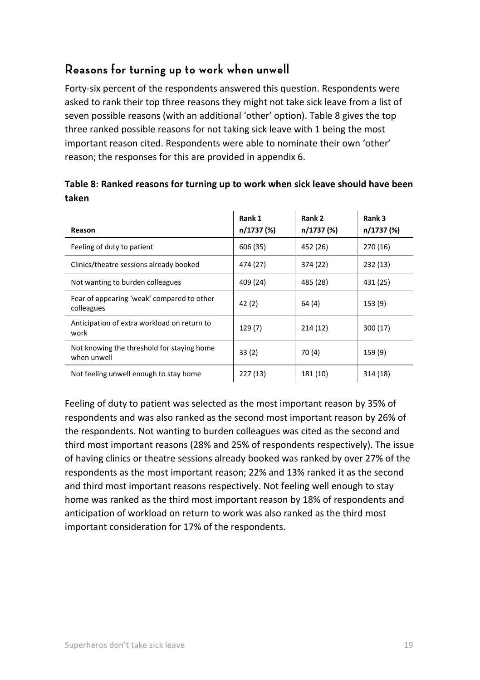# <span id="page-24-0"></span>**Reasons for turning up to work when unwell**

Forty-six percent of the respondents answered this question. Respondents were asked to rank their top three reasons they might not take sick leave from a list of seven possible reasons (with an additional 'other' option). Table 8 gives the top three ranked possible reasons for not taking sick leave with 1 being the most important reason cited. Respondents were able to nominate their own 'other' reason; the responses for this are provided in appendix 6.

| Reason                                                    | Rank 1<br>n/1737 (%) | Rank 2<br>n/1737 (%) | Rank 3<br>n/1737 (%) |
|-----------------------------------------------------------|----------------------|----------------------|----------------------|
| Feeling of duty to patient                                | 606 (35)             | 452 (26)             | 270 (16)             |
| Clinics/theatre sessions already booked                   | 474 (27)             | 374 (22)             | 232 (13)             |
| Not wanting to burden colleagues                          | 409 (24)             | 485 (28)             | 431 (25)             |
| Fear of appearing 'weak' compared to other<br>colleagues  | 42(2)                | 64 (4)               | 153(9)               |
| Anticipation of extra workload on return to<br>work       | 129(7)               | 214(12)              | 300 (17)             |
| Not knowing the threshold for staying home<br>when unwell | 33(2)                | 70 (4)               | 159(9)               |
| Not feeling unwell enough to stay home                    | 227(13)              | 181 (10)             | 314 (18)             |

#### <span id="page-24-1"></span>**Table 8: Ranked reasons for turning up to work when sick leave should have been taken**

Feeling of duty to patient was selected as the most important reason by 35% of respondents and was also ranked as the second most important reason by 26% of the respondents. Not wanting to burden colleagues was cited as the second and third most important reasons (28% and 25% of respondents respectively). The issue of having clinics or theatre sessions already booked was ranked by over 27% of the respondents as the most important reason; 22% and 13% ranked it as the second and third most important reasons respectively. Not feeling well enough to stay home was ranked as the third most important reason by 18% of respondents and anticipation of workload on return to work was also ranked as the third most important consideration for 17% of the respondents.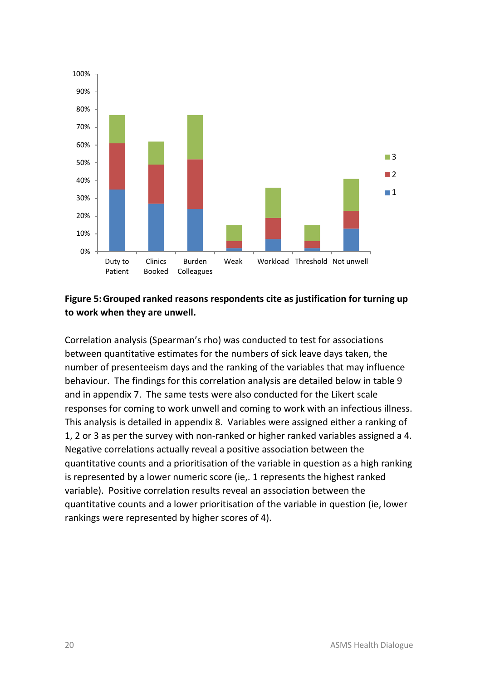

#### <span id="page-25-0"></span>**Figure 5:Grouped ranked reasons respondents cite as justification for turning up to work when they are unwell.**

Correlation analysis (Spearman's rho) was conducted to test for associations between quantitative estimates for the numbers of sick leave days taken, the number of presenteeism days and the ranking of the variables that may influence behaviour. The findings for this correlation analysis are detailed below in table 9 and in appendix 7. The same tests were also conducted for the Likert scale responses for coming to work unwell and coming to work with an infectious illness. This analysis is detailed in appendix 8. Variables were assigned either a ranking of 1, 2 or 3 as per the survey with non-ranked or higher ranked variables assigned a 4. Negative correlations actually reveal a positive association between the quantitative counts and a prioritisation of the variable in question as a high ranking is represented by a lower numeric score (ie,. 1 represents the highest ranked variable). Positive correlation results reveal an association between the quantitative counts and a lower prioritisation of the variable in question (ie, lower rankings were represented by higher scores of 4).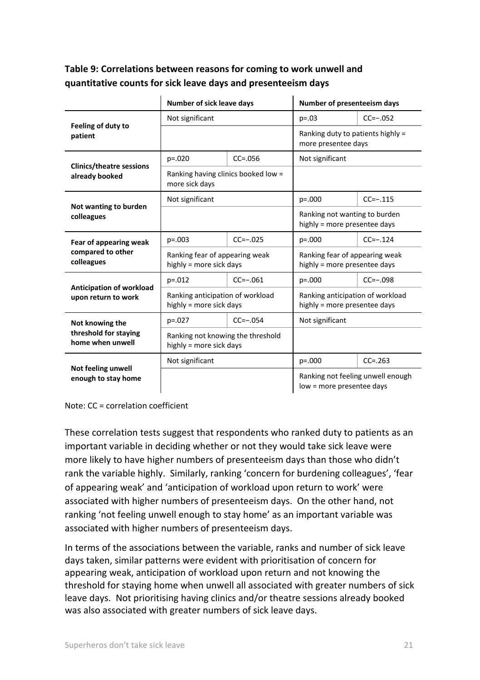#### <span id="page-26-0"></span>**Table 9: Correlations between reasons for coming to work unwell and quantitative counts for sick leave days and presenteeism days**

|                                                   | Number of sick leave days                                    |             | Number of presenteeism days                                      |                                   |
|---------------------------------------------------|--------------------------------------------------------------|-------------|------------------------------------------------------------------|-----------------------------------|
|                                                   | Not significant                                              |             | $p = .03$                                                        | $CC=-.052$                        |
| Feeling of duty to<br>patient                     |                                                              |             | Ranking duty to patients highly =<br>more presentee days         |                                   |
|                                                   | $p = 0.020$                                                  | $CC = .056$ | Not significant                                                  |                                   |
| <b>Clinics/theatre sessions</b><br>already booked | Ranking having clinics booked low =<br>more sick days        |             |                                                                  |                                   |
|                                                   | Not significant                                              |             | $p=.000$                                                         | $CC=-.115$                        |
| Not wanting to burden<br>colleagues               |                                                              |             | Ranking not wanting to burden<br>highly = more presentee days    |                                   |
| Fear of appearing weak                            | $p = .003$                                                   | $CC=-.025$  | $p = 0.000$                                                      | $CC=-.124$                        |
| compared to other<br>colleagues                   | Ranking fear of appearing weak<br>highly = more sick days    |             | Ranking fear of appearing weak<br>highly = more presentee days   |                                   |
|                                                   | $p = 0.012$                                                  | $CC=-.061$  | $p = 0.000$                                                      | $CC=-.098$                        |
| Anticipation of workload<br>upon return to work   | Ranking anticipation of workload<br>highly = more sick days  |             | Ranking anticipation of workload<br>highly = more presentee days |                                   |
| Not knowing the                                   | $p = 0.027$                                                  | $CC=-.054$  | Not significant                                                  |                                   |
| threshold for staying<br>home when unwell         | Ranking not knowing the threshold<br>highly = more sick days |             |                                                                  |                                   |
|                                                   | Not significant                                              |             | $p=.000$                                                         | $CC = .263$                       |
| Not feeling unwell<br>enough to stay home         |                                                              |             | low = more presentee days                                        | Ranking not feeling unwell enough |

Note: CC = correlation coefficient

These correlation tests suggest that respondents who ranked duty to patients as an important variable in deciding whether or not they would take sick leave were more likely to have higher numbers of presenteeism days than those who didn't rank the variable highly. Similarly, ranking 'concern for burdening colleagues', 'fear of appearing weak' and 'anticipation of workload upon return to work' were associated with higher numbers of presenteeism days. On the other hand, not ranking 'not feeling unwell enough to stay home' as an important variable was associated with higher numbers of presenteeism days.

In terms of the associations between the variable, ranks and number of sick leave days taken, similar patterns were evident with prioritisation of concern for appearing weak, anticipation of workload upon return and not knowing the threshold for staying home when unwell all associated with greater numbers of sick leave days. Not prioritising having clinics and/or theatre sessions already booked was also associated with greater numbers of sick leave days.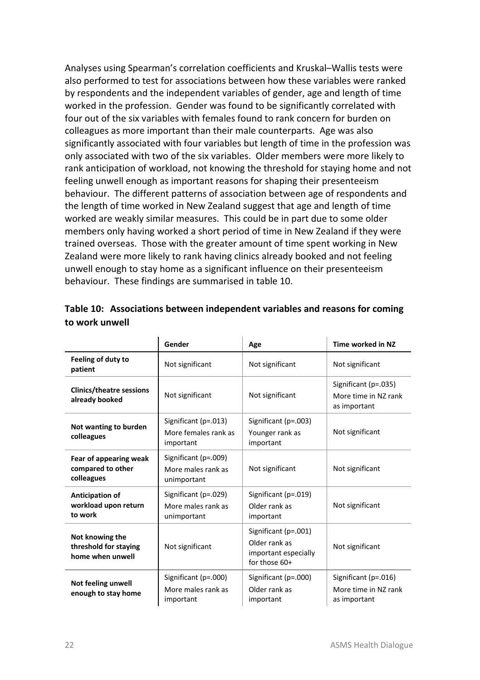Analyses using Spearman's correlation coefficients and Kruskal–Wallis tests were also performed to test for associations between how these variables were ranked by respondents and the independent variables of gender, age and length of time worked in the profession. Gender was found to be significantly correlated with four out of the six variables with females found to rank concern for burden on colleagues as more important than their male counterparts. Age was also significantly associated with four variables but length of time in the profession was only associated with two of the six variables. Older members were more likely to rank anticipation of workload, not knowing the threshold for staying home and not feeling unwell enough as important reasons for shaping their presenteeism behaviour. The different patterns of association between age of respondents and the length of time worked in New Zealand suggest that age and length of time worked are weakly similar measures. This could be in part due to some older members only having worked a short period of time in New Zealand if they were trained overseas. Those with the greater amount of time spent working in New Zealand were more likely to rank having clinics already booked and not feeling unwell enough to stay home as a significant influence on their presenteeism behaviour. These findings are summarised in table 10.

|                                                              | Gender                                                    | Age                                                                            | Time worked in NZ                                            |
|--------------------------------------------------------------|-----------------------------------------------------------|--------------------------------------------------------------------------------|--------------------------------------------------------------|
| Feeling of duty to<br>patient                                | Not significant                                           | Not significant                                                                | Not significant                                              |
| <b>Clinics/theatre sessions</b><br>already booked            | Not significant                                           | Not significant                                                                | Significant (p=.035)<br>More time in NZ rank<br>as important |
| Not wanting to burden<br>colleagues                          | Significant (p=.013)<br>More females rank as<br>important | Significant (p=.003)<br>Younger rank as<br>important                           | Not significant                                              |
| Fear of appearing weak<br>compared to other<br>colleagues    | Significant (p=.009)<br>More males rank as<br>unimportant | Not significant                                                                | Not significant                                              |
| Anticipation of<br>workload upon return<br>to work           | Significant (p=.029)<br>More males rank as<br>unimportant | Significant (p=.019)<br>Older rank as<br>important                             | Not significant                                              |
| Not knowing the<br>threshold for staying<br>home when unwell | Not significant                                           | Significant (p=.001)<br>Older rank as<br>important especially<br>for those 60+ | Not significant                                              |
| Not feeling unwell<br>enough to stay home                    | Significant (p=.000)<br>More males rank as<br>important   | Significant (p=.000)<br>Older rank as<br>important                             | Significant (p=.016)<br>More time in NZ rank<br>as important |

<span id="page-27-0"></span>

|                | Table 10: Associations between independent variables and reasons for coming |
|----------------|-----------------------------------------------------------------------------|
| to work unwell |                                                                             |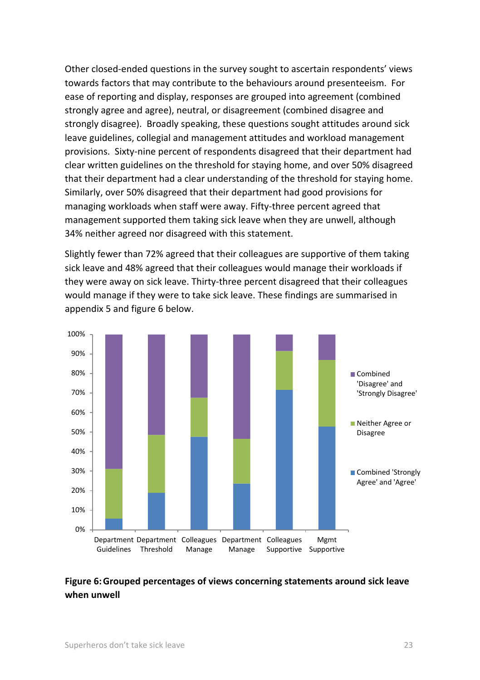Other closed-ended questions in the survey sought to ascertain respondents' views towards factors that may contribute to the behaviours around presenteeism. For ease of reporting and display, responses are grouped into agreement (combined strongly agree and agree), neutral, or disagreement (combined disagree and strongly disagree). Broadly speaking, these questions sought attitudes around sick leave guidelines, collegial and management attitudes and workload management provisions. Sixty-nine percent of respondents disagreed that their department had clear written guidelines on the threshold for staying home, and over 50% disagreed that their department had a clear understanding of the threshold for staying home. Similarly, over 50% disagreed that their department had good provisions for managing workloads when staff were away. Fifty-three percent agreed that management supported them taking sick leave when they are unwell, although 34% neither agreed nor disagreed with this statement.

Slightly fewer than 72% agreed that their colleagues are supportive of them taking sick leave and 48% agreed that their colleagues would manage their workloads if they were away on sick leave. Thirty-three percent disagreed that their colleagues would manage if they were to take sick leave. These findings are summarised in appendix 5 and figure 6 below.



#### <span id="page-28-0"></span>**Figure 6:Grouped percentages of views concerning statements around sick leave when unwell**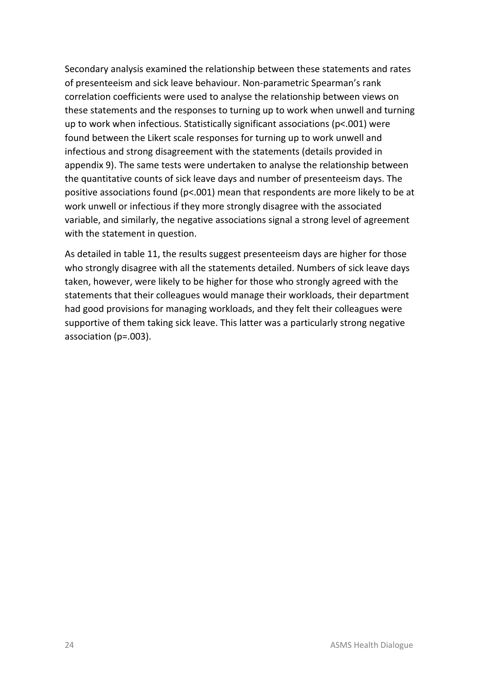Secondary analysis examined the relationship between these statements and rates of presenteeism and sick leave behaviour. Non-parametric Spearman's rank correlation coefficients were used to analyse the relationship between views on these statements and the responses to turning up to work when unwell and turning up to work when infectious. Statistically significant associations (p<.001) were found between the Likert scale responses for turning up to work unwell and infectious and strong disagreement with the statements (details provided in appendix 9). The same tests were undertaken to analyse the relationship between the quantitative counts of sick leave days and number of presenteeism days. The positive associations found (p<.001) mean that respondents are more likely to be at work unwell or infectious if they more strongly disagree with the associated variable, and similarly, the negative associations signal a strong level of agreement with the statement in question.

As detailed in table 11, the results suggest presenteeism days are higher for those who strongly disagree with all the statements detailed. Numbers of sick leave days taken, however, were likely to be higher for those who strongly agreed with the statements that their colleagues would manage their workloads, their department had good provisions for managing workloads, and they felt their colleagues were supportive of them taking sick leave. This latter was a particularly strong negative association (p=.003).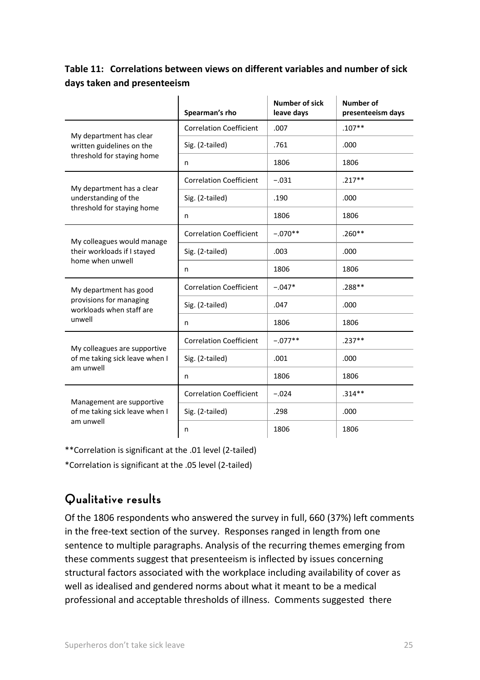#### <span id="page-30-1"></span>**Table 11: Correlations between views on different variables and number of sick days taken and presenteeism**

|                                                      | Spearman's rho                 | <b>Number of sick</b><br>leave days | Number of<br>presenteeism days |
|------------------------------------------------------|--------------------------------|-------------------------------------|--------------------------------|
|                                                      | <b>Correlation Coefficient</b> | .007                                | $.107**$                       |
| My department has clear<br>written guidelines on the | Sig. (2-tailed)                | .761                                | .000                           |
| threshold for staying home                           | n                              | 1806                                | 1806                           |
| My department has a clear                            | <b>Correlation Coefficient</b> | $-.031$                             | $.217**$                       |
| understanding of the                                 | Sig. (2-tailed)                | .190                                | .000                           |
| threshold for staying home                           | n                              | 1806                                | 1806                           |
| My colleagues would manage                           | <b>Correlation Coefficient</b> | $-.070**$                           | $.260**$                       |
| their workloads if I stayed<br>home when unwell      | Sig. (2-tailed)                | .003                                | .000                           |
|                                                      | n                              | 1806                                | 1806                           |
| My department has good                               | <b>Correlation Coefficient</b> | $-.047*$                            | .288**                         |
| provisions for managing<br>workloads when staff are  | Sig. (2-tailed)                | .047                                | .000                           |
| unwell                                               | n                              | 1806                                | 1806                           |
| My colleagues are supportive                         | <b>Correlation Coefficient</b> | $-.077**$                           | $.237**$                       |
| of me taking sick leave when I                       | Sig. (2-tailed)                | .001                                | .000                           |
| am unwell                                            | n                              | 1806                                | 1806                           |
| Management are supportive                            | <b>Correlation Coefficient</b> | $-.024$                             | $.314**$                       |
| of me taking sick leave when I                       | Sig. (2-tailed)                | .298                                | .000                           |
| am unwell                                            | n                              | 1806                                | 1806                           |

\*\*Correlation is significant at the .01 level (2-tailed)

\*Correlation is significant at the .05 level (2-tailed)

# <span id="page-30-0"></span>**Qualitative results**

Of the 1806 respondents who answered the survey in full, 660 (37%) left comments in the free-text section of the survey. Responses ranged in length from one sentence to multiple paragraphs. Analysis of the recurring themes emerging from these comments suggest that presenteeism is inflected by issues concerning structural factors associated with the workplace including availability of cover as well as idealised and gendered norms about what it meant to be a medical professional and acceptable thresholds of illness. Comments suggested there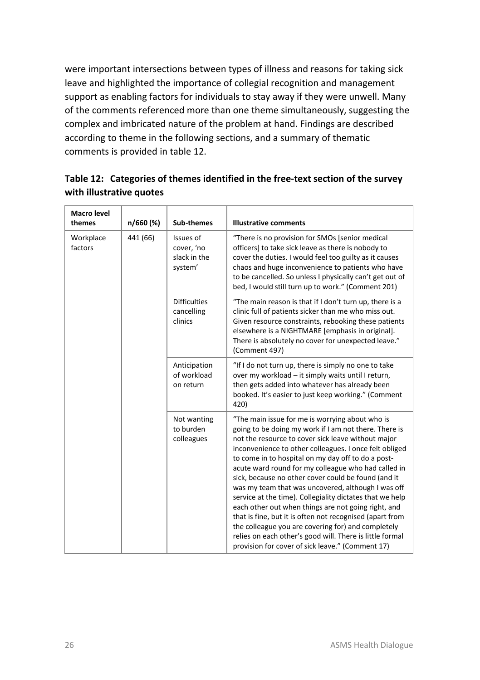were important intersections between types of illness and reasons for taking sick leave and highlighted the importance of collegial recognition and management support as enabling factors for individuals to stay away if they were unwell. Many of the comments referenced more than one theme simultaneously, suggesting the complex and imbricated nature of the problem at hand. Findings are described according to theme in the following sections, and a summary of thematic comments is provided in table 12.

| <b>Macro level</b><br>themes | n/660 (%) | Sub-themes                                         | <b>Illustrative comments</b>                                                                                                                                                                                                                                                                                                                                                                                                                                                                                                                                                                                                                                                                                                                                                                            |
|------------------------------|-----------|----------------------------------------------------|---------------------------------------------------------------------------------------------------------------------------------------------------------------------------------------------------------------------------------------------------------------------------------------------------------------------------------------------------------------------------------------------------------------------------------------------------------------------------------------------------------------------------------------------------------------------------------------------------------------------------------------------------------------------------------------------------------------------------------------------------------------------------------------------------------|
| Workplace<br>factors         | 441 (66)  | Issues of<br>cover, 'no<br>slack in the<br>system' | "There is no provision for SMOs [senior medical<br>officers] to take sick leave as there is nobody to<br>cover the duties. I would feel too guilty as it causes<br>chaos and huge inconvenience to patients who have<br>to be cancelled. So unless I physically can't get out of<br>bed, I would still turn up to work." (Comment 201)                                                                                                                                                                                                                                                                                                                                                                                                                                                                  |
|                              |           | <b>Difficulties</b><br>cancelling<br>clinics       | "The main reason is that if I don't turn up, there is a<br>clinic full of patients sicker than me who miss out.<br>Given resource constraints, rebooking these patients<br>elsewhere is a NIGHTMARE [emphasis in original].<br>There is absolutely no cover for unexpected leave."<br>(Comment 497)                                                                                                                                                                                                                                                                                                                                                                                                                                                                                                     |
|                              |           | Anticipation<br>of workload<br>on return           | "If I do not turn up, there is simply no one to take<br>over my workload - it simply waits until I return,<br>then gets added into whatever has already been<br>booked. It's easier to just keep working." (Comment<br>420)                                                                                                                                                                                                                                                                                                                                                                                                                                                                                                                                                                             |
|                              |           | Not wanting<br>to burden<br>colleagues             | "The main issue for me is worrying about who is<br>going to be doing my work if I am not there. There is<br>not the resource to cover sick leave without major<br>inconvenience to other colleagues. I once felt obliged<br>to come in to hospital on my day off to do a post-<br>acute ward round for my colleague who had called in<br>sick, because no other cover could be found (and it<br>was my team that was uncovered, although I was off<br>service at the time). Collegiality dictates that we help<br>each other out when things are not going right, and<br>that is fine, but it is often not recognised (apart from<br>the colleague you are covering for) and completely<br>relies on each other's good will. There is little formal<br>provision for cover of sick leave." (Comment 17) |

<span id="page-31-0"></span>**Table 12: Categories of themes identified in the free-text section of the survey with illustrative quotes**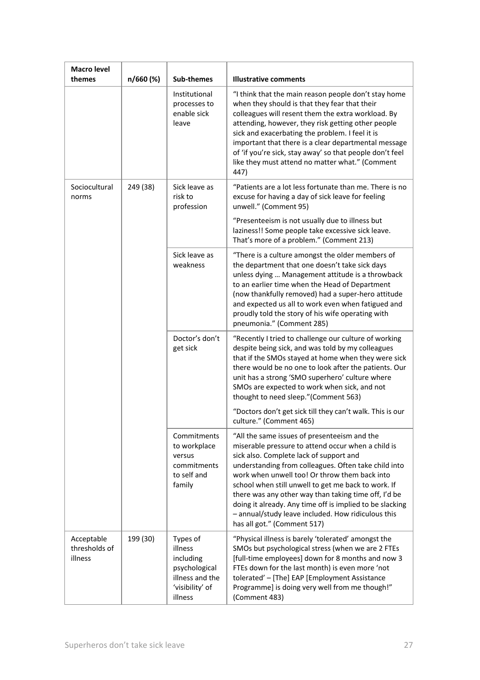| Macro level                            |           |                                                                                                    |                                                                                                                                                                                                                                                                                                                                                                                                                                                                                                                        |
|----------------------------------------|-----------|----------------------------------------------------------------------------------------------------|------------------------------------------------------------------------------------------------------------------------------------------------------------------------------------------------------------------------------------------------------------------------------------------------------------------------------------------------------------------------------------------------------------------------------------------------------------------------------------------------------------------------|
| themes                                 | n/660 (%) | Sub-themes                                                                                         | <b>Illustrative comments</b>                                                                                                                                                                                                                                                                                                                                                                                                                                                                                           |
|                                        |           | Institutional<br>processes to<br>enable sick<br>leave                                              | "I think that the main reason people don't stay home<br>when they should is that they fear that their<br>colleagues will resent them the extra workload. By<br>attending, however, they risk getting other people<br>sick and exacerbating the problem. I feel it is<br>important that there is a clear departmental message<br>of 'if you're sick, stay away' so that people don't feel<br>like they must attend no matter what." (Comment<br>447)                                                                    |
| Sociocultural<br>norms                 | 249 (38)  | Sick leave as<br>risk to<br>profession                                                             | "Patients are a lot less fortunate than me. There is no<br>excuse for having a day of sick leave for feeling<br>unwell." (Comment 95)                                                                                                                                                                                                                                                                                                                                                                                  |
|                                        |           |                                                                                                    | "Presenteeism is not usually due to illness but<br>laziness!! Some people take excessive sick leave.<br>That's more of a problem." (Comment 213)                                                                                                                                                                                                                                                                                                                                                                       |
|                                        |           | Sick leave as<br>weakness                                                                          | "There is a culture amongst the older members of<br>the department that one doesn't take sick days<br>unless dying  Management attitude is a throwback<br>to an earlier time when the Head of Department<br>(now thankfully removed) had a super-hero attitude<br>and expected us all to work even when fatigued and<br>proudly told the story of his wife operating with<br>pneumonia." (Comment 285)                                                                                                                 |
|                                        |           | Doctor's don't<br>get sick                                                                         | "Recently I tried to challenge our culture of working<br>despite being sick, and was told by my colleagues<br>that if the SMOs stayed at home when they were sick<br>there would be no one to look after the patients. Our<br>unit has a strong 'SMO superhero' culture where<br>SMOs are expected to work when sick, and not<br>thought to need sleep."(Comment 563)                                                                                                                                                  |
|                                        |           |                                                                                                    | "Doctors don't get sick till they can't walk. This is our<br>culture." (Comment 465)                                                                                                                                                                                                                                                                                                                                                                                                                                   |
|                                        |           | Commitments<br>to workplace<br>versus<br>commitments<br>to self and<br>family                      | "All the same issues of presenteeism and the<br>miserable pressure to attend occur when a child is<br>sick also. Complete lack of support and<br>understanding from colleagues. Often take child into<br>work when unwell too! Or throw them back into<br>school when still unwell to get me back to work. If<br>there was any other way than taking time off, I'd be<br>doing it already. Any time off is implied to be slacking<br>- annual/study leave included. How ridiculous this<br>has all got." (Comment 517) |
| Acceptable<br>thresholds of<br>illness | 199 (30)  | Types of<br>illness<br>including<br>psychological<br>illness and the<br>'visibility' of<br>illness | "Physical illness is barely 'tolerated' amongst the<br>SMOs but psychological stress (when we are 2 FTEs<br>[full-time employees] down for 8 months and now 3<br>FTEs down for the last month) is even more 'not<br>tolerated' - [The] EAP [Employment Assistance<br>Programme] is doing very well from me though!"<br>(Comment 483)                                                                                                                                                                                   |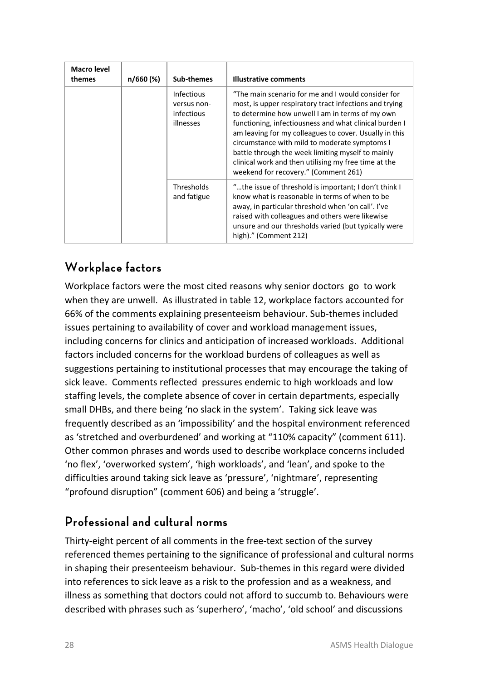| Macro level<br>themes | n/660 (%) | Sub-themes                                           | <b>Illustrative comments</b>                                                                                                                                                                                                                                                                                                                                                                                                                                                              |
|-----------------------|-----------|------------------------------------------------------|-------------------------------------------------------------------------------------------------------------------------------------------------------------------------------------------------------------------------------------------------------------------------------------------------------------------------------------------------------------------------------------------------------------------------------------------------------------------------------------------|
|                       |           | Infectious<br>versus non-<br>infectious<br>illnesses | "The main scenario for me and I would consider for<br>most, is upper respiratory tract infections and trying<br>to determine how unwell I am in terms of my own<br>functioning, infectiousness and what clinical burden I<br>am leaving for my colleagues to cover. Usually in this<br>circumstance with mild to moderate symptoms I<br>battle through the week limiting myself to mainly<br>clinical work and then utilising my free time at the<br>weekend for recovery." (Comment 261) |
|                       |           | Thresholds<br>and fatigue                            | "the issue of threshold is important; I don't think I<br>know what is reasonable in terms of when to be<br>away, in particular threshold when 'on call'. I've<br>raised with colleagues and others were likewise<br>unsure and our thresholds varied (but typically were<br>high)." (Comment 212)                                                                                                                                                                                         |

# <span id="page-33-0"></span>**Workplace factors**

Workplace factors were the most cited reasons why senior doctors go to work when they are unwell. As illustrated in table 12, workplace factors accounted for 66% of the comments explaining presenteeism behaviour. Sub-themes included issues pertaining to availability of cover and workload management issues, including concerns for clinics and anticipation of increased workloads. Additional factors included concerns for the workload burdens of colleagues as well as suggestions pertaining to institutional processes that may encourage the taking of sick leave. Comments reflected pressures endemic to high workloads and low staffing levels, the complete absence of cover in certain departments, especially small DHBs, and there being 'no slack in the system'. Taking sick leave was frequently described as an 'impossibility' and the hospital environment referenced as 'stretched and overburdened' and working at "110% capacity" (comment 611). Other common phrases and words used to describe workplace concerns included 'no flex', 'overworked system', 'high workloads', and 'lean', and spoke to the difficulties around taking sick leave as 'pressure', 'nightmare', representing "profound disruption" (comment 606) and being a 'struggle'.

# <span id="page-33-1"></span>**Professional and cultural norms**

Thirty-eight percent of all comments in the free-text section of the survey referenced themes pertaining to the significance of professional and cultural norms in shaping their presenteeism behaviour. Sub-themes in this regard were divided into references to sick leave as a risk to the profession and as a weakness, and illness as something that doctors could not afford to succumb to. Behaviours were described with phrases such as 'superhero', 'macho', 'old school' and discussions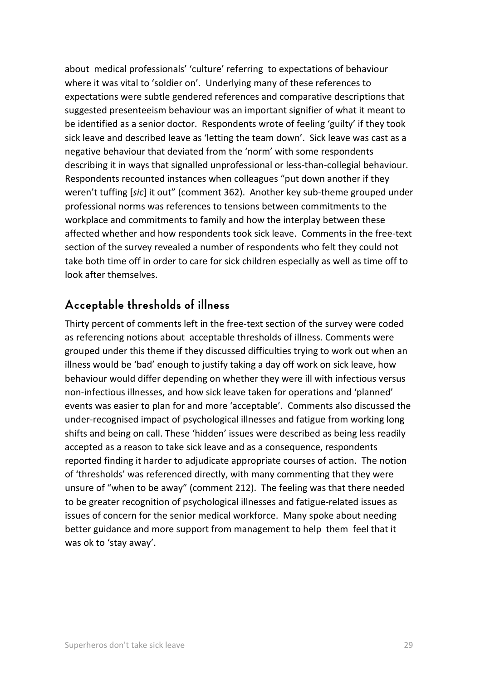about medical professionals' 'culture' referring to expectations of behaviour where it was vital to 'soldier on'. Underlying many of these references to expectations were subtle gendered references and comparative descriptions that suggested presenteeism behaviour was an important signifier of what it meant to be identified as a senior doctor. Respondents wrote of feeling 'guilty' if they took sick leave and described leave as 'letting the team down'. Sick leave was cast as a negative behaviour that deviated from the 'norm' with some respondents describing it in ways that signalled unprofessional or less-than-collegial behaviour. Respondents recounted instances when colleagues "put down another if they weren't tuffing [*sic*] it out" (comment 362). Another key sub-theme grouped under professional norms was references to tensions between commitments to the workplace and commitments to family and how the interplay between these affected whether and how respondents took sick leave. Comments in the free-text section of the survey revealed a number of respondents who felt they could not take both time off in order to care for sick children especially as well as time off to look after themselves.

#### <span id="page-34-0"></span>**Acceptable thresholds of illness**

Thirty percent of comments left in the free-text section of the survey were coded as referencing notions about acceptable thresholds of illness. Comments were grouped under this theme if they discussed difficulties trying to work out when an illness would be 'bad' enough to justify taking a day off work on sick leave, how behaviour would differ depending on whether they were ill with infectious versus non-infectious illnesses, and how sick leave taken for operations and 'planned' events was easier to plan for and more 'acceptable'. Comments also discussed the under-recognised impact of psychological illnesses and fatigue from working long shifts and being on call. These 'hidden' issues were described as being less readily accepted as a reason to take sick leave and as a consequence, respondents reported finding it harder to adjudicate appropriate courses of action. The notion of 'thresholds' was referenced directly, with many commenting that they were unsure of "when to be away" (comment 212). The feeling was that there needed to be greater recognition of psychological illnesses and fatigue-related issues as issues of concern for the senior medical workforce. Many spoke about needing better guidance and more support from management to help them feel that it was ok to 'stay away'.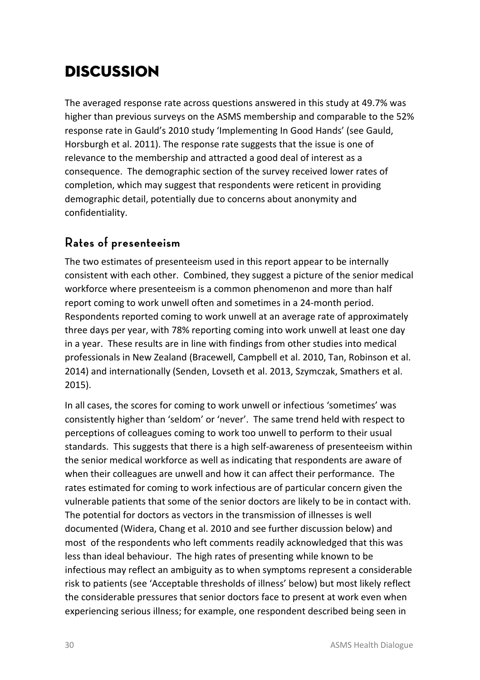# <span id="page-35-0"></span>Discussion

The averaged response rate across questions answered in this study at 49.7% was higher than previous surveys on the ASMS membership and comparable to the 52% response rate in Gauld's 2010 study 'Implementing In Good Hands' (see Gauld, Horsburgh et al. 2011). The response rate suggests that the issue is one of relevance to the membership and attracted a good deal of interest as a consequence. The demographic section of the survey received lower rates of completion, which may suggest that respondents were reticent in providing demographic detail, potentially due to concerns about anonymity and confidentiality.

## <span id="page-35-1"></span>**Rates of presenteeism**

The two estimates of presenteeism used in this report appear to be internally consistent with each other. Combined, they suggest a picture of the senior medical workforce where presenteeism is a common phenomenon and more than half report coming to work unwell often and sometimes in a 24-month period. Respondents reported coming to work unwell at an average rate of approximately three days per year, with 78% reporting coming into work unwell at least one day in a year. These results are in line with findings from other studies into medical professionals in New Zealand (Bracewell, Campbell et al. 2010, Tan, Robinson et al. 2014) and internationally (Senden, Lovseth et al. 2013, Szymczak, Smathers et al. 2015).

In all cases, the scores for coming to work unwell or infectious 'sometimes' was consistently higher than 'seldom' or 'never'. The same trend held with respect to perceptions of colleagues coming to work too unwell to perform to their usual standards. This suggests that there is a high self-awareness of presenteeism within the senior medical workforce as well as indicating that respondents are aware of when their colleagues are unwell and how it can affect their performance. The rates estimated for coming to work infectious are of particular concern given the vulnerable patients that some of the senior doctors are likely to be in contact with. The potential for doctors as vectors in the transmission of illnesses is well documented (Widera, Chang et al. 2010 and see further discussion below) and most of the respondents who left comments readily acknowledged that this was less than ideal behaviour. The high rates of presenting while known to be infectious may reflect an ambiguity as to when symptoms represent a considerable risk to patients (see ['Acceptable thresholds of illness'](#page-51-0) below) but most likely reflect the considerable pressures that senior doctors face to present at work even when experiencing serious illness; for example, one respondent described being seen in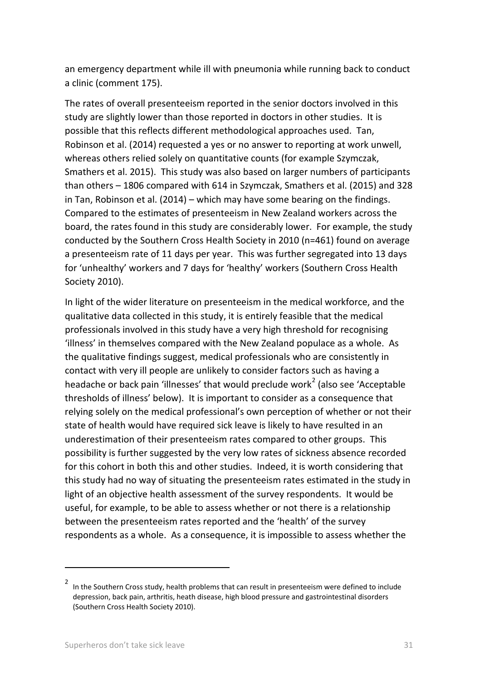an emergency department while ill with pneumonia while running back to conduct a clinic (comment 175).

The rates of overall presenteeism reported in the senior doctors involved in this study are slightly lower than those reported in doctors in other studies. It is possible that this reflects different methodological approaches used. Tan, Robinson et al. (2014) requested a yes or no answer to reporting at work unwell, whereas others relied solely on quantitative counts (for example Szymczak, Smathers et al. 2015). This study was also based on larger numbers of participants than others – 1806 compared with 614 in Szymczak, Smathers et al. (2015) and 328 in Tan, Robinson et al. (2014) – which may have some bearing on the findings. Compared to the estimates of presenteeism in New Zealand workers across the board, the rates found in this study are considerably lower. For example, the study conducted by the Southern Cross Health Society in 2010 (n=461) found on average a presenteeism rate of 11 days per year. This was further segregated into 13 days for 'unhealthy' workers and 7 days for 'healthy' workers (Southern Cross Health Society 2010).

In light of the wider literature on presenteeism in the medical workforce, and the qualitative data collected in this study, it is entirely feasible that the medical professionals involved in this study have a very high threshold for recognising 'illness' in themselves compared with the New Zealand populace as a whole. As the qualitative findings suggest, medical professionals who are consistently in contact with very ill people are unlikely to consider factors such as having a headache or back pain 'illnesses' that would preclude work<sup>[2](#page-36-0)</sup> (also see 'Acceptable [thresholds of illness'](#page-51-0) below). It is important to consider as a consequence that relying solely on the medical professional's own perception of whether or not their state of health would have required sick leave is likely to have resulted in an underestimation of their presenteeism rates compared to other groups. This possibility is further suggested by the very low rates of sickness absence recorded for this cohort in both this and other studies. Indeed, it is worth considering that this study had no way of situating the presenteeism rates estimated in the study in light of an objective health assessment of the survey respondents. It would be useful, for example, to be able to assess whether or not there is a relationship between the presenteeism rates reported and the 'health' of the survey respondents as a whole. As a consequence, it is impossible to assess whether the

 $\overline{a}$ 

<span id="page-36-0"></span><sup>2</sup> In the Southern Cross study, health problems that can result in presenteeism were defined to include depression, back pain, arthritis, heath disease, high blood pressure and gastrointestinal disorders (Southern Cross Health Society 2010).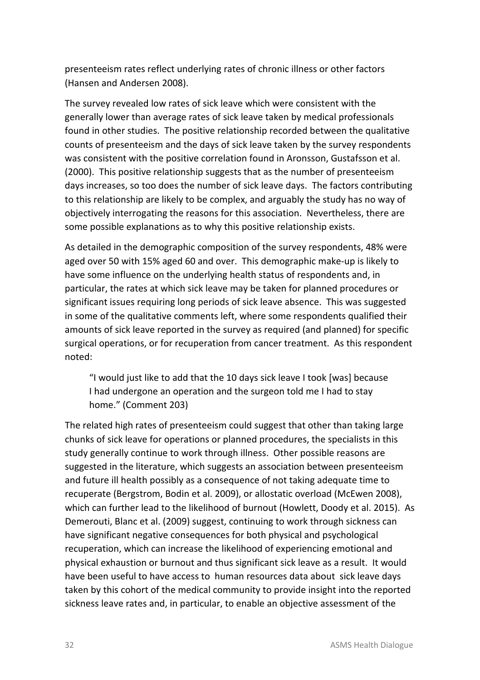presenteeism rates reflect underlying rates of chronic illness or other factors (Hansen and Andersen 2008).

The survey revealed low rates of sick leave which were consistent with the generally lower than average rates of sick leave taken by medical professionals found in other studies. The positive relationship recorded between the qualitative counts of presenteeism and the days of sick leave taken by the survey respondents was consistent with the positive correlation found in Aronsson, Gustafsson et al. (2000). This positive relationship suggests that as the number of presenteeism days increases, so too does the number of sick leave days. The factors contributing to this relationship are likely to be complex, and arguably the study has no way of objectively interrogating the reasons for this association. Nevertheless, there are some possible explanations as to why this positive relationship exists.

As detailed in the demographic composition of the survey respondents, 48% were aged over 50 with 15% aged 60 and over. This demographic make-up is likely to have some influence on the underlying health status of respondents and, in particular, the rates at which sick leave may be taken for planned procedures or significant issues requiring long periods of sick leave absence. This was suggested in some of the qualitative comments left, where some respondents qualified their amounts of sick leave reported in the survey as required (and planned) for specific surgical operations, or for recuperation from cancer treatment. As this respondent noted:

"I would just like to add that the 10 days sick leave I took [was] because I had undergone an operation and the surgeon told me I had to stay home." (Comment 203)

The related high rates of presenteeism could suggest that other than taking large chunks of sick leave for operations or planned procedures, the specialists in this study generally continue to work through illness. Other possible reasons are suggested in the literature, which suggests an association between presenteeism and future ill health possibly as a consequence of not taking adequate time to recuperate (Bergstrom, Bodin et al. 2009), or allostatic overload (McEwen 2008), which can further lead to the likelihood of burnout (Howlett, Doody et al. 2015). As Demerouti, Blanc et al. (2009) suggest, continuing to work through sickness can have significant negative consequences for both physical and psychological recuperation, which can increase the likelihood of experiencing emotional and physical exhaustion or burnout and thus significant sick leave as a result. It would have been useful to have access to human resources data about sick leave days taken by this cohort of the medical community to provide insight into the reported sickness leave rates and, in particular, to enable an objective assessment of the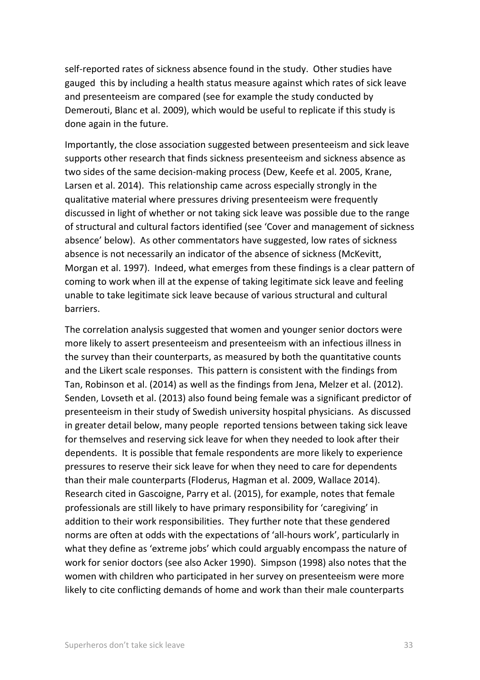self-reported rates of sickness absence found in the study. Other studies have gauged this by including a health status measure against which rates of sick leave and presenteeism are compared (see for example the study conducted by Demerouti, Blanc et al. 2009), which would be useful to replicate if this study is done again in the future.

Importantly, the close association suggested between presenteeism and sick leave supports other research that finds sickness presenteeism and sickness absence as two sides of the same decision-making process (Dew, Keefe et al. 2005, Krane, Larsen et al. 2014). This relationship came across especially strongly in the qualitative material where pressures driving presenteeism were frequently discussed in light of whether or not taking sick leave was possible due to the range of structural and cultural factors identified (see 'Cover and management of sickness absence' below). As other commentators have suggested, low rates of sickness absence is not necessarily an indicator of the absence of sickness (McKevitt, Morgan et al. 1997). Indeed, what emerges from these findings is a clear pattern of coming to work when ill at the expense of taking legitimate sick leave and feeling unable to take legitimate sick leave because of various structural and cultural barriers.

The correlation analysis suggested that women and younger senior doctors were more likely to assert presenteeism and presenteeism with an infectious illness in the survey than their counterparts, as measured by both the quantitative counts and the Likert scale responses. This pattern is consistent with the findings from Tan, Robinson et al. (2014) as well as the findings from Jena, Melzer et al. (2012). Senden, Lovseth et al. (2013) also found being female was a significant predictor of presenteeism in their study of Swedish university hospital physicians. As discussed in greater detail below, many people reported tensions between taking sick leave for themselves and reserving sick leave for when they needed to look after their dependents. It is possible that female respondents are more likely to experience pressures to reserve their sick leave for when they need to care for dependents than their male counterparts (Floderus, Hagman et al. 2009, Wallace 2014). Research cited in Gascoigne, Parry et al. (2015), for example, notes that female professionals are still likely to have primary responsibility for 'caregiving' in addition to their work responsibilities. They further note that these gendered norms are often at odds with the expectations of 'all-hours work', particularly in what they define as 'extreme jobs' which could arguably encompass the nature of work for senior doctors (see also Acker 1990). Simpson (1998) also notes that the women with children who participated in her survey on presenteeism were more likely to cite conflicting demands of home and work than their male counterparts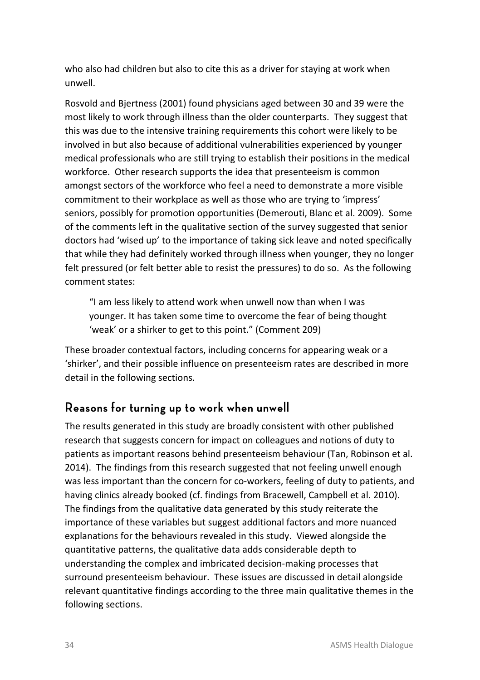who also had children but also to cite this as a driver for staying at work when unwell.

Rosvold and Bjertness (2001) found physicians aged between 30 and 39 were the most likely to work through illness than the older counterparts. They suggest that this was due to the intensive training requirements this cohort were likely to be involved in but also because of additional vulnerabilities experienced by younger medical professionals who are still trying to establish their positions in the medical workforce. Other research supports the idea that presenteeism is common amongst sectors of the workforce who feel a need to demonstrate a more visible commitment to their workplace as well as those who are trying to 'impress' seniors, possibly for promotion opportunities (Demerouti, Blanc et al. 2009). Some of the comments left in the qualitative section of the survey suggested that senior doctors had 'wised up' to the importance of taking sick leave and noted specifically that while they had definitely worked through illness when younger, they no longer felt pressured (or felt better able to resist the pressures) to do so. As the following comment states:

"I am less likely to attend work when unwell now than when I was younger. It has taken some time to overcome the fear of being thought 'weak' or a shirker to get to this point." (Comment 209)

These broader contextual factors, including concerns for appearing weak or a 'shirker', and their possible influence on presenteeism rates are described in more detail in the following sections.

#### **Reasons for turning up to work when unwell**

The results generated in this study are broadly consistent with other published research that suggests concern for impact on colleagues and notions of duty to patients as important reasons behind presenteeism behaviour (Tan, Robinson et al. 2014). The findings from this research suggested that not feeling unwell enough was less important than the concern for co-workers, feeling of duty to patients, and having clinics already booked (cf. findings from Bracewell, Campbell et al. 2010). The findings from the qualitative data generated by this study reiterate the importance of these variables but suggest additional factors and more nuanced explanations for the behaviours revealed in this study. Viewed alongside the quantitative patterns, the qualitative data adds considerable depth to understanding the complex and imbricated decision-making processes that surround presenteeism behaviour. These issues are discussed in detail alongside relevant quantitative findings according to the three main qualitative themes in the following sections.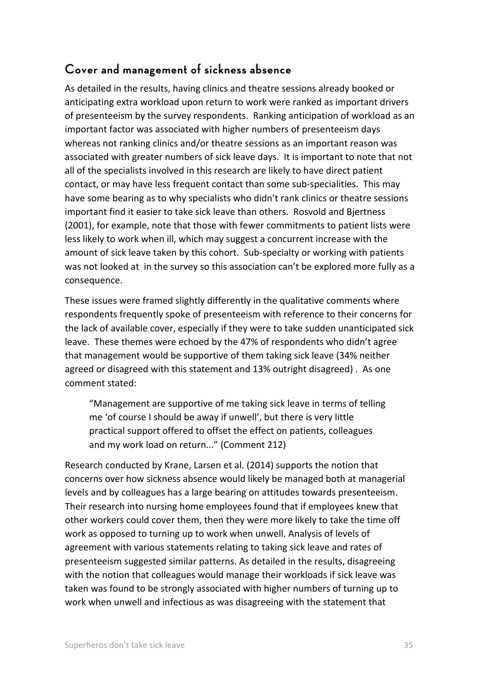## **Cover and management of sickness absence**

As detailed in the results, having clinics and theatre sessions already booked or anticipating extra workload upon return to work were ranked as important drivers of presenteeism by the survey respondents. Ranking anticipation of workload as an important factor was associated with higher numbers of presenteeism days whereas not ranking clinics and/or theatre sessions as an important reason was associated with greater numbers of sick leave days. It is important to note that not all of the specialists involved in this research are likely to have direct patient contact, or may have less frequent contact than some sub-specialities. This may have some bearing as to why specialists who didn't rank clinics or theatre sessions important find it easier to take sick leave than others. Rosvold and Bjertness (2001), for example, note that those with fewer commitments to patient lists were less likely to work when ill, which may suggest a concurrent increase with the amount of sick leave taken by this cohort. Sub-specialty or working with patients was not looked at in the survey so this association can't be explored more fully as a consequence.

These issues were framed slightly differently in the qualitative comments where respondents frequently spoke of presenteeism with reference to their concerns for the lack of available cover, especially if they were to take sudden unanticipated sick leave. These themes were echoed by the 47% of respondents who didn't agree that management would be supportive of them taking sick leave (34% neither agreed or disagreed with this statement and 13% outright disagreed) . As one comment stated:

"Management are supportive of me taking sick leave in terms of telling me 'of course I should be away if unwell', but there is very little practical support offered to offset the effect on patients, colleagues and my work load on return..." (Comment 212)

Research conducted by Krane, Larsen et al. (2014) supports the notion that concerns over how sickness absence would likely be managed both at managerial levels and by colleagues has a large bearing on attitudes towards presenteeism. Their research into nursing home employees found that if employees knew that other workers could cover them, then they were more likely to take the time off work as opposed to turning up to work when unwell. Analysis of levels of agreement with various statements relating to taking sick leave and rates of presenteeism suggested similar patterns. As detailed in the results, disagreeing with the notion that colleagues would manage their workloads if sick leave was taken was found to be strongly associated with higher numbers of turning up to work when unwell and infectious as was disagreeing with the statement that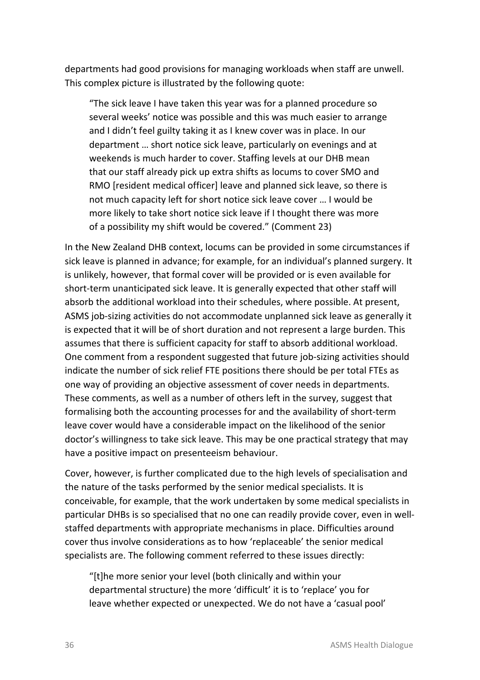departments had good provisions for managing workloads when staff are unwell. This complex picture is illustrated by the following quote:

"The sick leave I have taken this year was for a planned procedure so several weeks' notice was possible and this was much easier to arrange and I didn't feel guilty taking it as I knew cover was in place. In our department … short notice sick leave, particularly on evenings and at weekends is much harder to cover. Staffing levels at our DHB mean that our staff already pick up extra shifts as locums to cover SMO and RMO [resident medical officer] leave and planned sick leave, so there is not much capacity left for short notice sick leave cover … I would be more likely to take short notice sick leave if I thought there was more of a possibility my shift would be covered." (Comment 23)

In the New Zealand DHB context, locums can be provided in some circumstances if sick leave is planned in advance; for example, for an individual's planned surgery. It is unlikely, however, that formal cover will be provided or is even available for short-term unanticipated sick leave. It is generally expected that other staff will absorb the additional workload into their schedules, where possible. At present, ASMS job-sizing activities do not accommodate unplanned sick leave as generally it is expected that it will be of short duration and not represent a large burden. This assumes that there is sufficient capacity for staff to absorb additional workload. One comment from a respondent suggested that future job-sizing activities should indicate the number of sick relief FTE positions there should be per total FTEs as one way of providing an objective assessment of cover needs in departments. These comments, as well as a number of others left in the survey, suggest that formalising both the accounting processes for and the availability of short-term leave cover would have a considerable impact on the likelihood of the senior doctor's willingness to take sick leave. This may be one practical strategy that may have a positive impact on presenteeism behaviour.

Cover, however, is further complicated due to the high levels of specialisation and the nature of the tasks performed by the senior medical specialists. It is conceivable, for example, that the work undertaken by some medical specialists in particular DHBs is so specialised that no one can readily provide cover, even in wellstaffed departments with appropriate mechanisms in place. Difficulties around cover thus involve considerations as to how 'replaceable' the senior medical specialists are. The following comment referred to these issues directly:

"[t]he more senior your level (both clinically and within your departmental structure) the more 'difficult' it is to 'replace' you for leave whether expected or unexpected. We do not have a 'casual pool'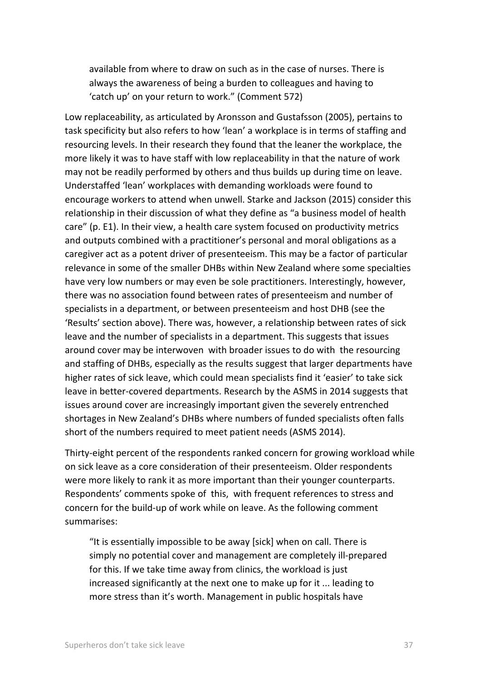available from where to draw on such as in the case of nurses. There is always the awareness of being a burden to colleagues and having to 'catch up' on your return to work." (Comment 572)

Low replaceability, as articulated by Aronsson and Gustafsson (2005), pertains to task specificity but also refers to how 'lean' a workplace is in terms of staffing and resourcing levels. In their research they found that the leaner the workplace, the more likely it was to have staff with low replaceability in that the nature of work may not be readily performed by others and thus builds up during time on leave. Understaffed 'lean' workplaces with demanding workloads were found to encourage workers to attend when unwell. Starke and Jackson (2015) consider this relationship in their discussion of what they define as "a business model of health care" (p. E1). In their view, a health care system focused on productivity metrics and outputs combined with a practitioner's personal and moral obligations as a caregiver act as a potent driver of presenteeism. This may be a factor of particular relevance in some of the smaller DHBs within New Zealand where some specialties have very low numbers or may even be sole practitioners. Interestingly, however, there was no association found between rates of presenteeism and number of specialists in a department, or between presenteeism and host DHB (see the ['Results'](#page-17-0) section above). There was, however, a relationship between rates of sick leave and the number of specialists in a department. This suggests that issues around cover may be interwoven with broader issues to do with the resourcing and staffing of DHBs, especially as the results suggest that larger departments have higher rates of sick leave, which could mean specialists find it 'easier' to take sick leave in better-covered departments. Research by the ASMS in 2014 suggests that issues around cover are increasingly important given the severely entrenched shortages in New Zealand's DHBs where numbers of funded specialists often falls short of the numbers required to meet patient needs (ASMS 2014).

Thirty-eight percent of the respondents ranked concern for growing workload while on sick leave as a core consideration of their presenteeism. Older respondents were more likely to rank it as more important than their younger counterparts. Respondents' comments spoke of this, with frequent references to stress and concern for the build-up of work while on leave. As the following comment summarises:

"It is essentially impossible to be away [sick] when on call. There is simply no potential cover and management are completely ill-prepared for this. If we take time away from clinics, the workload is just increased significantly at the next one to make up for it ... leading to more stress than it's worth. Management in public hospitals have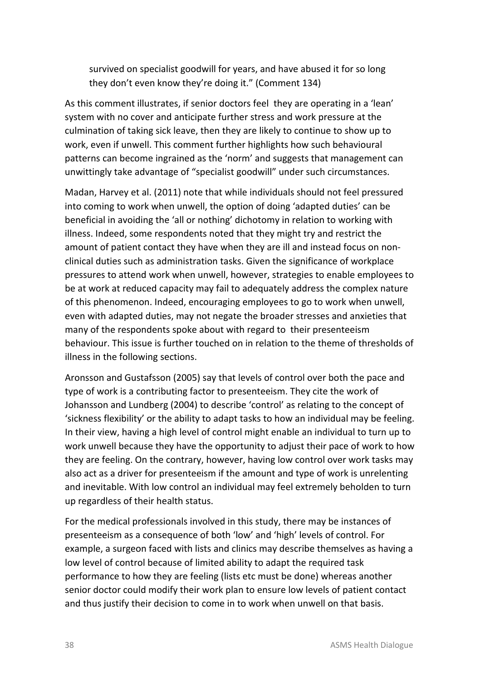survived on specialist goodwill for years, and have abused it for so long they don't even know they're doing it." (Comment 134)

As this comment illustrates, if senior doctors feel they are operating in a 'lean' system with no cover and anticipate further stress and work pressure at the culmination of taking sick leave, then they are likely to continue to show up to work, even if unwell. This comment further highlights how such behavioural patterns can become ingrained as the 'norm' and suggests that management can unwittingly take advantage of "specialist goodwill" under such circumstances.

Madan, Harvey et al. (2011) note that while individuals should not feel pressured into coming to work when unwell, the option of doing 'adapted duties' can be beneficial in avoiding the 'all or nothing' dichotomy in relation to working with illness. Indeed, some respondents noted that they might try and restrict the amount of patient contact they have when they are ill and instead focus on nonclinical duties such as administration tasks. Given the significance of workplace pressures to attend work when unwell, however, strategies to enable employees to be at work at reduced capacity may fail to adequately address the complex nature of this phenomenon. Indeed, encouraging employees to go to work when unwell, even with adapted duties, may not negate the broader stresses and anxieties that many of the respondents spoke about with regard to their presenteeism behaviour. This issue is further touched on in relation to the theme of thresholds of illness in the following sections.

Aronsson and Gustafsson (2005) say that levels of control over both the pace and type of work is a contributing factor to presenteeism. They cite the work of Johansson and Lundberg (2004) to describe 'control' as relating to the concept of 'sickness flexibility' or the ability to adapt tasks to how an individual may be feeling. In their view, having a high level of control might enable an individual to turn up to work unwell because they have the opportunity to adjust their pace of work to how they are feeling. On the contrary, however, having low control over work tasks may also act as a driver for presenteeism if the amount and type of work is unrelenting and inevitable. With low control an individual may feel extremely beholden to turn up regardless of their health status.

For the medical professionals involved in this study, there may be instances of presenteeism as a consequence of both 'low' and 'high' levels of control. For example, a surgeon faced with lists and clinics may describe themselves as having a low level of control because of limited ability to adapt the required task performance to how they are feeling (lists etc must be done) whereas another senior doctor could modify their work plan to ensure low levels of patient contact and thus justify their decision to come in to work when unwell on that basis.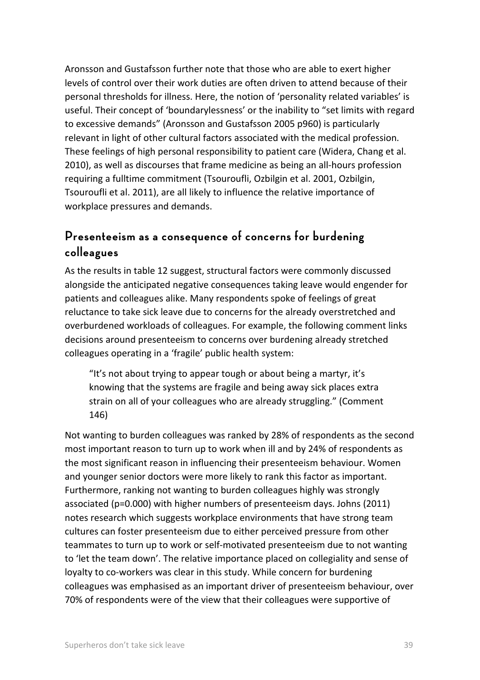Aronsson and Gustafsson further note that those who are able to exert higher levels of control over their work duties are often driven to attend because of their personal thresholds for illness. Here, the notion of 'personality related variables' is useful. Their concept of 'boundarylessness' or the inability to "set limits with regard to excessive demands" (Aronsson and Gustafsson 2005 p960) is particularly relevant in light of other cultural factors associated with the medical profession. These feelings of high personal responsibility to patient care (Widera, Chang et al. 2010), as well as discourses that frame medicine as being an all-hours profession requiring a fulltime commitment (Tsouroufli, Ozbilgin et al. 2001, Ozbilgin, Tsouroufli et al. 2011), are all likely to influence the relative importance of workplace pressures and demands.

### **Presenteeism as a consequence of concerns for burdening colleagues**

As the results in table 12 suggest, structural factors were commonly discussed alongside the anticipated negative consequences taking leave would engender for patients and colleagues alike. Many respondents spoke of feelings of great reluctance to take sick leave due to concerns for the already overstretched and overburdened workloads of colleagues. For example, the following comment links decisions around presenteeism to concerns over burdening already stretched colleagues operating in a 'fragile' public health system:

"It's not about trying to appear tough or about being a martyr, it's knowing that the systems are fragile and being away sick places extra strain on all of your colleagues who are already struggling." (Comment 146)

Not wanting to burden colleagues was ranked by 28% of respondents as the second most important reason to turn up to work when ill and by 24% of respondents as the most significant reason in influencing their presenteeism behaviour. Women and younger senior doctors were more likely to rank this factor as important. Furthermore, ranking not wanting to burden colleagues highly was strongly associated (p=0.000) with higher numbers of presenteeism days. Johns (2011) notes research which suggests workplace environments that have strong team cultures can foster presenteeism due to either perceived pressure from other teammates to turn up to work or self-motivated presenteeism due to not wanting to 'let the team down'. The relative importance placed on collegiality and sense of loyalty to co-workers was clear in this study. While concern for burdening colleagues was emphasised as an important driver of presenteeism behaviour, over 70% of respondents were of the view that their colleagues were supportive of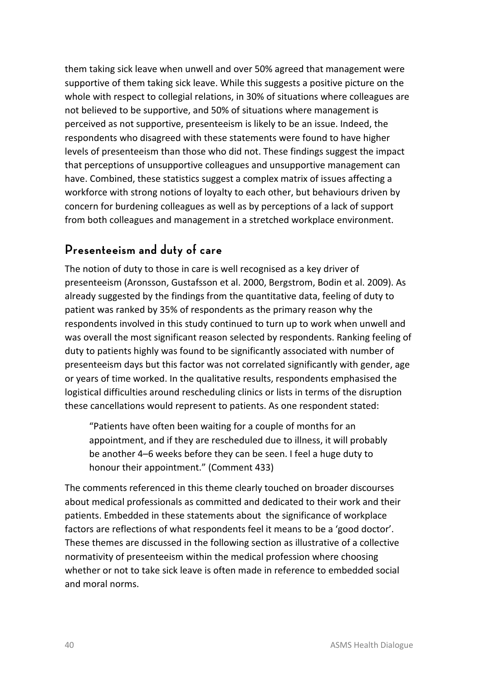them taking sick leave when unwell and over 50% agreed that management were supportive of them taking sick leave. While this suggests a positive picture on the whole with respect to collegial relations, in 30% of situations where colleagues are not believed to be supportive, and 50% of situations where management is perceived as not supportive, presenteeism is likely to be an issue. Indeed, the respondents who disagreed with these statements were found to have higher levels of presenteeism than those who did not. These findings suggest the impact that perceptions of unsupportive colleagues and unsupportive management can have. Combined, these statistics suggest a complex matrix of issues affecting a workforce with strong notions of loyalty to each other, but behaviours driven by concern for burdening colleagues as well as by perceptions of a lack of support from both colleagues and management in a stretched workplace environment.

### **Presenteeism and duty of care**

The notion of duty to those in care is well recognised as a key driver of presenteeism (Aronsson, Gustafsson et al. 2000, Bergstrom, Bodin et al. 2009). As already suggested by the findings from the quantitative data, feeling of duty to patient was ranked by 35% of respondents as the primary reason why the respondents involved in this study continued to turn up to work when unwell and was overall the most significant reason selected by respondents. Ranking feeling of duty to patients highly was found to be significantly associated with number of presenteeism days but this factor was not correlated significantly with gender, age or years of time worked. In the qualitative results, respondents emphasised the logistical difficulties around rescheduling clinics or lists in terms of the disruption these cancellations would represent to patients. As one respondent stated:

"Patients have often been waiting for a couple of months for an appointment, and if they are rescheduled due to illness, it will probably be another 4–6 weeks before they can be seen. I feel a huge duty to honour their appointment." (Comment 433)

The comments referenced in this theme clearly touched on broader discourses about medical professionals as committed and dedicated to their work and their patients. Embedded in these statements about the significance of workplace factors are reflections of what respondents feel it means to be a 'good doctor'. These themes are discussed in the following section as illustrative of a collective normativity of presenteeism within the medical profession where choosing whether or not to take sick leave is often made in reference to embedded social and moral norms.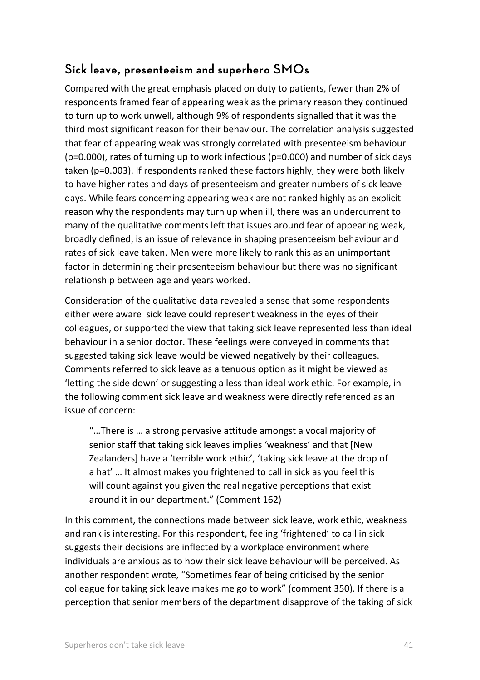## **Sick leave, presenteeism and superhero SMOs**

Compared with the great emphasis placed on duty to patients, fewer than 2% of respondents framed fear of appearing weak as the primary reason they continued to turn up to work unwell, although 9% of respondents signalled that it was the third most significant reason for their behaviour. The correlation analysis suggested that fear of appearing weak was strongly correlated with presenteeism behaviour (p=0.000), rates of turning up to work infectious (p=0.000) and number of sick days taken (p=0.003). If respondents ranked these factors highly, they were both likely to have higher rates and days of presenteeism and greater numbers of sick leave days. While fears concerning appearing weak are not ranked highly as an explicit reason why the respondents may turn up when ill, there was an undercurrent to many of the qualitative comments left that issues around fear of appearing weak, broadly defined, is an issue of relevance in shaping presenteeism behaviour and rates of sick leave taken. Men were more likely to rank this as an unimportant factor in determining their presenteeism behaviour but there was no significant relationship between age and years worked.

Consideration of the qualitative data revealed a sense that some respondents either were aware sick leave could represent weakness in the eyes of their colleagues, or supported the view that taking sick leave represented less than ideal behaviour in a senior doctor. These feelings were conveyed in comments that suggested taking sick leave would be viewed negatively by their colleagues. Comments referred to sick leave as a tenuous option as it might be viewed as 'letting the side down' or suggesting a less than ideal work ethic. For example, in the following comment sick leave and weakness were directly referenced as an issue of concern:

"…There is … a strong pervasive attitude amongst a vocal majority of senior staff that taking sick leaves implies 'weakness' and that [New Zealanders] have a 'terrible work ethic', 'taking sick leave at the drop of a hat' … It almost makes you frightened to call in sick as you feel this will count against you given the real negative perceptions that exist around it in our department." (Comment 162)

In this comment, the connections made between sick leave, work ethic, weakness and rank is interesting. For this respondent, feeling 'frightened' to call in sick suggests their decisions are inflected by a workplace environment where individuals are anxious as to how their sick leave behaviour will be perceived. As another respondent wrote, "Sometimes fear of being criticised by the senior colleague for taking sick leave makes me go to work" (comment 350). If there is a perception that senior members of the department disapprove of the taking of sick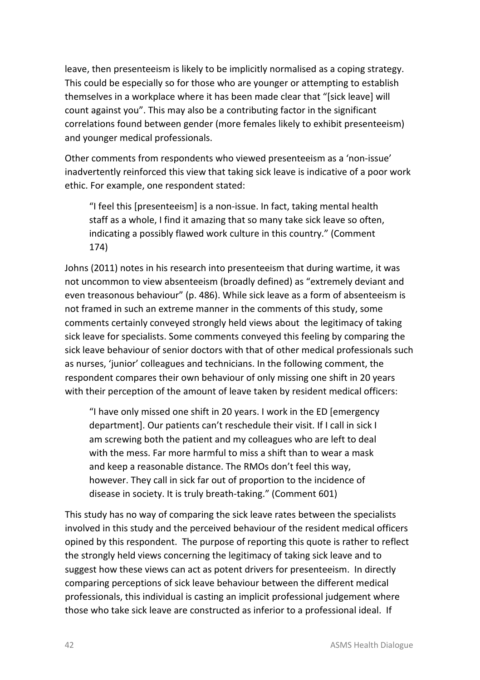leave, then presenteeism is likely to be implicitly normalised as a coping strategy. This could be especially so for those who are younger or attempting to establish themselves in a workplace where it has been made clear that "[sick leave] will count against you". This may also be a contributing factor in the significant correlations found between gender (more females likely to exhibit presenteeism) and younger medical professionals.

Other comments from respondents who viewed presenteeism as a 'non-issue' inadvertently reinforced this view that taking sick leave is indicative of a poor work ethic. For example, one respondent stated:

"I feel this [presenteeism] is a non-issue. In fact, taking mental health staff as a whole, I find it amazing that so many take sick leave so often, indicating a possibly flawed work culture in this country." (Comment 174)

Johns (2011) notes in his research into presenteeism that during wartime, it was not uncommon to view absenteeism (broadly defined) as "extremely deviant and even treasonous behaviour" (p. 486). While sick leave as a form of absenteeism is not framed in such an extreme manner in the comments of this study, some comments certainly conveyed strongly held views about the legitimacy of taking sick leave for specialists. Some comments conveyed this feeling by comparing the sick leave behaviour of senior doctors with that of other medical professionals such as nurses, 'junior' colleagues and technicians. In the following comment, the respondent compares their own behaviour of only missing one shift in 20 years with their perception of the amount of leave taken by resident medical officers:

"I have only missed one shift in 20 years. I work in the ED [emergency department]. Our patients can't reschedule their visit. If I call in sick I am screwing both the patient and my colleagues who are left to deal with the mess. Far more harmful to miss a shift than to wear a mask and keep a reasonable distance. The RMOs don't feel this way, however. They call in sick far out of proportion to the incidence of disease in society. It is truly breath-taking." (Comment 601)

This study has no way of comparing the sick leave rates between the specialists involved in this study and the perceived behaviour of the resident medical officers opined by this respondent. The purpose of reporting this quote is rather to reflect the strongly held views concerning the legitimacy of taking sick leave and to suggest how these views can act as potent drivers for presenteeism. In directly comparing perceptions of sick leave behaviour between the different medical professionals, this individual is casting an implicit professional judgement where those who take sick leave are constructed as inferior to a professional ideal. If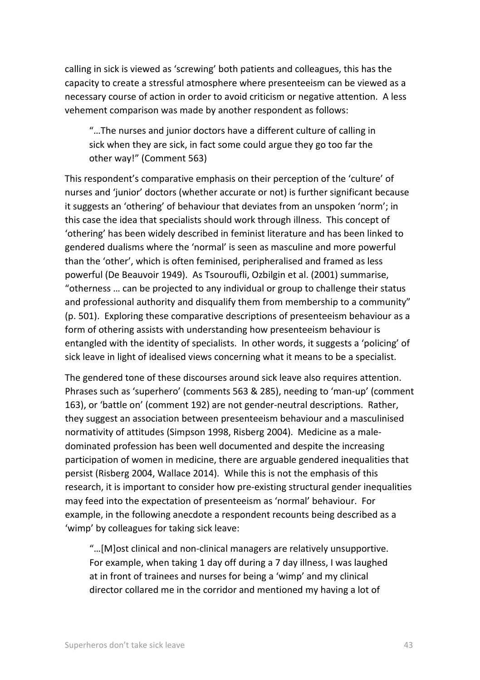calling in sick is viewed as 'screwing' both patients and colleagues, this has the capacity to create a stressful atmosphere where presenteeism can be viewed as a necessary course of action in order to avoid criticism or negative attention. A less vehement comparison was made by another respondent as follows:

"…The nurses and junior doctors have a different culture of calling in sick when they are sick, in fact some could argue they go too far the other way!" (Comment 563)

This respondent's comparative emphasis on their perception of the 'culture' of nurses and 'junior' doctors (whether accurate or not) is further significant because it suggests an 'othering' of behaviour that deviates from an unspoken 'norm'; in this case the idea that specialists should work through illness. This concept of 'othering' has been widely described in feminist literature and has been linked to gendered dualisms where the 'normal' is seen as masculine and more powerful than the 'other', which is often feminised, peripheralised and framed as less powerful (De Beauvoir 1949). As Tsouroufli, Ozbilgin et al. (2001) summarise, "otherness … can be projected to any individual or group to challenge their status and professional authority and disqualify them from membership to a community" (p. 501). Exploring these comparative descriptions of presenteeism behaviour as a form of othering assists with understanding how presenteeism behaviour is entangled with the identity of specialists. In other words, it suggests a 'policing' of sick leave in light of idealised views concerning what it means to be a specialist.

The gendered tone of these discourses around sick leave also requires attention. Phrases such as 'superhero' (comments 563 & 285), needing to 'man-up' (comment 163), or 'battle on' (comment 192) are not gender-neutral descriptions. Rather, they suggest an association between presenteeism behaviour and a masculinised normativity of attitudes (Simpson 1998, Risberg 2004). Medicine as a maledominated profession has been well documented and despite the increasing participation of women in medicine, there are arguable gendered inequalities that persist (Risberg 2004, Wallace 2014). While this is not the emphasis of this research, it is important to consider how pre-existing structural gender inequalities may feed into the expectation of presenteeism as 'normal' behaviour. For example, in the following anecdote a respondent recounts being described as a 'wimp' by colleagues for taking sick leave:

"…[M]ost clinical and non-clinical managers are relatively unsupportive. For example, when taking 1 day off during a 7 day illness, I was laughed at in front of trainees and nurses for being a 'wimp' and my clinical director collared me in the corridor and mentioned my having a lot of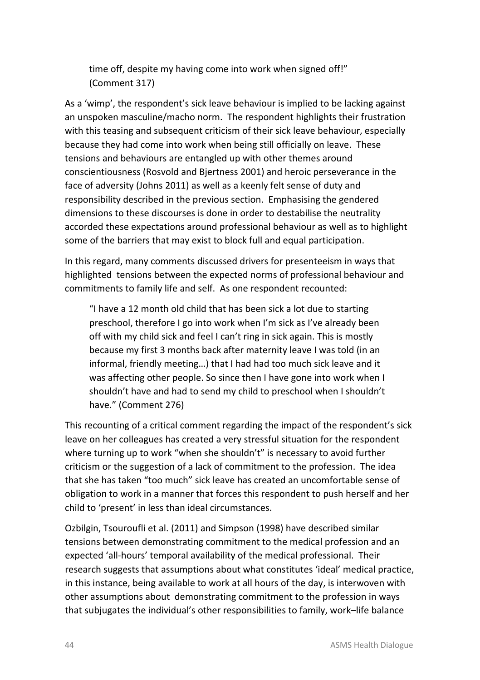time off, despite my having come into work when signed off!" (Comment 317)

As a 'wimp', the respondent's sick leave behaviour is implied to be lacking against an unspoken masculine/macho norm. The respondent highlights their frustration with this teasing and subsequent criticism of their sick leave behaviour, especially because they had come into work when being still officially on leave. These tensions and behaviours are entangled up with other themes around conscientiousness (Rosvold and Bjertness 2001) and heroic perseverance in the face of adversity (Johns 2011) as well as a keenly felt sense of duty and responsibility described in the previous section. Emphasising the gendered dimensions to these discourses is done in order to destabilise the neutrality accorded these expectations around professional behaviour as well as to highlight some of the barriers that may exist to block full and equal participation.

In this regard, many comments discussed drivers for presenteeism in ways that highlighted tensions between the expected norms of professional behaviour and commitments to family life and self. As one respondent recounted:

"I have a 12 month old child that has been sick a lot due to starting preschool, therefore I go into work when I'm sick as I've already been off with my child sick and feel I can't ring in sick again. This is mostly because my first 3 months back after maternity leave I was told (in an informal, friendly meeting…) that I had had too much sick leave and it was affecting other people. So since then I have gone into work when I shouldn't have and had to send my child to preschool when I shouldn't have." (Comment 276)

This recounting of a critical comment regarding the impact of the respondent's sick leave on her colleagues has created a very stressful situation for the respondent where turning up to work "when she shouldn't" is necessary to avoid further criticism or the suggestion of a lack of commitment to the profession. The idea that she has taken "too much" sick leave has created an uncomfortable sense of obligation to work in a manner that forces this respondent to push herself and her child to 'present' in less than ideal circumstances.

Ozbilgin, Tsouroufli et al. (2011) and Simpson (1998) have described similar tensions between demonstrating commitment to the medical profession and an expected 'all-hours' temporal availability of the medical professional. Their research suggests that assumptions about what constitutes 'ideal' medical practice, in this instance, being available to work at all hours of the day, is interwoven with other assumptions about demonstrating commitment to the profession in ways that subjugates the individual's other responsibilities to family, work–life balance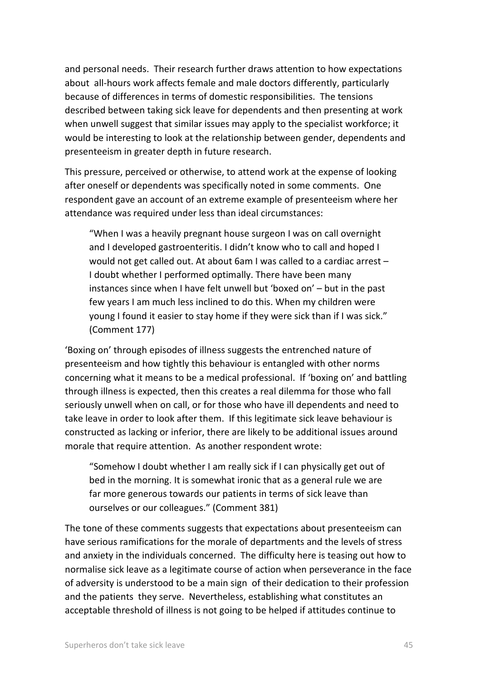and personal needs. Their research further draws attention to how expectations about all-hours work affects female and male doctors differently, particularly because of differences in terms of domestic responsibilities. The tensions described between taking sick leave for dependents and then presenting at work when unwell suggest that similar issues may apply to the specialist workforce; it would be interesting to look at the relationship between gender, dependents and presenteeism in greater depth in future research.

This pressure, perceived or otherwise, to attend work at the expense of looking after oneself or dependents was specifically noted in some comments. One respondent gave an account of an extreme example of presenteeism where her attendance was required under less than ideal circumstances:

"When I was a heavily pregnant house surgeon I was on call overnight and I developed gastroenteritis. I didn't know who to call and hoped I would not get called out. At about 6am I was called to a cardiac arrest – I doubt whether I performed optimally. There have been many instances since when I have felt unwell but 'boxed on' – but in the past few years I am much less inclined to do this. When my children were young I found it easier to stay home if they were sick than if I was sick." (Comment 177)

'Boxing on' through episodes of illness suggests the entrenched nature of presenteeism and how tightly this behaviour is entangled with other norms concerning what it means to be a medical professional. If 'boxing on' and battling through illness is expected, then this creates a real dilemma for those who fall seriously unwell when on call, or for those who have ill dependents and need to take leave in order to look after them. If this legitimate sick leave behaviour is constructed as lacking or inferior, there are likely to be additional issues around morale that require attention. As another respondent wrote:

"Somehow I doubt whether I am really sick if I can physically get out of bed in the morning. It is somewhat ironic that as a general rule we are far more generous towards our patients in terms of sick leave than ourselves or our colleagues." (Comment 381)

The tone of these comments suggests that expectations about presenteeism can have serious ramifications for the morale of departments and the levels of stress and anxiety in the individuals concerned. The difficulty here is teasing out how to normalise sick leave as a legitimate course of action when perseverance in the face of adversity is understood to be a main sign of their dedication to their profession and the patients they serve. Nevertheless, establishing what constitutes an acceptable threshold of illness is not going to be helped if attitudes continue to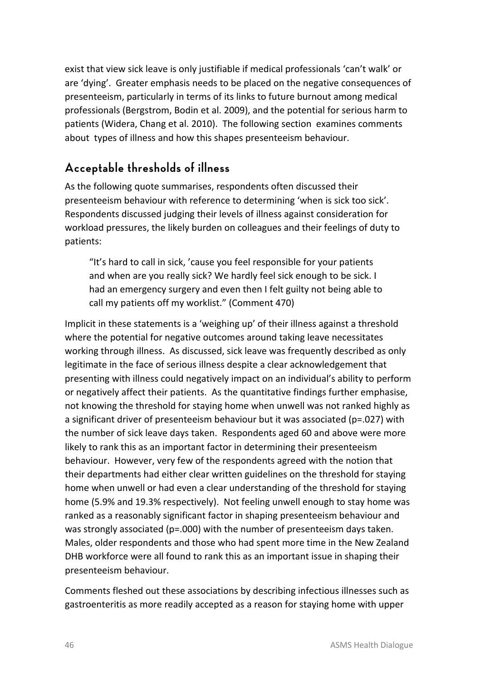exist that view sick leave is only justifiable if medical professionals 'can't walk' or are 'dying'. Greater emphasis needs to be placed on the negative consequences of presenteeism, particularly in terms of its links to future burnout among medical professionals (Bergstrom, Bodin et al. 2009), and the potential for serious harm to patients (Widera, Chang et al. 2010). The following section examines comments about types of illness and how this shapes presenteeism behaviour.

## <span id="page-51-0"></span>**Acceptable thresholds of illness**

As the following quote summarises, respondents often discussed their presenteeism behaviour with reference to determining 'when is sick too sick'. Respondents discussed judging their levels of illness against consideration for workload pressures, the likely burden on colleagues and their feelings of duty to patients:

"It's hard to call in sick, 'cause you feel responsible for your patients and when are you really sick? We hardly feel sick enough to be sick. I had an emergency surgery and even then I felt guilty not being able to call my patients off my worklist." (Comment 470)

Implicit in these statements is a 'weighing up' of their illness against a threshold where the potential for negative outcomes around taking leave necessitates working through illness. As discussed, sick leave was frequently described as only legitimate in the face of serious illness despite a clear acknowledgement that presenting with illness could negatively impact on an individual's ability to perform or negatively affect their patients. As the quantitative findings further emphasise, not knowing the threshold for staying home when unwell was not ranked highly as a significant driver of presenteeism behaviour but it was associated (p=.027) with the number of sick leave days taken. Respondents aged 60 and above were more likely to rank this as an important factor in determining their presenteeism behaviour. However, very few of the respondents agreed with the notion that their departments had either clear written guidelines on the threshold for staying home when unwell or had even a clear understanding of the threshold for staying home (5.9% and 19.3% respectively). Not feeling unwell enough to stay home was ranked as a reasonably significant factor in shaping presenteeism behaviour and was strongly associated (p=.000) with the number of presenteeism days taken. Males, older respondents and those who had spent more time in the New Zealand DHB workforce were all found to rank this as an important issue in shaping their presenteeism behaviour.

Comments fleshed out these associations by describing infectious illnesses such as gastroenteritis as more readily accepted as a reason for staying home with upper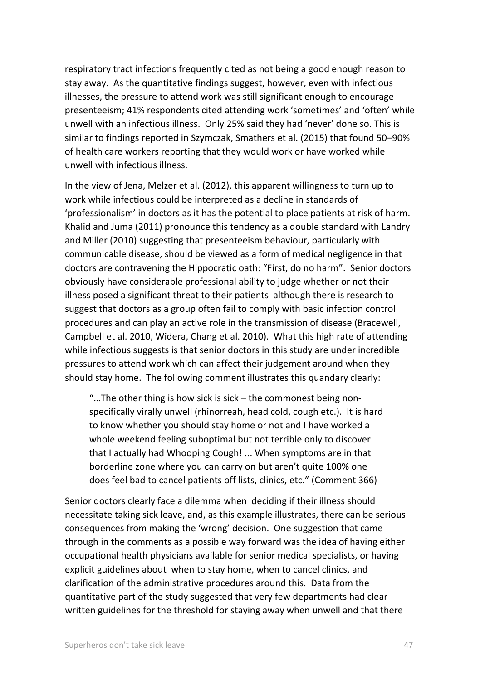respiratory tract infections frequently cited as not being a good enough reason to stay away. As the quantitative findings suggest, however, even with infectious illnesses, the pressure to attend work was still significant enough to encourage presenteeism; 41% respondents cited attending work 'sometimes' and 'often' while unwell with an infectious illness. Only 25% said they had 'never' done so. This is similar to findings reported in Szymczak, Smathers et al. (2015) that found 50–90% of health care workers reporting that they would work or have worked while unwell with infectious illness.

In the view of Jena, Melzer et al. (2012), this apparent willingness to turn up to work while infectious could be interpreted as a decline in standards of 'professionalism' in doctors as it has the potential to place patients at risk of harm. Khalid and Juma (2011) pronounce this tendency as a double standard with Landry and Miller (2010) suggesting that presenteeism behaviour, particularly with communicable disease, should be viewed as a form of medical negligence in that doctors are contravening the Hippocratic oath: "First, do no harm". Senior doctors obviously have considerable professional ability to judge whether or not their illness posed a significant threat to their patients although there is research to suggest that doctors as a group often fail to comply with basic infection control procedures and can play an active role in the transmission of disease (Bracewell, Campbell et al. 2010, Widera, Chang et al. 2010). What this high rate of attending while infectious suggests is that senior doctors in this study are under incredible pressures to attend work which can affect their judgement around when they should stay home. The following comment illustrates this quandary clearly:

"…The other thing is how sick is sick – the commonest being nonspecifically virally unwell (rhinorreah, head cold, cough etc.). It is hard to know whether you should stay home or not and I have worked a whole weekend feeling suboptimal but not terrible only to discover that I actually had Whooping Cough! ... When symptoms are in that borderline zone where you can carry on but aren't quite 100% one does feel bad to cancel patients off lists, clinics, etc." (Comment 366)

Senior doctors clearly face a dilemma when deciding if their illness should necessitate taking sick leave, and, as this example illustrates, there can be serious consequences from making the 'wrong' decision. One suggestion that came through in the comments as a possible way forward was the idea of having either occupational health physicians available for senior medical specialists, or having explicit guidelines about when to stay home, when to cancel clinics, and clarification of the administrative procedures around this. Data from the quantitative part of the study suggested that very few departments had clear written guidelines for the threshold for staying away when unwell and that there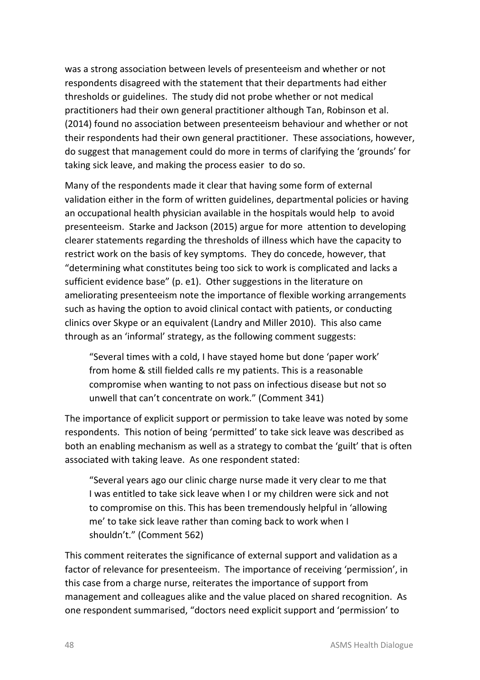was a strong association between levels of presenteeism and whether or not respondents disagreed with the statement that their departments had either thresholds or guidelines. The study did not probe whether or not medical practitioners had their own general practitioner although Tan, Robinson et al. (2014) found no association between presenteeism behaviour and whether or not their respondents had their own general practitioner. These associations, however, do suggest that management could do more in terms of clarifying the 'grounds' for taking sick leave, and making the process easier to do so.

Many of the respondents made it clear that having some form of external validation either in the form of written guidelines, departmental policies or having an occupational health physician available in the hospitals would help to avoid presenteeism. Starke and Jackson (2015) argue for more attention to developing clearer statements regarding the thresholds of illness which have the capacity to restrict work on the basis of key symptoms. They do concede, however, that "determining what constitutes being too sick to work is complicated and lacks a sufficient evidence base" (p. e1). Other suggestions in the literature on ameliorating presenteeism note the importance of flexible working arrangements such as having the option to avoid clinical contact with patients, or conducting clinics over Skype or an equivalent (Landry and Miller 2010). This also came through as an 'informal' strategy, as the following comment suggests:

"Several times with a cold, I have stayed home but done 'paper work' from home & still fielded calls re my patients. This is a reasonable compromise when wanting to not pass on infectious disease but not so unwell that can't concentrate on work." (Comment 341)

The importance of explicit support or permission to take leave was noted by some respondents. This notion of being 'permitted' to take sick leave was described as both an enabling mechanism as well as a strategy to combat the 'guilt' that is often associated with taking leave. As one respondent stated:

"Several years ago our clinic charge nurse made it very clear to me that I was entitled to take sick leave when I or my children were sick and not to compromise on this. This has been tremendously helpful in 'allowing me' to take sick leave rather than coming back to work when I shouldn't." (Comment 562)

This comment reiterates the significance of external support and validation as a factor of relevance for presenteeism. The importance of receiving 'permission', in this case from a charge nurse, reiterates the importance of support from management and colleagues alike and the value placed on shared recognition. As one respondent summarised, "doctors need explicit support and 'permission' to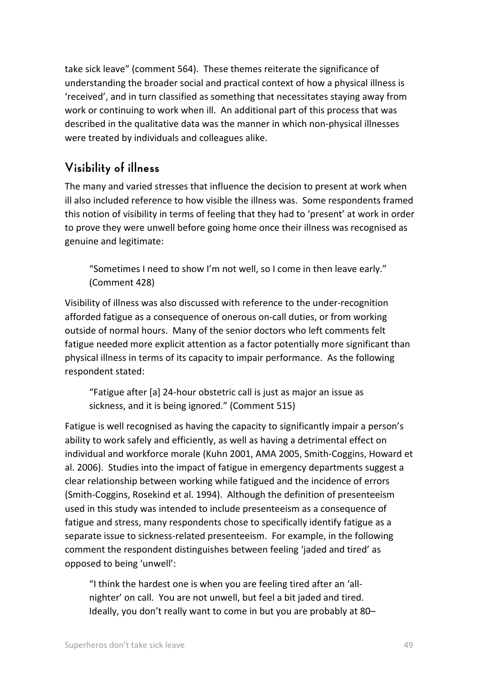take sick leave" (comment 564). These themes reiterate the significance of understanding the broader social and practical context of how a physical illness is 'received', and in turn classified as something that necessitates staying away from work or continuing to work when ill. An additional part of this process that was described in the qualitative data was the manner in which non-physical illnesses were treated by individuals and colleagues alike.

### **Visibility of illness**

The many and varied stresses that influence the decision to present at work when ill also included reference to how visible the illness was. Some respondents framed this notion of visibility in terms of feeling that they had to 'present' at work in order to prove they were unwell before going home once their illness was recognised as genuine and legitimate:

"Sometimes I need to show I'm not well, so I come in then leave early." (Comment 428)

Visibility of illness was also discussed with reference to the under-recognition afforded fatigue as a consequence of onerous on-call duties, or from working outside of normal hours. Many of the senior doctors who left comments felt fatigue needed more explicit attention as a factor potentially more significant than physical illness in terms of its capacity to impair performance. As the following respondent stated:

"Fatigue after [a] 24-hour obstetric call is just as major an issue as sickness, and it is being ignored." (Comment 515)

Fatigue is well recognised as having the capacity to significantly impair a person's ability to work safely and efficiently, as well as having a detrimental effect on individual and workforce morale (Kuhn 2001, AMA 2005, Smith-Coggins, Howard et al. 2006). Studies into the impact of fatigue in emergency departments suggest a clear relationship between working while fatigued and the incidence of errors (Smith-Coggins, Rosekind et al. 1994). Although the definition of presenteeism used in this study was intended to include presenteeism as a consequence of fatigue and stress, many respondents chose to specifically identify fatigue as a separate issue to sickness-related presenteeism. For example, in the following comment the respondent distinguishes between feeling 'jaded and tired' as opposed to being 'unwell':

"I think the hardest one is when you are feeling tired after an 'allnighter' on call. You are not unwell, but feel a bit jaded and tired. Ideally, you don't really want to come in but you are probably at 80–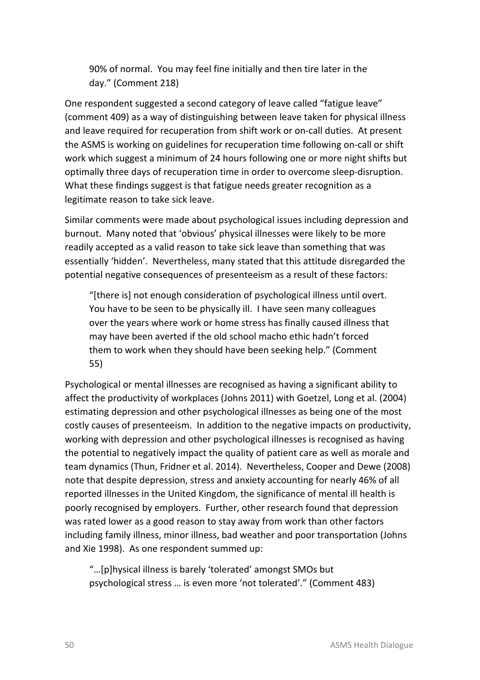90% of normal. You may feel fine initially and then tire later in the day." (Comment 218)

One respondent suggested a second category of leave called "fatigue leave" (comment 409) as a way of distinguishing between leave taken for physical illness and leave required for recuperation from shift work or on-call duties. At present the ASMS is working on guidelines for recuperation time following on-call or shift work which suggest a minimum of 24 hours following one or more night shifts but optimally three days of recuperation time in order to overcome sleep-disruption. What these findings suggest is that fatigue needs greater recognition as a legitimate reason to take sick leave.

Similar comments were made about psychological issues including depression and burnout. Many noted that 'obvious' physical illnesses were likely to be more readily accepted as a valid reason to take sick leave than something that was essentially 'hidden'. Nevertheless, many stated that this attitude disregarded the potential negative consequences of presenteeism as a result of these factors:

"[there is] not enough consideration of psychological illness until overt. You have to be seen to be physically ill. I have seen many colleagues over the years where work or home stress has finally caused illness that may have been averted if the old school macho ethic hadn't forced them to work when they should have been seeking help." (Comment 55)

Psychological or mental illnesses are recognised as having a significant ability to affect the productivity of workplaces (Johns 2011) with Goetzel, Long et al. (2004) estimating depression and other psychological illnesses as being one of the most costly causes of presenteeism. In addition to the negative impacts on productivity, working with depression and other psychological illnesses is recognised as having the potential to negatively impact the quality of patient care as well as morale and team dynamics (Thun, Fridner et al. 2014). Nevertheless, Cooper and Dewe (2008) note that despite depression, stress and anxiety accounting for nearly 46% of all reported illnesses in the United Kingdom, the significance of mental ill health is poorly recognised by employers. Further, other research found that depression was rated lower as a good reason to stay away from work than other factors including family illness, minor illness, bad weather and poor transportation (Johns and Xie 1998). As one respondent summed up:

"…[p]hysical illness is barely 'tolerated' amongst SMOs but psychological stress … is even more 'not tolerated'." (Comment 483)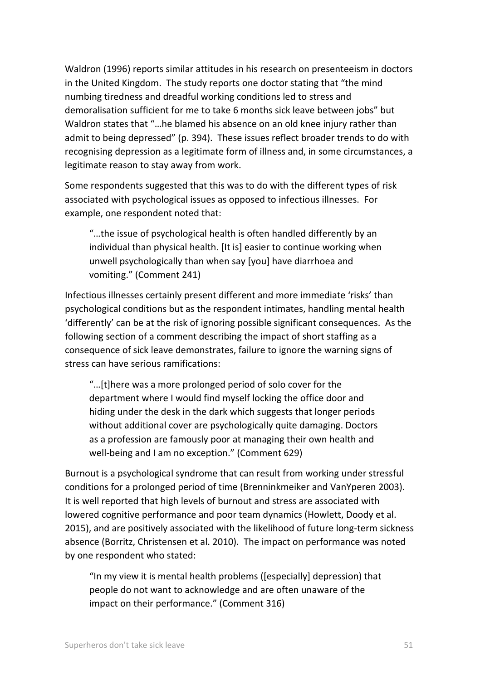Waldron (1996) reports similar attitudes in his research on presenteeism in doctors in the United Kingdom. The study reports one doctor stating that "the mind numbing tiredness and dreadful working conditions led to stress and demoralisation sufficient for me to take 6 months sick leave between jobs" but Waldron states that "…he blamed his absence on an old knee injury rather than admit to being depressed" (p. 394). These issues reflect broader trends to do with recognising depression as a legitimate form of illness and, in some circumstances, a legitimate reason to stay away from work.

Some respondents suggested that this was to do with the different types of risk associated with psychological issues as opposed to infectious illnesses. For example, one respondent noted that:

"…the issue of psychological health is often handled differently by an individual than physical health. [It is] easier to continue working when unwell psychologically than when say [you] have diarrhoea and vomiting." (Comment 241)

Infectious illnesses certainly present different and more immediate 'risks' than psychological conditions but as the respondent intimates, handling mental health 'differently' can be at the risk of ignoring possible significant consequences. As the following section of a comment describing the impact of short staffing as a consequence of sick leave demonstrates, failure to ignore the warning signs of stress can have serious ramifications:

"…[t]here was a more prolonged period of solo cover for the department where I would find myself locking the office door and hiding under the desk in the dark which suggests that longer periods without additional cover are psychologically quite damaging. Doctors as a profession are famously poor at managing their own health and well-being and I am no exception." (Comment 629)

Burnout is a psychological syndrome that can result from working under stressful conditions for a prolonged period of time (Brenninkmeiker and VanYperen 2003). It is well reported that high levels of burnout and stress are associated with lowered cognitive performance and poor team dynamics (Howlett, Doody et al. 2015), and are positively associated with the likelihood of future long-term sickness absence (Borritz, Christensen et al. 2010). The impact on performance was noted by one respondent who stated:

"In my view it is mental health problems ([especially] depression) that people do not want to acknowledge and are often unaware of the impact on their performance." (Comment 316)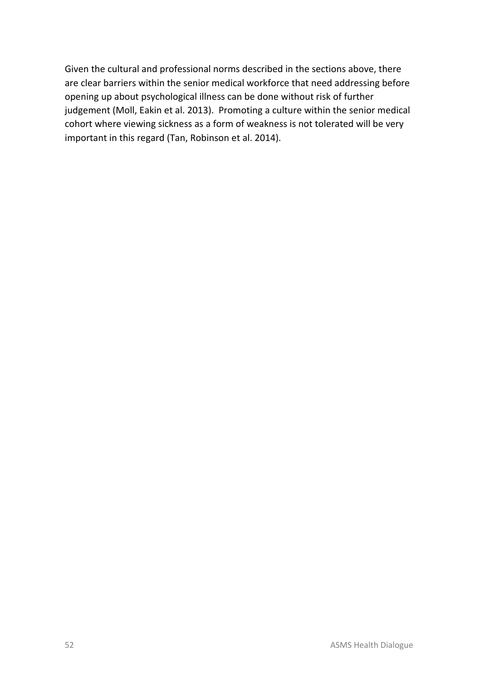Given the cultural and professional norms described in the sections above, there are clear barriers within the senior medical workforce that need addressing before opening up about psychological illness can be done without risk of further judgement (Moll, Eakin et al. 2013). Promoting a culture within the senior medical cohort where viewing sickness as a form of weakness is not tolerated will be very important in this regard (Tan, Robinson et al. 2014).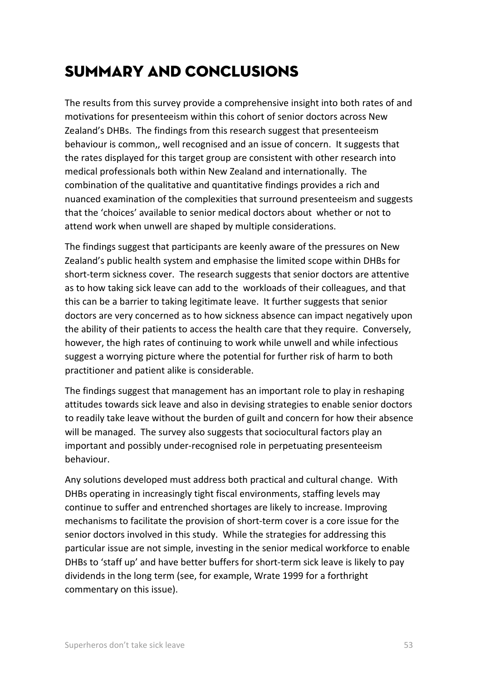# Summary and conclusions

The results from this survey provide a comprehensive insight into both rates of and motivations for presenteeism within this cohort of senior doctors across New Zealand's DHBs. The findings from this research suggest that presenteeism behaviour is common,, well recognised and an issue of concern. It suggests that the rates displayed for this target group are consistent with other research into medical professionals both within New Zealand and internationally. The combination of the qualitative and quantitative findings provides a rich and nuanced examination of the complexities that surround presenteeism and suggests that the 'choices' available to senior medical doctors about whether or not to attend work when unwell are shaped by multiple considerations.

The findings suggest that participants are keenly aware of the pressures on New Zealand's public health system and emphasise the limited scope within DHBs for short-term sickness cover. The research suggests that senior doctors are attentive as to how taking sick leave can add to the workloads of their colleagues, and that this can be a barrier to taking legitimate leave. It further suggests that senior doctors are very concerned as to how sickness absence can impact negatively upon the ability of their patients to access the health care that they require. Conversely, however, the high rates of continuing to work while unwell and while infectious suggest a worrying picture where the potential for further risk of harm to both practitioner and patient alike is considerable.

The findings suggest that management has an important role to play in reshaping attitudes towards sick leave and also in devising strategies to enable senior doctors to readily take leave without the burden of guilt and concern for how their absence will be managed. The survey also suggests that sociocultural factors play an important and possibly under-recognised role in perpetuating presenteeism behaviour.

Any solutions developed must address both practical and cultural change. With DHBs operating in increasingly tight fiscal environments, staffing levels may continue to suffer and entrenched shortages are likely to increase. Improving mechanisms to facilitate the provision of short-term cover is a core issue for the senior doctors involved in this study. While the strategies for addressing this particular issue are not simple, investing in the senior medical workforce to enable DHBs to 'staff up' and have better buffers for short-term sick leave is likely to pay dividends in the long term (see, for example, Wrate 1999 for a forthright commentary on this issue).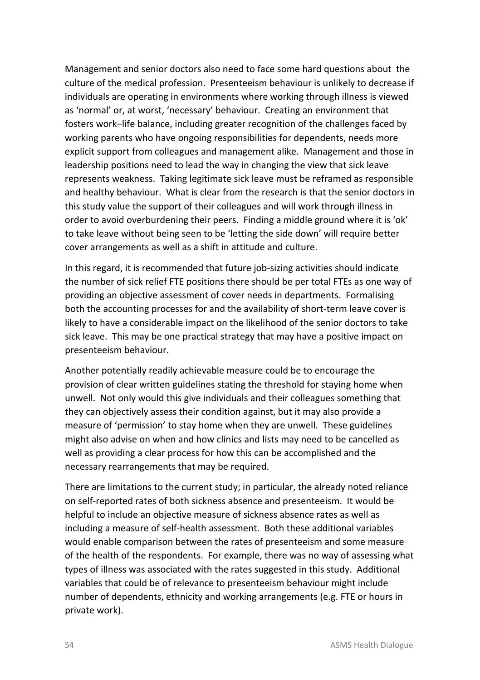Management and senior doctors also need to face some hard questions about the culture of the medical profession. Presenteeism behaviour is unlikely to decrease if individuals are operating in environments where working through illness is viewed as 'normal' or, at worst, 'necessary' behaviour. Creating an environment that fosters work–life balance, including greater recognition of the challenges faced by working parents who have ongoing responsibilities for dependents, needs more explicit support from colleagues and management alike. Management and those in leadership positions need to lead the way in changing the view that sick leave represents weakness. Taking legitimate sick leave must be reframed as responsible and healthy behaviour. What is clear from the research is that the senior doctors in this study value the support of their colleagues and will work through illness in order to avoid overburdening their peers. Finding a middle ground where it is 'ok' to take leave without being seen to be 'letting the side down' will require better cover arrangements as well as a shift in attitude and culture.

In this regard, it is recommended that future job-sizing activities should indicate the number of sick relief FTE positions there should be per total FTEs as one way of providing an objective assessment of cover needs in departments. Formalising both the accounting processes for and the availability of short-term leave cover is likely to have a considerable impact on the likelihood of the senior doctors to take sick leave. This may be one practical strategy that may have a positive impact on presenteeism behaviour.

Another potentially readily achievable measure could be to encourage the provision of clear written guidelines stating the threshold for staying home when unwell. Not only would this give individuals and their colleagues something that they can objectively assess their condition against, but it may also provide a measure of 'permission' to stay home when they are unwell. These guidelines might also advise on when and how clinics and lists may need to be cancelled as well as providing a clear process for how this can be accomplished and the necessary rearrangements that may be required.

There are limitations to the current study; in particular, the already noted reliance on self-reported rates of both sickness absence and presenteeism. It would be helpful to include an objective measure of sickness absence rates as well as including a measure of self-health assessment. Both these additional variables would enable comparison between the rates of presenteeism and some measure of the health of the respondents. For example, there was no way of assessing what types of illness was associated with the rates suggested in this study. Additional variables that could be of relevance to presenteeism behaviour might include number of dependents, ethnicity and working arrangements (e.g. FTE or hours in private work).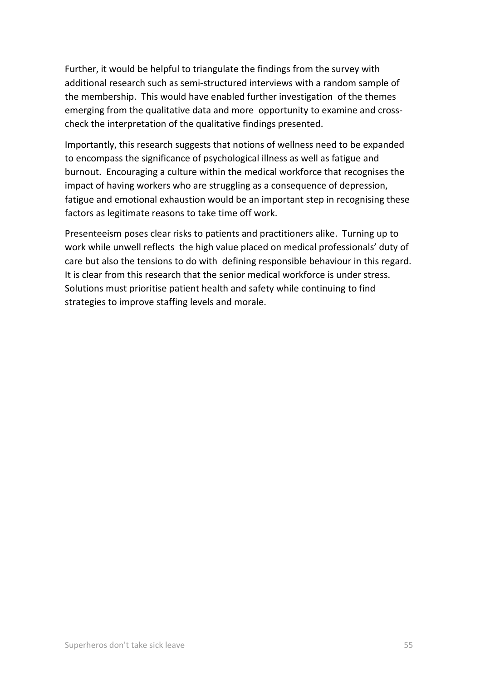Further, it would be helpful to triangulate the findings from the survey with additional research such as semi-structured interviews with a random sample of the membership. This would have enabled further investigation of the themes emerging from the qualitative data and more opportunity to examine and crosscheck the interpretation of the qualitative findings presented.

Importantly, this research suggests that notions of wellness need to be expanded to encompass the significance of psychological illness as well as fatigue and burnout. Encouraging a culture within the medical workforce that recognises the impact of having workers who are struggling as a consequence of depression, fatigue and emotional exhaustion would be an important step in recognising these factors as legitimate reasons to take time off work.

Presenteeism poses clear risks to patients and practitioners alike. Turning up to work while unwell reflects the high value placed on medical professionals' duty of care but also the tensions to do with defining responsible behaviour in this regard. It is clear from this research that the senior medical workforce is under stress. Solutions must prioritise patient health and safety while continuing to find strategies to improve staffing levels and morale.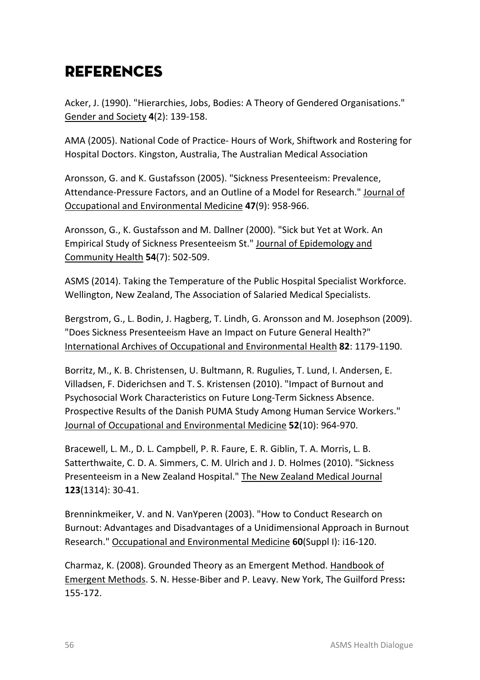# *REFERENCES*

Acker, J. (1990). "Hierarchies, Jobs, Bodies: A Theory of Gendered Organisations." Gender and Society **4**(2): 139-158.

AMA (2005). National Code of Practice- Hours of Work, Shiftwork and Rostering for Hospital Doctors. Kingston, Australia, The Australian Medical Association

Aronsson, G. and K. Gustafsson (2005). "Sickness Presenteeism: Prevalence, Attendance-Pressure Factors, and an Outline of a Model for Research." Journal of Occupational and Environmental Medicine **47**(9): 958-966.

Aronsson, G., K. Gustafsson and M. Dallner (2000). "Sick but Yet at Work. An Empirical Study of Sickness Presenteeism St." Journal of Epidemology and Community Health **54**(7): 502-509.

ASMS (2014). Taking the Temperature of the Public Hospital Specialist Workforce. Wellington, New Zealand, The Association of Salaried Medical Specialists.

Bergstrom, G., L. Bodin, J. Hagberg, T. Lindh, G. Aronsson and M. Josephson (2009). "Does Sickness Presenteeism Have an Impact on Future General Health?" International Archives of Occupational and Environmental Health **82**: 1179-1190.

Borritz, M., K. B. Christensen, U. Bultmann, R. Rugulies, T. Lund, I. Andersen, E. Villadsen, F. Diderichsen and T. S. Kristensen (2010). "Impact of Burnout and Psychosocial Work Characteristics on Future Long-Term Sickness Absence. Prospective Results of the Danish PUMA Study Among Human Service Workers." Journal of Occupational and Environmental Medicine **52**(10): 964-970.

Bracewell, L. M., D. L. Campbell, P. R. Faure, E. R. Giblin, T. A. Morris, L. B. Satterthwaite, C. D. A. Simmers, C. M. Ulrich and J. D. Holmes (2010). "Sickness Presenteeism in a New Zealand Hospital." The New Zealand Medical Journal **123**(1314): 30-41.

Brenninkmeiker, V. and N. VanYperen (2003). "How to Conduct Research on Burnout: Advantages and Disadvantages of a Unidimensional Approach in Burnout Research." Occupational and Environmental Medicine **60**(Suppl I): i16-120.

Charmaz, K. (2008). Grounded Theory as an Emergent Method. Handbook of Emergent Methods. S. N. Hesse-Biber and P. Leavy. New York, The Guilford Press**:**  155-172.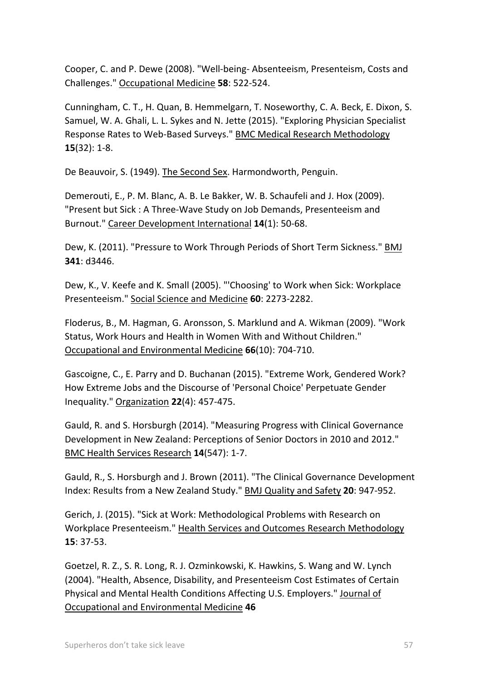Cooper, C. and P. Dewe (2008). "Well-being- Absenteeism, Presenteism, Costs and Challenges." Occupational Medicine **58**: 522-524.

Cunningham, C. T., H. Quan, B. Hemmelgarn, T. Noseworthy, C. A. Beck, E. Dixon, S. Samuel, W. A. Ghali, L. L. Sykes and N. Jette (2015). "Exploring Physician Specialist Response Rates to Web-Based Surveys." BMC Medical Research Methodology **15**(32): 1-8.

De Beauvoir, S. (1949). The Second Sex. Harmondworth, Penguin.

Demerouti, E., P. M. Blanc, A. B. Le Bakker, W. B. Schaufeli and J. Hox (2009). "Present but Sick : A Three-Wave Study on Job Demands, Presenteeism and Burnout." Career Development International **14**(1): 50-68.

Dew, K. (2011). "Pressure to Work Through Periods of Short Term Sickness." BMJ **341**: d3446.

Dew, K., V. Keefe and K. Small (2005). "'Choosing' to Work when Sick: Workplace Presenteeism." Social Science and Medicine **60**: 2273-2282.

Floderus, B., M. Hagman, G. Aronsson, S. Marklund and A. Wikman (2009). "Work Status, Work Hours and Health in Women With and Without Children." Occupational and Environmental Medicine **66**(10): 704-710.

Gascoigne, C., E. Parry and D. Buchanan (2015). "Extreme Work, Gendered Work? How Extreme Jobs and the Discourse of 'Personal Choice' Perpetuate Gender Inequality." Organization **22**(4): 457-475.

Gauld, R. and S. Horsburgh (2014). "Measuring Progress with Clinical Governance Development in New Zealand: Perceptions of Senior Doctors in 2010 and 2012." BMC Health Services Research **14**(547): 1-7.

Gauld, R., S. Horsburgh and J. Brown (2011). "The Clinical Governance Development Index: Results from a New Zealand Study." BMJ Quality and Safety **20**: 947-952.

Gerich, J. (2015). "Sick at Work: Methodological Problems with Research on Workplace Presenteeism." Health Services and Outcomes Research Methodology **15**: 37-53.

Goetzel, R. Z., S. R. Long, R. J. Ozminkowski, K. Hawkins, S. Wang and W. Lynch (2004). "Health, Absence, Disability, and Presenteeism Cost Estimates of Certain Physical and Mental Health Conditions Affecting U.S. Employers." Journal of Occupational and Environmental Medicine **46**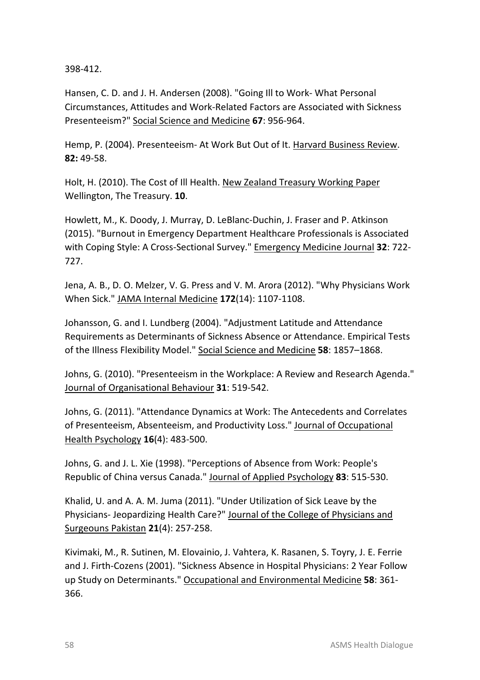398-412.

Hansen, C. D. and J. H. Andersen (2008). "Going Ill to Work- What Personal Circumstances, Attitudes and Work-Related Factors are Associated with Sickness Presenteeism?" Social Science and Medicine **67**: 956-964.

Hemp, P. (2004). Presenteeism- At Work But Out of It. Harvard Business Review. **82:** 49-58.

Holt, H. (2010). The Cost of Ill Health. New Zealand Treasury Working Paper Wellington, The Treasury. **10**.

Howlett, M., K. Doody, J. Murray, D. LeBlanc-Duchin, J. Fraser and P. Atkinson (2015). "Burnout in Emergency Department Healthcare Professionals is Associated with Coping Style: A Cross-Sectional Survey." Emergency Medicine Journal **32**: 722- 727.

Jena, A. B., D. O. Melzer, V. G. Press and V. M. Arora (2012). "Why Physicians Work When Sick." JAMA Internal Medicine **172**(14): 1107-1108.

Johansson, G. and I. Lundberg (2004). "Adjustment Latitude and Attendance Requirements as Determinants of Sickness Absence or Attendance. Empirical Tests of the Illness Flexibility Model." Social Science and Medicine **58**: 1857–1868.

Johns, G. (2010). "Presenteeism in the Workplace: A Review and Research Agenda." Journal of Organisational Behaviour **31**: 519-542.

Johns, G. (2011). "Attendance Dynamics at Work: The Antecedents and Correlates of Presenteeism, Absenteeism, and Productivity Loss." Journal of Occupational Health Psychology **16**(4): 483-500.

Johns, G. and J. L. Xie (1998). "Perceptions of Absence from Work: People's Republic of China versus Canada." Journal of Applied Psychology **83**: 515-530.

Khalid, U. and A. A. M. Juma (2011). "Under Utilization of Sick Leave by the Physicians- Jeopardizing Health Care?" Journal of the College of Physicians and Surgeouns Pakistan **21**(4): 257-258.

Kivimaki, M., R. Sutinen, M. Elovainio, J. Vahtera, K. Rasanen, S. Toyry, J. E. Ferrie and J. Firth-Cozens (2001). "Sickness Absence in Hospital Physicians: 2 Year Follow up Study on Determinants." Occupational and Environmental Medicine 58: 361-366.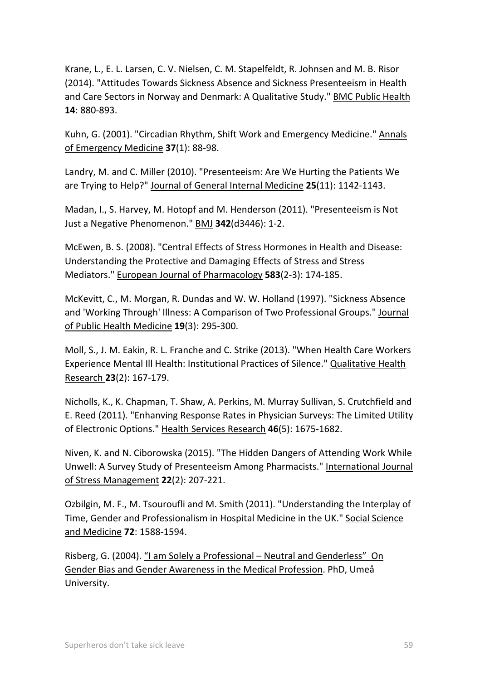Krane, L., E. L. Larsen, C. V. Nielsen, C. M. Stapelfeldt, R. Johnsen and M. B. Risor (2014). "Attitudes Towards Sickness Absence and Sickness Presenteeism in Health and Care Sectors in Norway and Denmark: A Qualitative Study." BMC Public Health **14**: 880-893.

Kuhn, G. (2001). "Circadian Rhythm, Shift Work and Emergency Medicine." Annals of Emergency Medicine **37**(1): 88-98.

Landry, M. and C. Miller (2010). "Presenteeism: Are We Hurting the Patients We are Trying to Help?" Journal of General Internal Medicine **25**(11): 1142-1143.

Madan, I., S. Harvey, M. Hotopf and M. Henderson (2011). "Presenteeism is Not Just a Negative Phenomenon." BMJ **342**(d3446): 1-2.

McEwen, B. S. (2008). "Central Effects of Stress Hormones in Health and Disease: Understanding the Protective and Damaging Effects of Stress and Stress Mediators." European Journal of Pharmacology **583**(2-3): 174-185.

McKevitt, C., M. Morgan, R. Dundas and W. W. Holland (1997). "Sickness Absence and 'Working Through' Illness: A Comparison of Two Professional Groups." Journal of Public Health Medicine **19**(3): 295-300.

Moll, S., J. M. Eakin, R. L. Franche and C. Strike (2013). "When Health Care Workers Experience Mental Ill Health: Institutional Practices of Silence." Qualitative Health Research **23**(2): 167-179.

Nicholls, K., K. Chapman, T. Shaw, A. Perkins, M. Murray Sullivan, S. Crutchfield and E. Reed (2011). "Enhanving Response Rates in Physician Surveys: The Limited Utility of Electronic Options." Health Services Research **46**(5): 1675-1682.

Niven, K. and N. Ciborowska (2015). "The Hidden Dangers of Attending Work While Unwell: A Survey Study of Presenteeism Among Pharmacists." International Journal of Stress Management **22**(2): 207-221.

Ozbilgin, M. F., M. Tsouroufli and M. Smith (2011). "Understanding the Interplay of Time, Gender and Professionalism in Hospital Medicine in the UK." Social Science and Medicine **72**: 1588-1594.

Risberg, G. (2004). "I am Solely a Professional – Neutral and Genderless" On Gender Bias and Gender Awareness in the Medical Profession. PhD, Umeå University.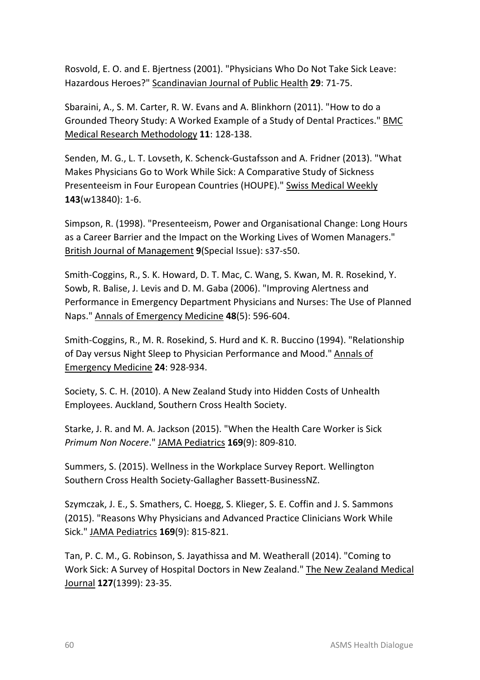Rosvold, E. O. and E. Bjertness (2001). "Physicians Who Do Not Take Sick Leave: Hazardous Heroes?" Scandinavian Journal of Public Health **29**: 71-75.

Sbaraini, A., S. M. Carter, R. W. Evans and A. Blinkhorn (2011). "How to do a Grounded Theory Study: A Worked Example of a Study of Dental Practices." BMC Medical Research Methodology **11**: 128-138.

Senden, M. G., L. T. Lovseth, K. Schenck-Gustafsson and A. Fridner (2013). "What Makes Physicians Go to Work While Sick: A Comparative Study of Sickness Presenteeism in Four European Countries (HOUPE)." Swiss Medical Weekly **143**(w13840): 1-6.

Simpson, R. (1998). "Presenteeism, Power and Organisational Change: Long Hours as a Career Barrier and the Impact on the Working Lives of Women Managers." British Journal of Management **9**(Special Issue): s37-s50.

Smith-Coggins, R., S. K. Howard, D. T. Mac, C. Wang, S. Kwan, M. R. Rosekind, Y. Sowb, R. Balise, J. Levis and D. M. Gaba (2006). "Improving Alertness and Performance in Emergency Department Physicians and Nurses: The Use of Planned Naps." Annals of Emergency Medicine **48**(5): 596-604.

Smith-Coggins, R., M. R. Rosekind, S. Hurd and K. R. Buccino (1994). "Relationship of Day versus Night Sleep to Physician Performance and Mood." Annals of Emergency Medicine **24**: 928-934.

Society, S. C. H. (2010). A New Zealand Study into Hidden Costs of Unhealth Employees. Auckland, Southern Cross Health Society.

Starke, J. R. and M. A. Jackson (2015). "When the Health Care Worker is Sick *Primum Non Nocere*." JAMA Pediatrics **169**(9): 809-810.

Summers, S. (2015). Wellness in the Workplace Survey Report. Wellington Southern Cross Health Society-Gallagher Bassett-BusinessNZ.

Szymczak, J. E., S. Smathers, C. Hoegg, S. Klieger, S. E. Coffin and J. S. Sammons (2015). "Reasons Why Physicians and Advanced Practice Clinicians Work While Sick." JAMA Pediatrics **169**(9): 815-821.

Tan, P. C. M., G. Robinson, S. Jayathissa and M. Weatherall (2014). "Coming to Work Sick: A Survey of Hospital Doctors in New Zealand." The New Zealand Medical Journal **127**(1399): 23-35.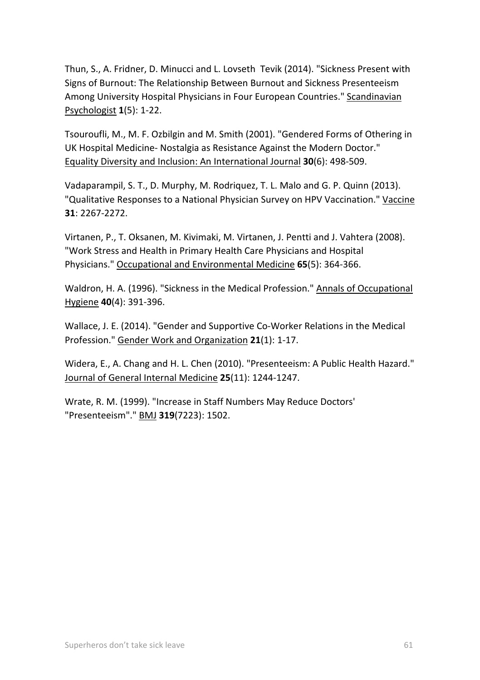Thun, S., A. Fridner, D. Minucci and L. Lovseth Tevik (2014). "Sickness Present with Signs of Burnout: The Relationship Between Burnout and Sickness Presenteeism Among University Hospital Physicians in Four European Countries." Scandinavian Psychologist **1**(5): 1-22.

Tsouroufli, M., M. F. Ozbilgin and M. Smith (2001). "Gendered Forms of Othering in UK Hospital Medicine- Nostalgia as Resistance Against the Modern Doctor." Equality Diversity and Inclusion: An International Journal **30**(6): 498-509.

Vadaparampil, S. T., D. Murphy, M. Rodriquez, T. L. Malo and G. P. Quinn (2013). "Qualitative Responses to a National Physician Survey on HPV Vaccination." Vaccine **31**: 2267-2272.

Virtanen, P., T. Oksanen, M. Kivimaki, M. Virtanen, J. Pentti and J. Vahtera (2008). "Work Stress and Health in Primary Health Care Physicians and Hospital Physicians." Occupational and Environmental Medicine **65**(5): 364-366.

Waldron, H. A. (1996). "Sickness in the Medical Profession." Annals of Occupational Hygiene **40**(4): 391-396.

Wallace, J. E. (2014). "Gender and Supportive Co-Worker Relations in the Medical Profession." Gender Work and Organization **21**(1): 1-17.

Widera, E., A. Chang and H. L. Chen (2010). "Presenteeism: A Public Health Hazard." Journal of General Internal Medicine **25**(11): 1244-1247.

Wrate, R. M. (1999). "Increase in Staff Numbers May Reduce Doctors' "Presenteeism"." BMJ **319**(7223): 1502.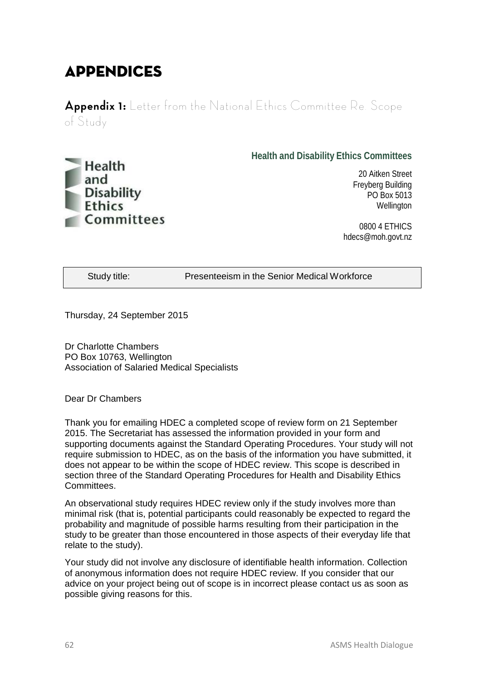# Appendices

**Appendix 1:** Letter from the National Ethics Committee Re. Scope of Study



**Health and Disability Ethics Committees**

20 Aitken Street Freyberg Building PO Box 5013 **Wellington** 

0800 4 ETHICS hdecs@moh.govt.nz

Study title: Presenteeism in the Senior Medical Workforce

Thursday, 24 September 2015

Dr Charlotte Chambers PO Box 10763, Wellington Association of Salaried Medical Specialists

Dear Dr Chambers

Thank you for emailing HDEC a completed scope of review form on 21 September 2015. The Secretariat has assessed the information provided in your form and supporting documents against the Standard Operating Procedures. Your study will not require submission to HDEC, as on the basis of the information you have submitted, it does not appear to be within the scope of HDEC review. This scope is described in section three of the Standard Operating Procedures for Health and Disability Ethics Committees.

An observational study requires HDEC review only if the study involves more than minimal risk (that is, potential participants could reasonably be expected to regard the probability and magnitude of possible harms resulting from their participation in the study to be greater than those encountered in those aspects of their everyday life that relate to the study).

Your study did not involve any disclosure of identifiable health information. Collection of anonymous information does not require HDEC review. If you consider that our advice on your project being out of scope is in incorrect please contact us as soon as possible giving reasons for this.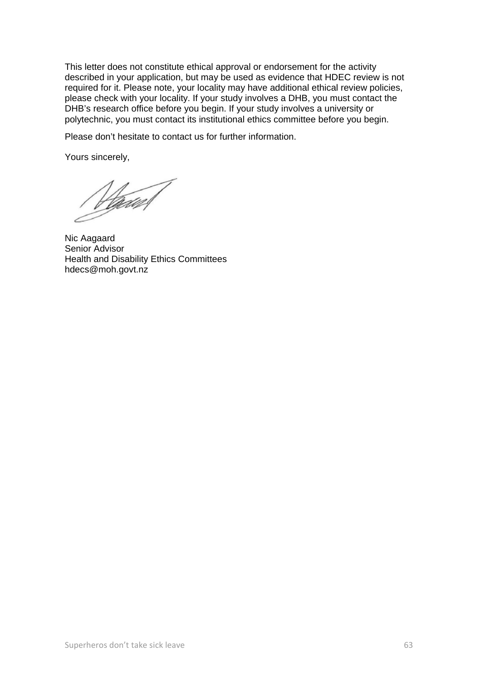This letter does not constitute ethical approval or endorsement for the activity described in your application, but may be used as evidence that HDEC review is not required for it. Please note, your locality may have additional ethical review policies, please check with your locality. If your study involves a DHB, you must contact the DHB's research office before you begin. If your study involves a university or polytechnic, you must contact its institutional ethics committee before you begin.

Please don't hesitate to contact us for further information.

Yours sincerely,

Mand 1

Nic Aagaard Senior Advisor Health and Disability Ethics Committees hdecs@moh.govt.nz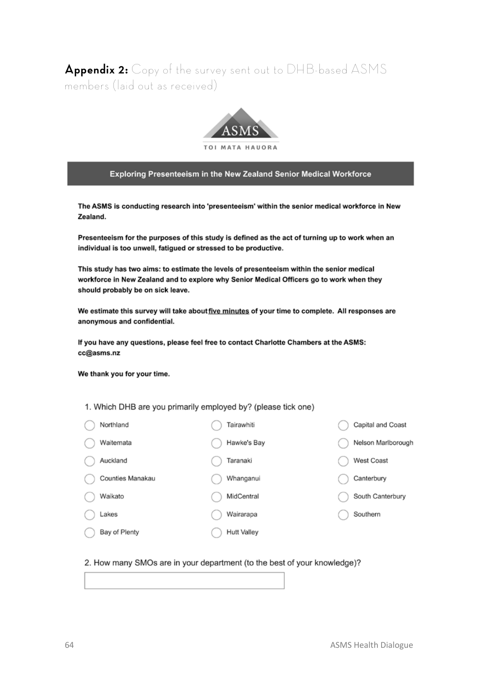Appendix 2: Copy of the survey sent out to DHB-based ASMS members (laid out as received)



Exploring Presenteeism in the New Zealand Senior Medical Workforce

The ASMS is conducting research into 'presenteeism' within the senior medical workforce in New Zealand.

Presenteeism for the purposes of this study is defined as the act of turning up to work when an individual is too unwell, fatigued or stressed to be productive.

This study has two aims: to estimate the levels of presenteeism within the senior medical workforce in New Zealand and to explore why Senior Medical Officers go to work when they should probably be on sick leave.

We estimate this survey will take about five minutes of your time to complete. All responses are anonymous and confidential.

If you have any questions, please feel free to contact Charlotte Chambers at the ASMS: cc@asms.nz

We thank you for your time.

1. Which DHB are you primarily employed by? (please tick one)

| Northland        | Tairawhiti         |
|------------------|--------------------|
| Waitemata        | Hawke's Bay        |
| Auckland         | Taranaki           |
| Counties Manakau | Whanganui          |
| Waikato          | MidCentral         |
| Lakes            | Wairarapa          |
| Bay of Plenty    | <b>Hutt Valley</b> |

Capital and Coast Nelson Marlborough

West Coast

Canterbury

South Canterbury

Southern

#### 2. How many SMOs are in your department (to the best of your knowledge)?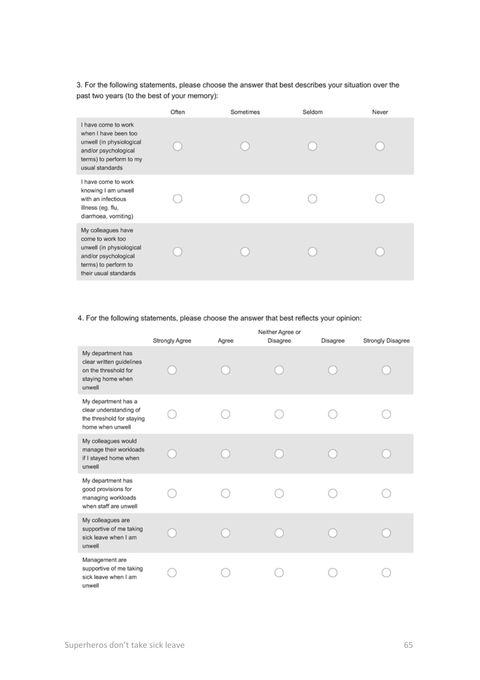3. For the following statements, please choose the answer that best describes your situation over the past two years (to the best of your memory):

|                                                                                                                                               | Often | Sometimes | Seldom | Never |
|-----------------------------------------------------------------------------------------------------------------------------------------------|-------|-----------|--------|-------|
| I have come to work<br>when I have been too<br>unwell (in physiological<br>and/or psychological<br>terms) to perform to my<br>usual standards |       |           |        |       |
| I have come to work<br>knowing I am unwell<br>with an infectious<br>illness (eg. flu,<br>diarrhoea, vomiting)                                 |       |           |        |       |
| My colleagues have<br>come to work too<br>unwell (in physiological<br>and/or psychological<br>terms) to perform to<br>their usual standards   |       |           |        |       |

#### 4. For the following statements, please choose the answer that best reflects your opinion:

|                                                                                                      | Strongly Agree | Agree | Neither Agree or<br>Disagree | Disagree | Strongly Disagree |
|------------------------------------------------------------------------------------------------------|----------------|-------|------------------------------|----------|-------------------|
| My department has<br>clear written guidelines<br>on the threshold for<br>staying home when<br>unwell |                |       |                              |          |                   |
| My department has a<br>clear understanding of<br>the threshold for staying<br>home when unwell       |                |       |                              |          |                   |
| My colleagues would<br>manage their workloads<br>if I stayed home when<br>unwell                     |                |       |                              |          |                   |
| My department has<br>good provisions for<br>managing workloads<br>when staff are unwell              |                |       |                              |          |                   |
| My colleagues are<br>supportive of me taking<br>sick leave when I am<br>unwell                       |                |       |                              |          |                   |
| Management are<br>supportive of me taking<br>sick leave when I am<br>unwell                          |                |       |                              |          |                   |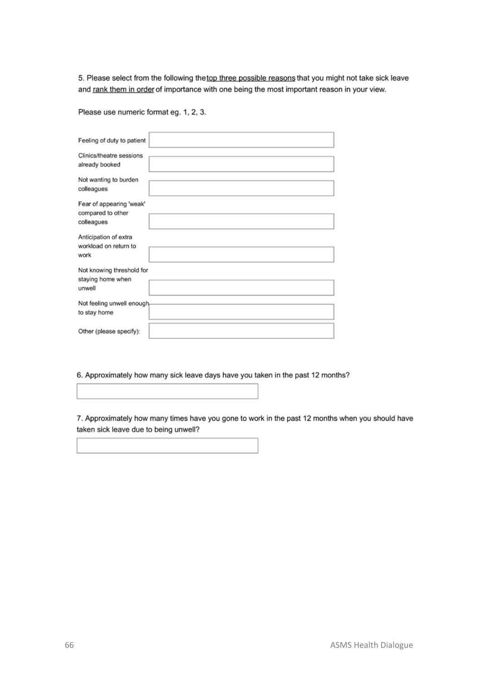5. Please select from the following the top three possible reasons that you might not take sick leave and rank them in order of importance with one being the most important reason in your view.

Please use numeric format eg. 1, 2, 3.

| Feeling of duty to patient                                             |
|------------------------------------------------------------------------|
| Clinics/theatre sessions<br>already booked                             |
| the contract of the contract of<br>Not wanting to burden<br>colleagues |
| Fear of appearing 'weak'<br>compared to other                          |
| colleagues                                                             |
| Anticipation of extra<br>workload on return to                         |
| work                                                                   |
| Not knowing threshold for<br>staying home when                         |
| unwell<br>the control of the control of the control of                 |
| Not feeling unwell enough-                                             |
| to stay home                                                           |
|                                                                        |
| Other (please specify):                                                |

6. Approximately how many sick leave days have you taken in the past 12 months?

7. Approximately how many times have you gone to work in the past 12 months when you should have taken sick leave due to being unwell?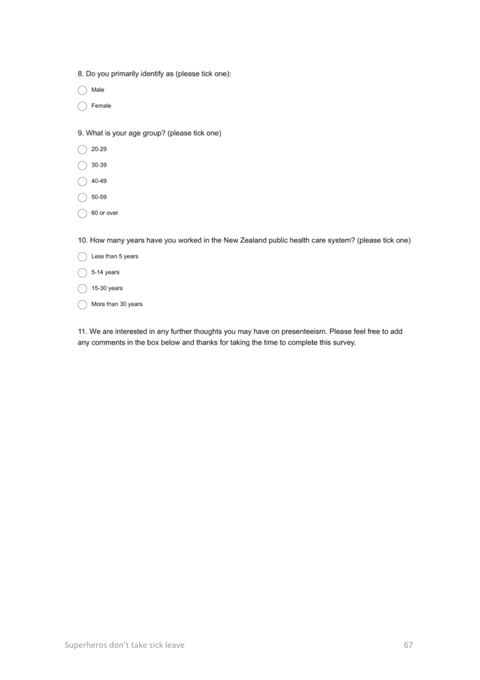◯ More than 30 years

11. We are interested in any further thoughts you may have on presenteeism. Please feel free to add any comments in the box below and thanks for taking the time to complete this survey.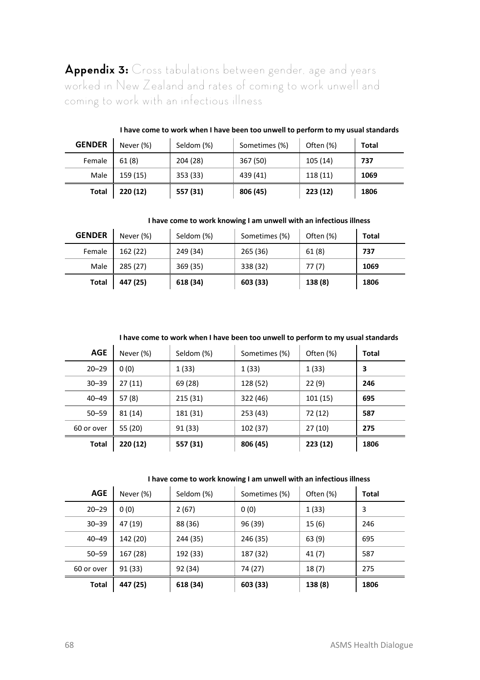**Appendix 3:** Cross tabulations between gender, age and years worked in New Zealand and rates of coming to work unwell and coming to work with an infectious illness

| <b>GENDER</b> | Never (%) | Seldom (%) | Sometimes (%) | Often (%) | Total |
|---------------|-----------|------------|---------------|-----------|-------|
| Female        | 61(8)     | 204 (28)   | 367 (50)      | 105 (14)  | 737   |
| Male          | 159 (15)  | 353 (33)   | 439 (41)      | 118 (11)  | 1069  |
| Total         | 220 (12)  | 557 (31)   | 806 (45)      | 223 (12)  | 1806  |

#### **I have come to work when I have been too unwell to perform to my usual standards**

**I have come to work knowing I am unwell with an infectious illness**

| <b>GENDER</b> | Never (%) | Seldom (%) | Sometimes (%) | Often (%) | Total |
|---------------|-----------|------------|---------------|-----------|-------|
| Female        | 162 (22)  | 249 (34)   | 265 (36)      | 61(8)     | 737   |
| Male          | 285 (27)  | 369 (35)   | 338 (32)      | 77(7)     | 1069  |
| Total         | 447 (25)  | 618 (34)   | 603 (33)      | 138 (8)   | 1806  |

**I have come to work when I have been too unwell to perform to my usual standards**

| <b>AGE</b> | Never (%) | Seldom (%) | Sometimes (%) | Often (%) | Total |
|------------|-----------|------------|---------------|-----------|-------|
| $20 - 29$  | 0(0)      | 1(33)      | 1(33)         | 1(33)     | 3     |
| $30 - 39$  | 27(11)    | 69 (28)    | 128 (52)      | 22(9)     | 246   |
| $40 - 49$  | 57(8)     | 215 (31)   | 322 (46)      | 101(15)   | 695   |
| $50 - 59$  | 81 (14)   | 181 (31)   | 253 (43)      | 72 (12)   | 587   |
| 60 or over | 55 (20)   | 91 (33)    | 102 (37)      | 27(10)    | 275   |
| Total      | 220 (12)  | 557 (31)   | 806 (45)      | 223 (12)  | 1806  |

**I have come to work knowing I am unwell with an infectious illness**

| AGE        | Never (%) | Seldom (%) | Sometimes (%) | Often (%) | Total |
|------------|-----------|------------|---------------|-----------|-------|
| $20 - 29$  | 0(0)      | 2(67)      | 0(0)          | 1(33)     | 3     |
| $30 - 39$  | 47 (19)   | 88 (36)    | 96 (39)       | 15(6)     | 246   |
| $40 - 49$  | 142 (20)  | 244 (35)   | 246 (35)      | 63(9)     | 695   |
| $50 - 59$  | 167 (28)  | 192 (33)   | 187 (32)      | 41(7)     | 587   |
| 60 or over | 91 (33)   | 92 (34)    | 74 (27)       | 18(7)     | 275   |
| Total      | 447 (25)  | 618 (34)   | 603 (33)      | 138 (8)   | 1806  |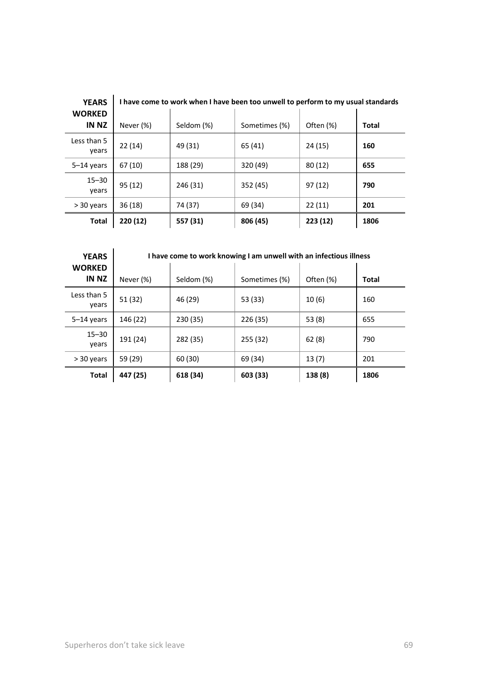|                       | <b>YEARS</b>           | I have come to work when I have been too unwell to perform to my usual standards |            |               |           |       |  |
|-----------------------|------------------------|----------------------------------------------------------------------------------|------------|---------------|-----------|-------|--|
|                       | <b>WORKED</b><br>IN NZ | Never (%)                                                                        | Seldom (%) | Sometimes (%) | Often (%) | Total |  |
|                       | Less than 5<br>years   | 22(14)                                                                           | 49 (31)    | 65 (41)       | 24 (15)   | 160   |  |
|                       | $5-14$ years           | 67 (10)                                                                          | 188 (29)   | 320 (49)      | 80(12)    | 655   |  |
|                       | $15 - 30$<br>years     | 95(12)                                                                           | 246 (31)   | 352 (45)      | 97(12)    | 790   |  |
| 36 (18)<br>> 30 years |                        | 74 (37)                                                                          | 69 (34)    | 22(11)        | 201       |       |  |
|                       | Total                  | 220 (12)                                                                         | 557 (31)   | 806 (45)      | 223 (12)  | 1806  |  |

| <b>YEARS</b>           | I have come to work knowing I am unwell with an infectious illness |            |               |           |       |  |
|------------------------|--------------------------------------------------------------------|------------|---------------|-----------|-------|--|
| <b>WORKED</b><br>IN NZ | Never (%)                                                          | Seldom (%) | Sometimes (%) | Often (%) | Total |  |
| Less than 5<br>years   | 51 (32)                                                            | 46 (29)    | 53 (33)       | 10(6)     | 160   |  |
| $5-14$ years           | 146 (22)                                                           | 230 (35)   | 226 (35)      | 53(8)     | 655   |  |
| $15 - 30$<br>years     | 191 (24)                                                           | 282 (35)   | 255 (32)      | 62(8)     | 790   |  |
| > 30 years             | 59 (29)                                                            | 60 (30)    | 69 (34)       | 13(7)     | 201   |  |
| Total                  | 447 (25)                                                           | 618 (34)   | 603 (33)      | 138 (8)   | 1806  |  |

**I have come to work when I have been too unwell to perform to my usual standards**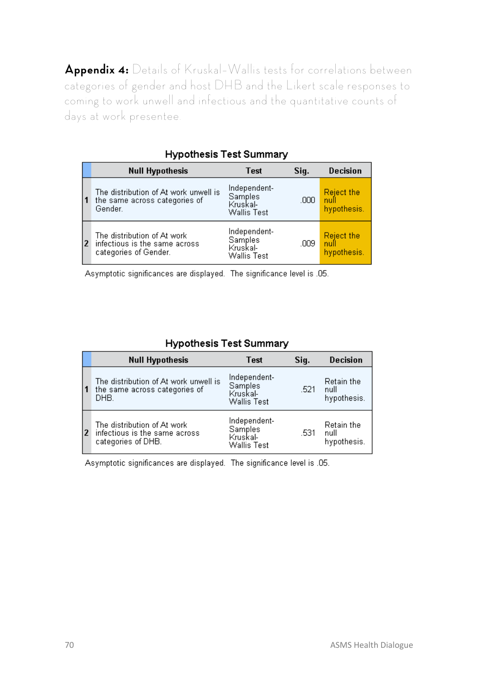**Appendix 4:** Details of Kruskal–Wallis tests for correlations between categories of gender and host DHB and the Likert scale responses to coming to work unwell and infectious and the quantitative counts of days at work presentee.

|    | <b>Null Hypothesis</b>                                                                | Test                                                      | Sig. | <b>Decision</b>                          |
|----|---------------------------------------------------------------------------------------|-----------------------------------------------------------|------|------------------------------------------|
|    | The distribution of At work unwell is<br>the same across categories of<br>Gender.     | Independent-<br>Samples<br>Kruskal-<br><b>Wallis Test</b> | .000 | Reject the<br>null<br>hypothesis.        |
| 12 | The distribution of At work<br>infectious is the same across<br>categories of Gender. | Independent-<br>Samples<br>Kruskal-<br><b>Wallis Test</b> | .009 | <b>Reject the</b><br>null<br>hypothesis. |

## Hynothesis Test Summary

Asymptotic significances are displayed. The significance level is .05.

### **Hypothesis Test Summary**

|    | <b>Null Hypothesis</b>                                                             | Test                                                      | Sig. | <b>Decision</b>                   |
|----|------------------------------------------------------------------------------------|-----------------------------------------------------------|------|-----------------------------------|
|    | The distribution of At work unwell is<br>the same across categories of<br>DHB.     | Independent-<br>Samples<br>Kruskal-<br><b>Wallis Test</b> | .521 | Retain the<br>null<br>hypothesis. |
| l2 | The distribution of At work<br>infectious is the same across<br>categories of DHB. | Independent-<br>Samples<br>Kruskal-<br><b>Wallis Test</b> | .531 | Retain the<br>null<br>hypothesis. |

Asymptotic significances are displayed. The significance level is .05.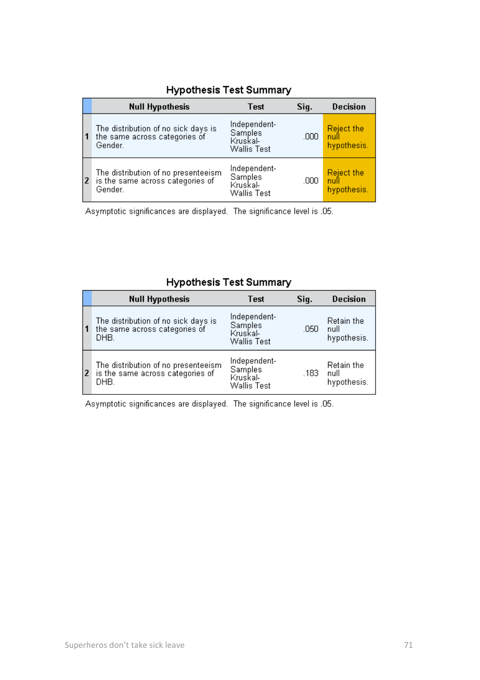|    | <b>Null Hypothesis</b>                                                             | Test                                                      | Sig. | <b>Decision</b>                          |
|----|------------------------------------------------------------------------------------|-----------------------------------------------------------|------|------------------------------------------|
|    | The distribution of no sick days is<br>the same across categories of<br>Gender.    | Independent-<br>Samples<br>Kruskal-<br><b>Wallis Test</b> | ,000 | <b>Reject the</b><br>null<br>hypothesis. |
| l2 | The distribution of no presenteeism<br>is the same across categories of<br>Gender. | Independent-<br>Samples<br>Kruskal-<br><b>Wallis Test</b> | .000 | Reject the<br>null<br>hypothesis.        |

### Hypothesis Test Summary

Asymptotic significances are displayed. The significance level is .05.

## **Hypothesis Test Summary**

|   | <b>Null Hypothesis</b>                                                          | <b>Test</b>                                               | Sig. | <b>Decision</b>                   |
|---|---------------------------------------------------------------------------------|-----------------------------------------------------------|------|-----------------------------------|
| 1 | The distribution of no sick days is<br>the same across categories of<br>DHB.    | Independent-<br>Samples<br>Kruskal-<br><b>Wallis Test</b> | .050 | Retain the<br>null<br>hypothesis. |
| 2 | The distribution of no presenteeism<br>is the same across categories of<br>DHB. | Independent-<br>Samples<br>Kruskal-<br><b>Wallis Test</b> | .183 | Retain the<br>null<br>hypothesis. |

Asymptotic significances are displayed. The significance level is .05.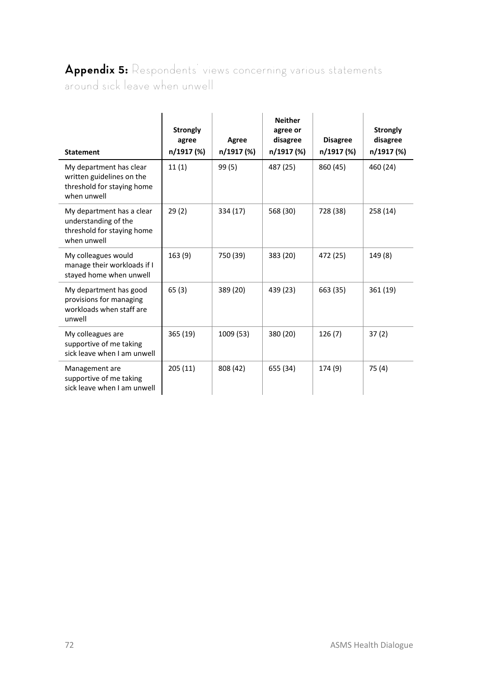# **Appendix 5:** Respondents' views concerning various statements around sick leave when unwell

|                                                                                                   |                                 |                     | <b>Neither</b>                     |                               |                                    |
|---------------------------------------------------------------------------------------------------|---------------------------------|---------------------|------------------------------------|-------------------------------|------------------------------------|
| <b>Statement</b>                                                                                  | Strongly<br>agree<br>n/1917 (%) | Agree<br>n/1917 (%) | agree or<br>disagree<br>n/1917 (%) | <b>Disagree</b><br>n/1917 (%) | Strongly<br>disagree<br>n/1917 (%) |
| My department has clear<br>written guidelines on the<br>threshold for staying home<br>when unwell | 11(1)                           | 99 (5)              | 487 (25)                           | 860 (45)                      | 460 (24)                           |
| My department has a clear<br>understanding of the<br>threshold for staying home<br>when unwell    | 29(2)                           | 334 (17)            | 568 (30)                           | 728 (38)                      | 258(14)                            |
| My colleagues would<br>manage their workloads if I<br>stayed home when unwell                     | 163 (9)                         | 750 (39)            | 383 (20)                           | 472 (25)                      | 149 (8)                            |
| My department has good<br>provisions for managing<br>workloads when staff are<br>unwell           | 65(3)                           | 389 (20)            | 439 (23)                           | 663 (35)                      | 361 (19)                           |
| My colleagues are<br>supportive of me taking<br>sick leave when I am unwell                       | 365 (19)                        | 1009 (53)           | 380 (20)                           | 126(7)                        | 37(2)                              |
| Management are<br>supportive of me taking<br>sick leave when I am unwell                          | 205(11)                         | 808 (42)            | 655 (34)                           | 174 (9)                       | 75(4)                              |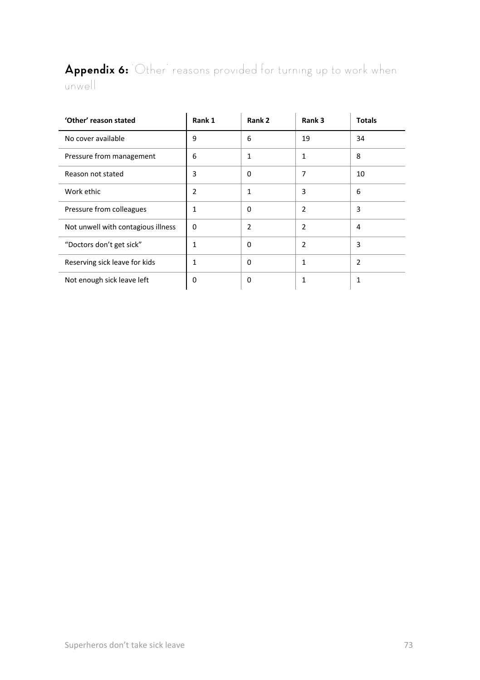# **Appendix 6:** 'Other' reasons provided for turning up to work when unwell

| 'Other' reason stated              | Rank 1   | Rank 2         | Rank 3         | Totals         |
|------------------------------------|----------|----------------|----------------|----------------|
| No cover available                 | 9        | 6              | 19             | 34             |
| Pressure from management           | 6        | $\mathbf{1}$   | 1              | 8              |
| Reason not stated                  | 3        | $\Omega$       | 7              | 10             |
| Work ethic                         | 2        | 1              | 3              | 6              |
| Pressure from colleagues           | 1        | $\Omega$       | $\overline{2}$ | 3              |
| Not unwell with contagious illness | $\Omega$ | $\overline{2}$ | 2              | 4              |
| "Doctors don't get sick"           | 1        | $\Omega$       | 2              | 3              |
| Reserving sick leave for kids      | 1        | $\Omega$       | 1              | $\overline{2}$ |
| Not enough sick leave left         | 0        | 0              | 1              | 1              |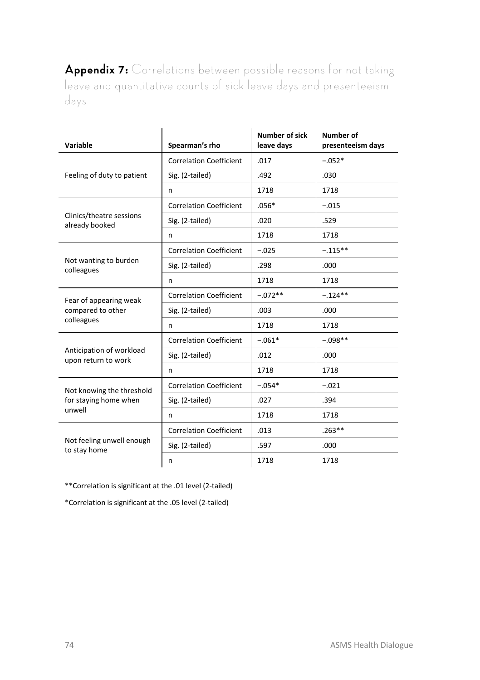**Appendix 7:** Correlations between possible reasons for not taking leave and quantitative counts of sick leave days and presenteeism days

| Variable                                                     | Spearman's rho                 | Number of sick<br>leave days | <b>Number of</b><br>presenteeism days |
|--------------------------------------------------------------|--------------------------------|------------------------------|---------------------------------------|
| Feeling of duty to patient                                   | <b>Correlation Coefficient</b> | .017                         | $-.052*$                              |
|                                                              | Sig. (2-tailed)                | .492                         | .030                                  |
|                                                              | n                              | 1718                         | 1718                                  |
| Clinics/theatre sessions<br>already booked                   | <b>Correlation Coefficient</b> | $.056*$                      | $-.015$                               |
|                                                              | Sig. (2-tailed)                | .020                         | .529                                  |
|                                                              | n                              | 1718                         | 1718                                  |
| Not wanting to burden<br>colleagues                          | <b>Correlation Coefficient</b> | $-.025$                      | $-.115**$                             |
|                                                              | Sig. (2-tailed)                | .298                         | .000                                  |
|                                                              | n                              | 1718                         | 1718                                  |
| Fear of appearing weak<br>compared to other<br>colleagues    | <b>Correlation Coefficient</b> | $-.072**$                    | $-.124**$                             |
|                                                              | Sig. (2-tailed)                | .003                         | .000                                  |
|                                                              | n                              | 1718                         | 1718                                  |
| Anticipation of workload<br>upon return to work              | <b>Correlation Coefficient</b> | $-.061*$                     | $-0.98**$                             |
|                                                              | Sig. (2-tailed)                | .012                         | .000                                  |
|                                                              | n                              | 1718                         | 1718                                  |
| Not knowing the threshold<br>for staying home when<br>unwell | <b>Correlation Coefficient</b> | $-.054*$                     | $-.021$                               |
|                                                              | Sig. (2-tailed)                | .027                         | .394                                  |
|                                                              | n                              | 1718                         | 1718                                  |
| Not feeling unwell enough<br>to stay home                    | <b>Correlation Coefficient</b> | .013                         | $.263**$                              |
|                                                              | Sig. (2-tailed)                | .597                         | .000                                  |
|                                                              | n                              | 1718                         | 1718                                  |

\*\*Correlation is significant at the .01 level (2-tailed)

\*Correlation is significant at the .05 level (2-tailed)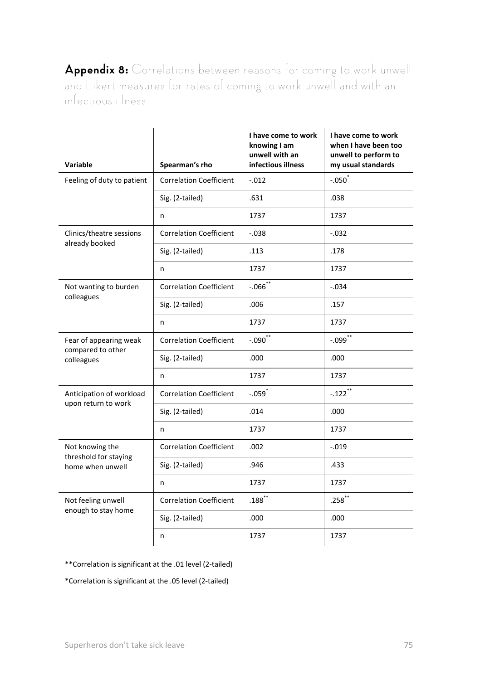**Appendix 8:** Correlations between reasons for coming to work unwell and Likert measures for rates of coming to work unwell and with an infectious illness

| Variable                                                     | Spearman's rho                 | I have come to work<br>knowing I am<br>unwell with an<br>infectious illness | I have come to work<br>when I have been too<br>unwell to perform to<br>my usual standards |
|--------------------------------------------------------------|--------------------------------|-----------------------------------------------------------------------------|-------------------------------------------------------------------------------------------|
| Feeling of duty to patient                                   | <b>Correlation Coefficient</b> | $-.012$                                                                     | $-.050^*$                                                                                 |
|                                                              | Sig. (2-tailed)                | .631                                                                        | .038                                                                                      |
|                                                              | n                              | 1737                                                                        | 1737                                                                                      |
| Clinics/theatre sessions<br>already booked                   | <b>Correlation Coefficient</b> | $-.038$                                                                     | $-.032$                                                                                   |
|                                                              | Sig. (2-tailed)                | .113                                                                        | .178                                                                                      |
|                                                              | n                              | 1737                                                                        | 1737                                                                                      |
| Not wanting to burden<br>colleagues                          | <b>Correlation Coefficient</b> | $-.066$ **                                                                  | $-.034$                                                                                   |
|                                                              | Sig. (2-tailed)                | .006                                                                        | .157                                                                                      |
|                                                              | n                              | 1737                                                                        | 1737                                                                                      |
| Fear of appearing weak<br>compared to other<br>colleagues    | <b>Correlation Coefficient</b> | $-.090$ **                                                                  | $-.099$ **                                                                                |
|                                                              | Sig. (2-tailed)                | .000                                                                        | .000                                                                                      |
|                                                              | n                              | 1737                                                                        | 1737                                                                                      |
| Anticipation of workload<br>upon return to work              | <b>Correlation Coefficient</b> | $-.059$ <sup>*</sup>                                                        | $-.122$ **                                                                                |
|                                                              | Sig. (2-tailed)                | .014                                                                        | .000                                                                                      |
|                                                              | n                              | 1737                                                                        | 1737                                                                                      |
| Not knowing the<br>threshold for staying<br>home when unwell | <b>Correlation Coefficient</b> | .002                                                                        | $-.019$                                                                                   |
|                                                              | Sig. (2-tailed)                | .946                                                                        | .433                                                                                      |
|                                                              | n                              | 1737                                                                        | 1737                                                                                      |
| Not feeling unwell<br>enough to stay home                    | <b>Correlation Coefficient</b> | $.188^{**}$                                                                 | $.258$ **                                                                                 |
|                                                              | Sig. (2-tailed)                | .000                                                                        | .000                                                                                      |
|                                                              | n                              | 1737                                                                        | 1737                                                                                      |

\*\*Correlation is significant at the .01 level (2-tailed)

\*Correlation is significant at the .05 level (2-tailed)